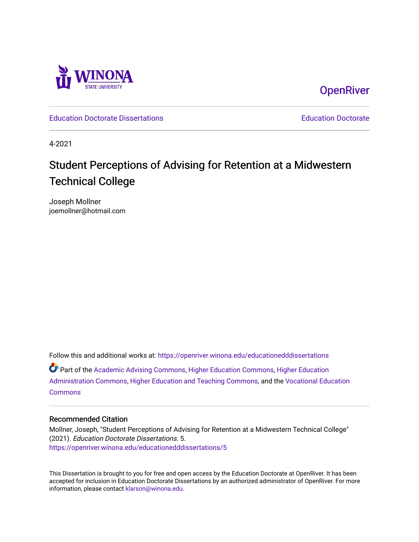

**OpenRiver** 

[Education Doctorate Dissertations](https://openriver.winona.edu/educationedddissertations) [Education Doctorate](https://openriver.winona.edu/educationedd) 

4-2021

# Student Perceptions of Advising for Retention at a Midwestern Technical College

Joseph Mollner joemollner@hotmail.com

Follow this and additional works at: [https://openriver.winona.edu/educationedddissertations](https://openriver.winona.edu/educationedddissertations?utm_source=openriver.winona.edu%2Feducationedddissertations%2F5&utm_medium=PDF&utm_campaign=PDFCoverPages)  Part of the [Academic Advising Commons](http://network.bepress.com/hgg/discipline/1403?utm_source=openriver.winona.edu%2Feducationedddissertations%2F5&utm_medium=PDF&utm_campaign=PDFCoverPages), [Higher Education Commons](http://network.bepress.com/hgg/discipline/1245?utm_source=openriver.winona.edu%2Feducationedddissertations%2F5&utm_medium=PDF&utm_campaign=PDFCoverPages), [Higher Education](http://network.bepress.com/hgg/discipline/791?utm_source=openriver.winona.edu%2Feducationedddissertations%2F5&utm_medium=PDF&utm_campaign=PDFCoverPages)  [Administration Commons,](http://network.bepress.com/hgg/discipline/791?utm_source=openriver.winona.edu%2Feducationedddissertations%2F5&utm_medium=PDF&utm_campaign=PDFCoverPages) [Higher Education and Teaching Commons](http://network.bepress.com/hgg/discipline/806?utm_source=openriver.winona.edu%2Feducationedddissertations%2F5&utm_medium=PDF&utm_campaign=PDFCoverPages), and the [Vocational Education](http://network.bepress.com/hgg/discipline/1369?utm_source=openriver.winona.edu%2Feducationedddissertations%2F5&utm_medium=PDF&utm_campaign=PDFCoverPages) **[Commons](http://network.bepress.com/hgg/discipline/1369?utm_source=openriver.winona.edu%2Feducationedddissertations%2F5&utm_medium=PDF&utm_campaign=PDFCoverPages)** 

#### Recommended Citation

Mollner, Joseph, "Student Perceptions of Advising for Retention at a Midwestern Technical College" (2021). Education Doctorate Dissertations. 5. [https://openriver.winona.edu/educationedddissertations/5](https://openriver.winona.edu/educationedddissertations/5?utm_source=openriver.winona.edu%2Feducationedddissertations%2F5&utm_medium=PDF&utm_campaign=PDFCoverPages) 

This Dissertation is brought to you for free and open access by the Education Doctorate at OpenRiver. It has been accepted for inclusion in Education Doctorate Dissertations by an authorized administrator of OpenRiver. For more information, please contact [klarson@winona.edu](mailto:klarson@winona.edu).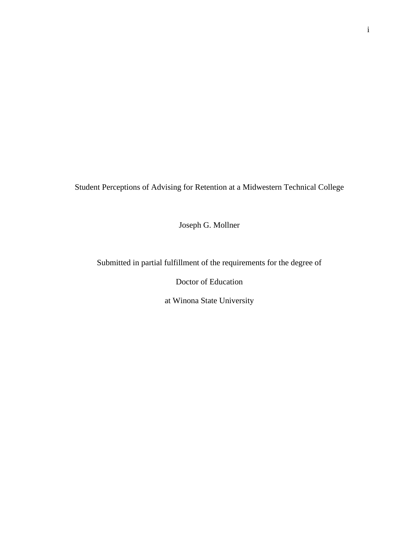Student Perceptions of Advising for Retention at a Midwestern Technical College

Joseph G. Mollner

Submitted in partial fulfillment of the requirements for the degree of

Doctor of Education

at Winona State University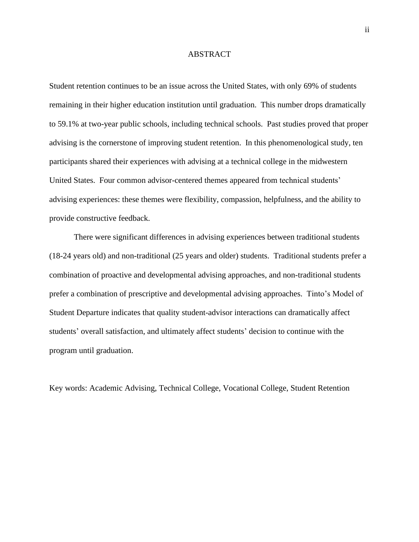#### ABSTRACT

Student retention continues to be an issue across the United States, with only 69% of students remaining in their higher education institution until graduation. This number drops dramatically to 59.1% at two-year public schools, including technical schools. Past studies proved that proper advising is the cornerstone of improving student retention. In this phenomenological study, ten participants shared their experiences with advising at a technical college in the midwestern United States. Four common advisor-centered themes appeared from technical students' advising experiences: these themes were flexibility, compassion, helpfulness, and the ability to provide constructive feedback.

There were significant differences in advising experiences between traditional students (18-24 years old) and non-traditional (25 years and older) students. Traditional students prefer a combination of proactive and developmental advising approaches, and non-traditional students prefer a combination of prescriptive and developmental advising approaches. Tinto's Model of Student Departure indicates that quality student-advisor interactions can dramatically affect students' overall satisfaction, and ultimately affect students' decision to continue with the program until graduation.

Key words: Academic Advising, Technical College, Vocational College, Student Retention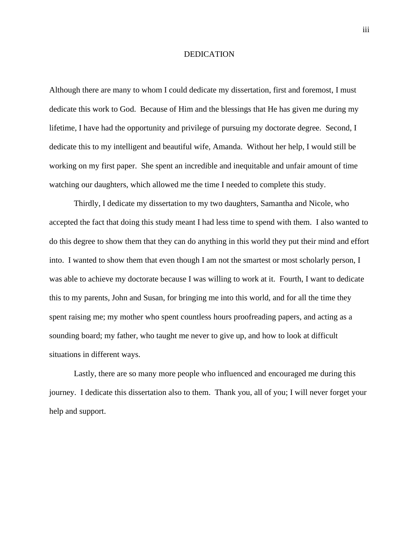#### DEDICATION

Although there are many to whom I could dedicate my dissertation, first and foremost, I must dedicate this work to God. Because of Him and the blessings that He has given me during my lifetime, I have had the opportunity and privilege of pursuing my doctorate degree. Second, I dedicate this to my intelligent and beautiful wife, Amanda. Without her help, I would still be working on my first paper. She spent an incredible and inequitable and unfair amount of time watching our daughters, which allowed me the time I needed to complete this study.

Thirdly, I dedicate my dissertation to my two daughters, Samantha and Nicole, who accepted the fact that doing this study meant I had less time to spend with them. I also wanted to do this degree to show them that they can do anything in this world they put their mind and effort into. I wanted to show them that even though I am not the smartest or most scholarly person, I was able to achieve my doctorate because I was willing to work at it. Fourth, I want to dedicate this to my parents, John and Susan, for bringing me into this world, and for all the time they spent raising me; my mother who spent countless hours proofreading papers, and acting as a sounding board; my father, who taught me never to give up, and how to look at difficult situations in different ways.

Lastly, there are so many more people who influenced and encouraged me during this journey. I dedicate this dissertation also to them. Thank you, all of you; I will never forget your help and support.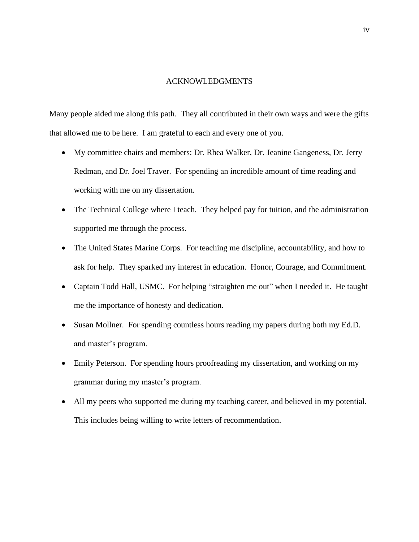#### ACKNOWLEDGMENTS

Many people aided me along this path. They all contributed in their own ways and were the gifts that allowed me to be here. I am grateful to each and every one of you.

- My committee chairs and members: Dr. Rhea Walker, Dr. Jeanine Gangeness, Dr. Jerry Redman, and Dr. Joel Traver. For spending an incredible amount of time reading and working with me on my dissertation.
- The Technical College where I teach. They helped pay for tuition, and the administration supported me through the process.
- The United States Marine Corps. For teaching me discipline, accountability, and how to ask for help. They sparked my interest in education. Honor, Courage, and Commitment.
- Captain Todd Hall, USMC. For helping "straighten me out" when I needed it. He taught me the importance of honesty and dedication.
- Susan Mollner. For spending countless hours reading my papers during both my Ed.D. and master's program.
- Emily Peterson. For spending hours proofreading my dissertation, and working on my grammar during my master's program.
- All my peers who supported me during my teaching career, and believed in my potential. This includes being willing to write letters of recommendation.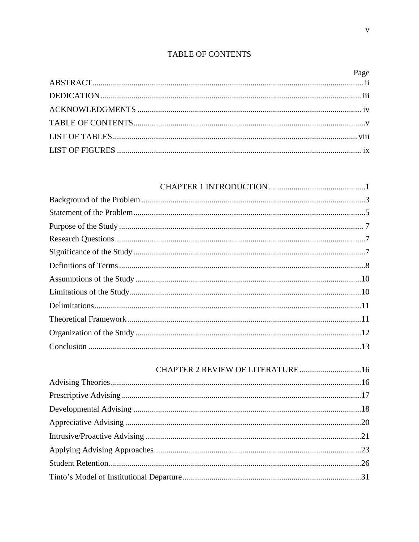# TABLE OF CONTENTS

| CHAPTER 2 REVIEW OF LITERATURE16 |  |
|----------------------------------|--|
|                                  |  |
|                                  |  |
|                                  |  |
|                                  |  |
|                                  |  |
|                                  |  |
|                                  |  |
|                                  |  |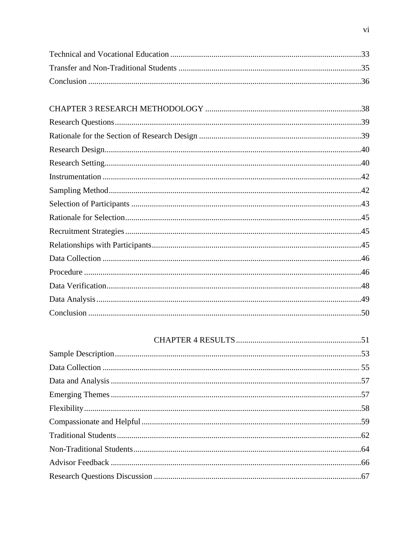#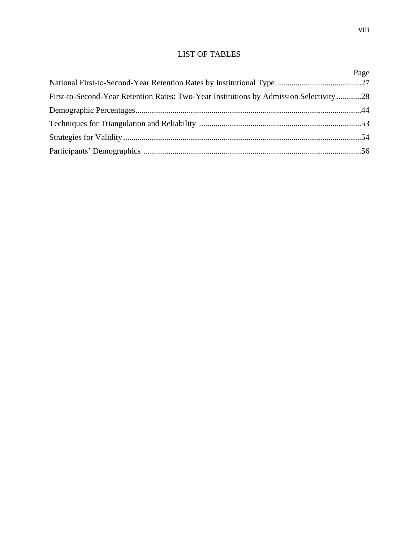# LIST OF TABLES

|                                                                                         | Page |
|-----------------------------------------------------------------------------------------|------|
|                                                                                         |      |
| First-to-Second-Year Retention Rates: Two-Year Institutions by Admission Selectivity 28 |      |
|                                                                                         |      |
|                                                                                         |      |
|                                                                                         |      |
|                                                                                         |      |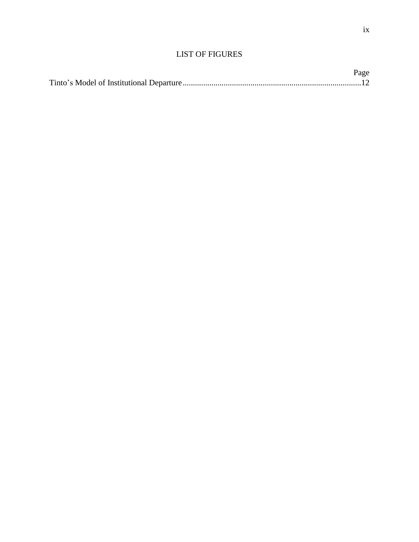| Page |
|------|
|      |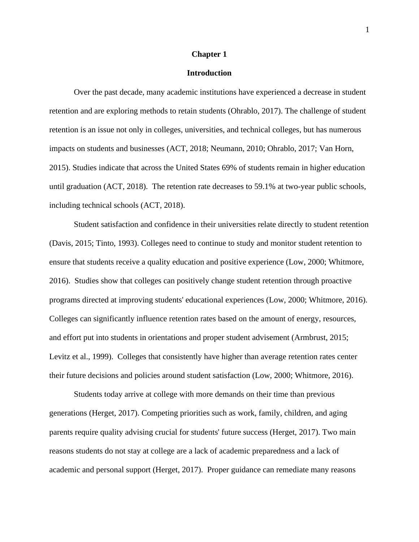#### **Chapter 1**

### **Introduction**

Over the past decade, many academic institutions have experienced a decrease in student retention and are exploring methods to retain students (Ohrablo, 2017). The challenge of student retention is an issue not only in colleges, universities, and technical colleges, but has numerous impacts on students and businesses (ACT, 2018; Neumann, 2010; Ohrablo, 2017; Van Horn, 2015). Studies indicate that across the United States 69% of students remain in higher education until graduation (ACT, 2018). The retention rate decreases to 59.1% at two-year public schools, including technical schools (ACT, 2018).

Student satisfaction and confidence in their universities relate directly to student retention (Davis, 2015; Tinto, 1993). Colleges need to continue to study and monitor student retention to ensure that students receive a quality education and positive experience (Low, 2000; Whitmore, 2016). Studies show that colleges can positively change student retention through proactive programs directed at improving students' educational experiences (Low, 2000; Whitmore, 2016). Colleges can significantly influence retention rates based on the amount of energy, resources, and effort put into students in orientations and proper student advisement (Armbrust, 2015; Levitz et al., 1999). Colleges that consistently have higher than average retention rates center their future decisions and policies around student satisfaction (Low, 2000; Whitmore, 2016).

Students today arrive at college with more demands on their time than previous generations (Herget, 2017). Competing priorities such as work, family, children, and aging parents require quality advising crucial for students' future success (Herget, 2017). Two main reasons students do not stay at college are a lack of academic preparedness and a lack of academic and personal support (Herget, 2017). Proper guidance can remediate many reasons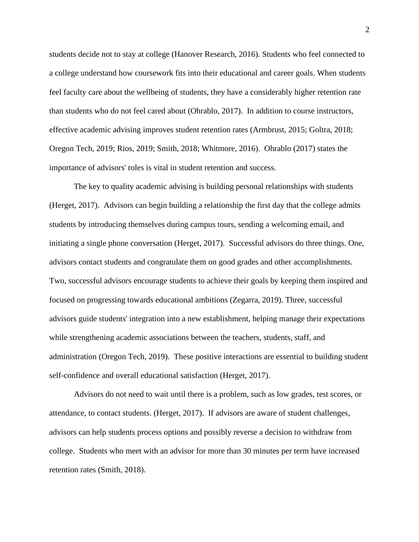students decide not to stay at college (Hanover Research, 2016). Students who feel connected to a college understand how coursework fits into their educational and career goals. When students feel faculty care about the wellbeing of students, they have a considerably higher retention rate than students who do not feel cared about (Ohrablo, 2017). In addition to course instructors, effective academic advising improves student retention rates (Armbrust, 2015; Goltra, 2018; Oregon Tech, 2019; Rios, 2019; Smith, 2018; Whitmore, 2016). Ohrablo (2017) states the importance of advisors' roles is vital in student retention and success.

The key to quality academic advising is building personal relationships with students (Herget, 2017). Advisors can begin building a relationship the first day that the college admits students by introducing themselves during campus tours, sending a welcoming email, and initiating a single phone conversation (Herget, 2017). Successful advisors do three things. One, advisors contact students and congratulate them on good grades and other accomplishments. Two, successful advisors encourage students to achieve their goals by keeping them inspired and focused on progressing towards educational ambitions (Zegarra, 2019). Three, successful advisors guide students' integration into a new establishment, helping manage their expectations while strengthening academic associations between the teachers, students, staff, and administration (Oregon Tech, 2019). These positive interactions are essential to building student self-confidence and overall educational satisfaction (Herget, 2017).

Advisors do not need to wait until there is a problem, such as low grades, test scores, or attendance, to contact students. (Herget, 2017). If advisors are aware of student challenges, advisors can help students process options and possibly reverse a decision to withdraw from college. Students who meet with an advisor for more than 30 minutes per term have increased retention rates (Smith, 2018).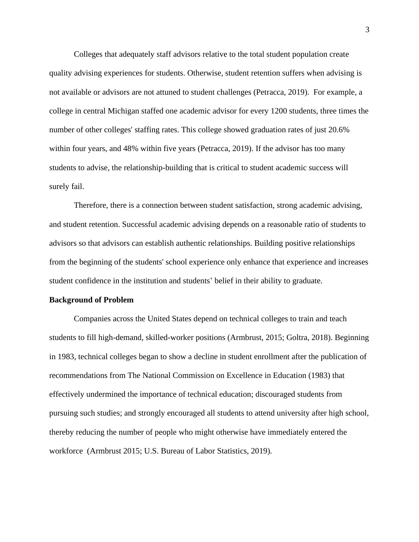Colleges that adequately staff advisors relative to the total student population create quality advising experiences for students. Otherwise, student retention suffers when advising is not available or advisors are not attuned to student challenges (Petracca, 2019). For example, a college in central Michigan staffed one academic advisor for every 1200 students, three times the number of other colleges' staffing rates. This college showed graduation rates of just 20.6% within four years, and 48% within five years (Petracca, 2019). If the advisor has too many students to advise, the relationship-building that is critical to student academic success will surely fail.

Therefore, there is a connection between student satisfaction, strong academic advising, and student retention. Successful academic advising depends on a reasonable ratio of students to advisors so that advisors can establish authentic relationships. Building positive relationships from the beginning of the students' school experience only enhance that experience and increases student confidence in the institution and students' belief in their ability to graduate.

#### **Background of Problem**

Companies across the United States depend on technical colleges to train and teach students to fill high-demand, skilled-worker positions (Armbrust, 2015; Goltra, 2018). Beginning in 1983, technical colleges began to show a decline in student enrollment after the publication of recommendations from The National Commission on Excellence in Education (1983) that effectively undermined the importance of technical education; discouraged students from pursuing such studies; and strongly encouraged all students to attend university after high school, thereby reducing the number of people who might otherwise have immediately entered the workforce (Armbrust 2015; U.S. Bureau of Labor Statistics, 2019).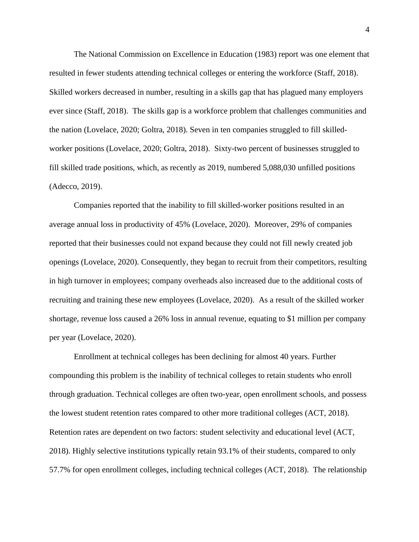The National Commission on Excellence in Education (1983) report was one element that resulted in fewer students attending technical colleges or entering the workforce (Staff, 2018). Skilled workers decreased in number, resulting in a skills gap that has plagued many employers ever since (Staff, 2018). The skills gap is a workforce problem that challenges communities and the nation (Lovelace, 2020; Goltra, 2018). Seven in ten companies struggled to fill skilledworker positions (Lovelace, 2020; Goltra, 2018). Sixty-two percent of businesses struggled to fill skilled trade positions, which, as recently as 2019, numbered 5,088,030 unfilled positions (Adecco, 2019).

Companies reported that the inability to fill skilled-worker positions resulted in an average annual loss in productivity of 45% (Lovelace, 2020). Moreover, 29% of companies reported that their businesses could not expand because they could not fill newly created job openings (Lovelace, 2020). Consequently, they began to recruit from their competitors, resulting in high turnover in employees; company overheads also increased due to the additional costs of recruiting and training these new employees (Lovelace, 2020). As a result of the skilled worker shortage, revenue loss caused a 26% loss in annual revenue, equating to \$1 million per company per year (Lovelace, 2020).

Enrollment at technical colleges has been declining for almost 40 years. Further compounding this problem is the inability of technical colleges to retain students who enroll through graduation. Technical colleges are often two-year, open enrollment schools, and possess the lowest student retention rates compared to other more traditional colleges (ACT, 2018). Retention rates are dependent on two factors: student selectivity and educational level (ACT, 2018). Highly selective institutions typically retain 93.1% of their students, compared to only 57.7% for open enrollment colleges, including technical colleges (ACT, 2018). The relationship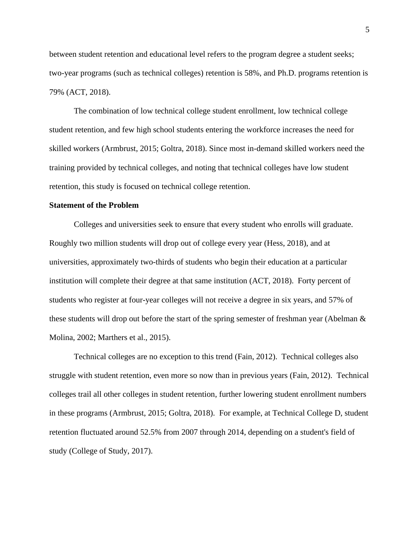between student retention and educational level refers to the program degree a student seeks; two-year programs (such as technical colleges) retention is 58%, and Ph.D. programs retention is 79% (ACT, 2018).

The combination of low technical college student enrollment, low technical college student retention, and few high school students entering the workforce increases the need for skilled workers (Armbrust, 2015; Goltra, 2018). Since most in-demand skilled workers need the training provided by technical colleges, and noting that technical colleges have low student retention, this study is focused on technical college retention.

#### **Statement of the Problem**

Colleges and universities seek to ensure that every student who enrolls will graduate. Roughly two million students will drop out of college every year (Hess, 2018), and at universities, approximately two-thirds of students who begin their education at a particular institution will complete their degree at that same institution (ACT, 2018). Forty percent of students who register at four-year colleges will not receive a degree in six years, and 57% of these students will drop out before the start of the spring semester of freshman year (Abelman & Molina, 2002; Marthers et al., 2015).

Technical colleges are no exception to this trend (Fain, 2012). Technical colleges also struggle with student retention, even more so now than in previous years (Fain, 2012). Technical colleges trail all other colleges in student retention, further lowering student enrollment numbers in these programs (Armbrust, 2015; Goltra, 2018). For example, at Technical College D, student retention fluctuated around 52.5% from 2007 through 2014, depending on a student's field of study (College of Study, 2017).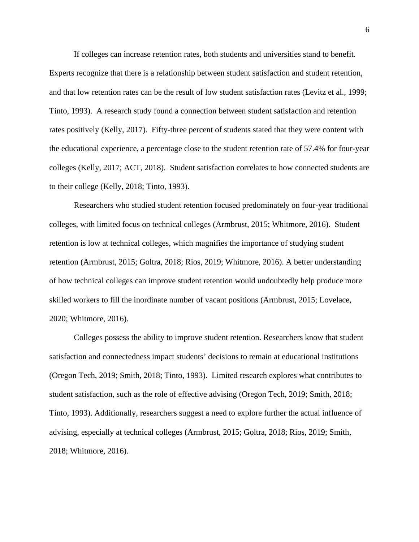If colleges can increase retention rates, both students and universities stand to benefit. Experts recognize that there is a relationship between student satisfaction and student retention, and that low retention rates can be the result of low student satisfaction rates (Levitz et al., 1999; Tinto, 1993). A research study found a connection between student satisfaction and retention rates positively (Kelly, 2017). Fifty-three percent of students stated that they were content with the educational experience, a percentage close to the student retention rate of 57.4% for four-year colleges (Kelly, 2017; ACT, 2018). Student satisfaction correlates to how connected students are to their college (Kelly, 2018; Tinto, 1993).

Researchers who studied student retention focused predominately on four-year traditional colleges, with limited focus on technical colleges (Armbrust, 2015; Whitmore, 2016). Student retention is low at technical colleges, which magnifies the importance of studying student retention (Armbrust, 2015; Goltra, 2018; Rios, 2019; Whitmore, 2016). A better understanding of how technical colleges can improve student retention would undoubtedly help produce more skilled workers to fill the inordinate number of vacant positions (Armbrust, 2015; Lovelace, 2020; Whitmore, 2016).

Colleges possess the ability to improve student retention. Researchers know that student satisfaction and connectedness impact students' decisions to remain at educational institutions (Oregon Tech, 2019; Smith, 2018; Tinto, 1993). Limited research explores what contributes to student satisfaction, such as the role of effective advising (Oregon Tech, 2019; Smith, 2018; Tinto, 1993). Additionally, researchers suggest a need to explore further the actual influence of advising, especially at technical colleges (Armbrust, 2015; Goltra, 2018; Rios, 2019; Smith, 2018; Whitmore, 2016).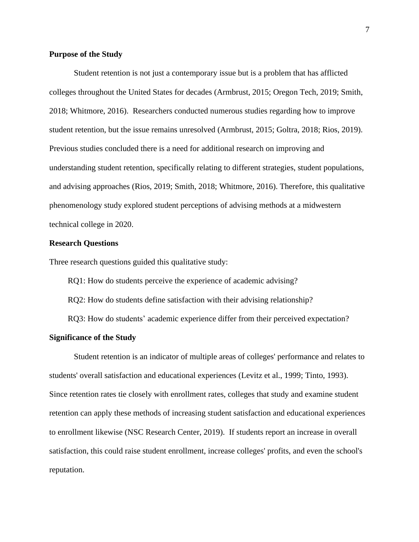#### **Purpose of the Study**

Student retention is not just a contemporary issue but is a problem that has afflicted colleges throughout the United States for decades (Armbrust, 2015; Oregon Tech, 2019; Smith, 2018; Whitmore, 2016). Researchers conducted numerous studies regarding how to improve student retention, but the issue remains unresolved (Armbrust, 2015; Goltra, 2018; Rios, 2019). Previous studies concluded there is a need for additional research on improving and understanding student retention, specifically relating to different strategies, student populations, and advising approaches (Rios, 2019; Smith, 2018; Whitmore, 2016). Therefore, this qualitative phenomenology study explored student perceptions of advising methods at a midwestern technical college in 2020.

#### **Research Questions**

Three research questions guided this qualitative study:

RQ1: How do students perceive the experience of academic advising?

RQ2: How do students define satisfaction with their advising relationship?

RQ3: How do students' academic experience differ from their perceived expectation?

#### **Significance of the Study**

Student retention is an indicator of multiple areas of colleges' performance and relates to students' overall satisfaction and educational experiences (Levitz et al., 1999; Tinto, 1993). Since retention rates tie closely with enrollment rates, colleges that study and examine student retention can apply these methods of increasing student satisfaction and educational experiences to enrollment likewise (NSC Research Center, 2019). If students report an increase in overall satisfaction, this could raise student enrollment, increase colleges' profits, and even the school's reputation.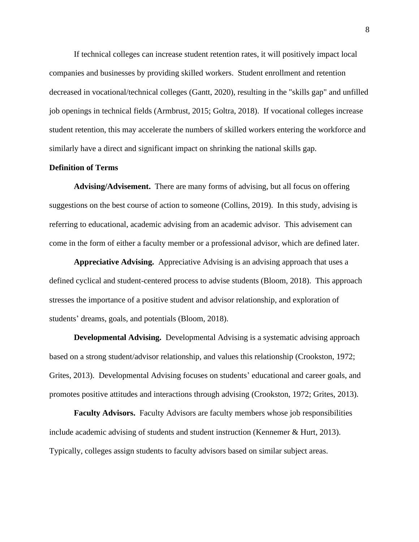If technical colleges can increase student retention rates, it will positively impact local companies and businesses by providing skilled workers. Student enrollment and retention decreased in vocational/technical colleges (Gantt, 2020), resulting in the "skills gap" and unfilled job openings in technical fields (Armbrust, 2015; Goltra, 2018). If vocational colleges increase student retention, this may accelerate the numbers of skilled workers entering the workforce and similarly have a direct and significant impact on shrinking the national skills gap.

#### **Definition of Terms**

**Advising/Advisement.** There are many forms of advising, but all focus on offering suggestions on the best course of action to someone (Collins, 2019). In this study, advising is referring to educational, academic advising from an academic advisor. This advisement can come in the form of either a faculty member or a professional advisor, which are defined later.

**Appreciative Advising.** Appreciative Advising is an advising approach that uses a defined cyclical and student-centered process to advise students (Bloom, 2018). This approach stresses the importance of a positive student and advisor relationship, and exploration of students' dreams, goals, and potentials (Bloom, 2018).

**Developmental Advising.** Developmental Advising is a systematic advising approach based on a strong student/advisor relationship, and values this relationship (Crookston, 1972; Grites, 2013). Developmental Advising focuses on students' educational and career goals, and promotes positive attitudes and interactions through advising (Crookston, 1972; Grites, 2013).

**Faculty Advisors.** Faculty Advisors are faculty members whose job responsibilities include academic advising of students and student instruction (Kennemer  $\&$  Hurt, 2013). Typically, colleges assign students to faculty advisors based on similar subject areas.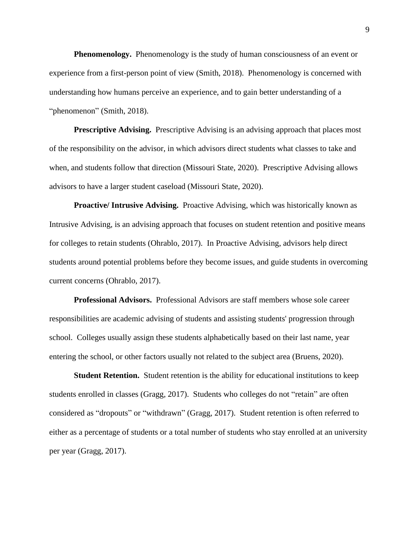**Phenomenology.** Phenomenology is the study of human consciousness of an event or experience from a first-person point of view (Smith, 2018). Phenomenology is concerned with understanding how humans perceive an experience, and to gain better understanding of a "phenomenon" (Smith, 2018).

**Prescriptive Advising.** Prescriptive Advising is an advising approach that places most of the responsibility on the advisor, in which advisors direct students what classes to take and when, and students follow that direction (Missouri State, 2020). Prescriptive Advising allows advisors to have a larger student caseload (Missouri State, 2020).

**Proactive/ Intrusive Advising.** Proactive Advising, which was historically known as Intrusive Advising, is an advising approach that focuses on student retention and positive means for colleges to retain students (Ohrablo, 2017). In Proactive Advising, advisors help direct students around potential problems before they become issues, and guide students in overcoming current concerns (Ohrablo, 2017).

**Professional Advisors.** Professional Advisors are staff members whose sole career responsibilities are academic advising of students and assisting students' progression through school. Colleges usually assign these students alphabetically based on their last name, year entering the school, or other factors usually not related to the subject area (Bruens, 2020).

**Student Retention.** Student retention is the ability for educational institutions to keep students enrolled in classes (Gragg, 2017). Students who colleges do not "retain" are often considered as "dropouts" or "withdrawn" (Gragg, 2017). Student retention is often referred to either as a percentage of students or a total number of students who stay enrolled at an university per year (Gragg, 2017).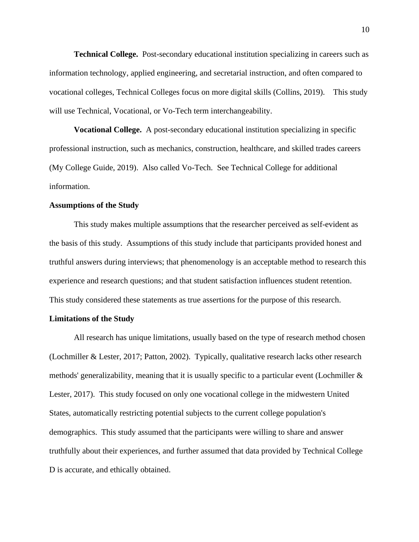**Technical College.** Post-secondary educational institution specializing in careers such as information technology, applied engineering, and secretarial instruction, and often compared to vocational colleges, Technical Colleges focus on more digital skills (Collins, 2019). This study will use Technical, Vocational, or Vo-Tech term interchangeability.

**Vocational College.** A post-secondary educational institution specializing in specific professional instruction, such as mechanics, construction, healthcare, and skilled trades careers (My College Guide, 2019). Also called Vo-Tech. See Technical College for additional information.

#### **Assumptions of the Study**

This study makes multiple assumptions that the researcher perceived as self-evident as the basis of this study. Assumptions of this study include that participants provided honest and truthful answers during interviews; that phenomenology is an acceptable method to research this experience and research questions; and that student satisfaction influences student retention. This study considered these statements as true assertions for the purpose of this research.

#### **Limitations of the Study**

All research has unique limitations, usually based on the type of research method chosen (Lochmiller & Lester, 2017; Patton, 2002). Typically, qualitative research lacks other research methods' generalizability, meaning that it is usually specific to a particular event (Lochmiller  $\&$ Lester, 2017). This study focused on only one vocational college in the midwestern United States, automatically restricting potential subjects to the current college population's demographics. This study assumed that the participants were willing to share and answer truthfully about their experiences, and further assumed that data provided by Technical College D is accurate, and ethically obtained.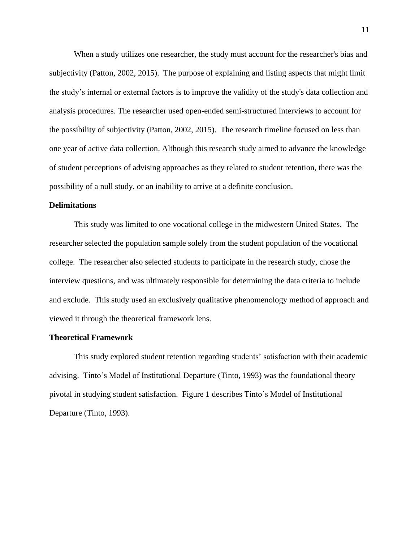When a study utilizes one researcher, the study must account for the researcher's bias and subjectivity (Patton, 2002, 2015). The purpose of explaining and listing aspects that might limit the study's internal or external factors is to improve the validity of the study's data collection and analysis procedures. The researcher used open-ended semi-structured interviews to account for the possibility of subjectivity (Patton, 2002, 2015). The research timeline focused on less than one year of active data collection. Although this research study aimed to advance the knowledge of student perceptions of advising approaches as they related to student retention, there was the possibility of a null study, or an inability to arrive at a definite conclusion.

#### **Delimitations**

This study was limited to one vocational college in the midwestern United States. The researcher selected the population sample solely from the student population of the vocational college. The researcher also selected students to participate in the research study, chose the interview questions, and was ultimately responsible for determining the data criteria to include and exclude. This study used an exclusively qualitative phenomenology method of approach and viewed it through the theoretical framework lens.

#### **Theoretical Framework**

This study explored student retention regarding students' satisfaction with their academic advising. Tinto's Model of Institutional Departure (Tinto, 1993) was the foundational theory pivotal in studying student satisfaction. Figure 1 describes Tinto's Model of Institutional Departure (Tinto, 1993).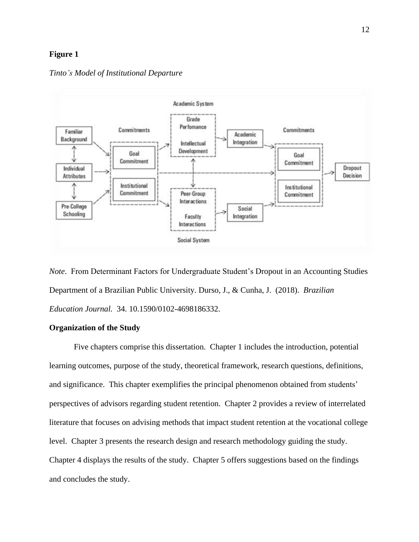#### **Figure 1**

#### *Tinto's Model of Institutional Departure*



*Note*. From Determinant Factors for Undergraduate Student's Dropout in an Accounting Studies Department of a Brazilian Public University. Durso, J., & Cunha, J. (2018). *Brazilian Education Journal.* 34. 10.1590/0102-4698186332.

#### **Organization of the Study**

Five chapters comprise this dissertation. Chapter 1 includes the introduction, potential learning outcomes, purpose of the study, theoretical framework, research questions, definitions, and significance. This chapter exemplifies the principal phenomenon obtained from students' perspectives of advisors regarding student retention. Chapter 2 provides a review of interrelated literature that focuses on advising methods that impact student retention at the vocational college level. Chapter 3 presents the research design and research methodology guiding the study. Chapter 4 displays the results of the study. Chapter 5 offers suggestions based on the findings and concludes the study.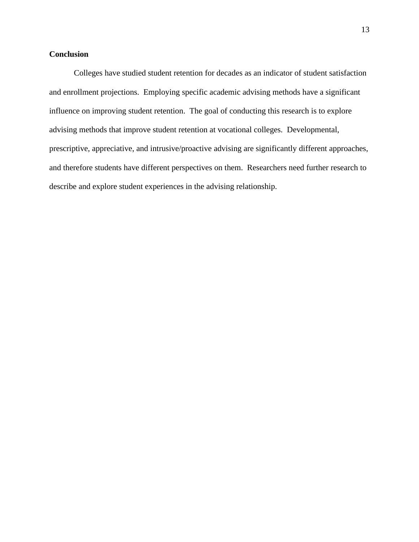## **Conclusion**

Colleges have studied student retention for decades as an indicator of student satisfaction and enrollment projections. Employing specific academic advising methods have a significant influence on improving student retention. The goal of conducting this research is to explore advising methods that improve student retention at vocational colleges. Developmental, prescriptive, appreciative, and intrusive/proactive advising are significantly different approaches, and therefore students have different perspectives on them. Researchers need further research to describe and explore student experiences in the advising relationship.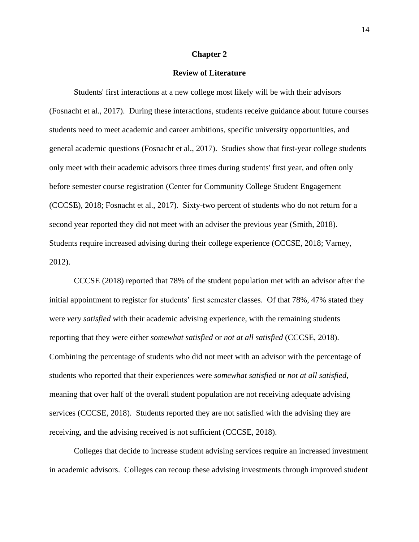#### **Chapter 2**

#### **Review of Literature**

Students' first interactions at a new college most likely will be with their advisors (Fosnacht et al., 2017). During these interactions, students receive guidance about future courses students need to meet academic and career ambitions, specific university opportunities, and general academic questions (Fosnacht et al., 2017). Studies show that first-year college students only meet with their academic advisors three times during students' first year, and often only before semester course registration (Center for Community College Student Engagement (CCCSE), 2018; Fosnacht et al., 2017). Sixty-two percent of students who do not return for a second year reported they did not meet with an adviser the previous year (Smith, 2018). Students require increased advising during their college experience (CCCSE, 2018; Varney, 2012).

CCCSE (2018) reported that 78% of the student population met with an advisor after the initial appointment to register for students' first semester classes. Of that 78%, 47% stated they were *very satisfied* with their academic advising experience, with the remaining students reporting that they were either *somewhat satisfied* or *not at all satisfied* (CCCSE, 2018). Combining the percentage of students who did not meet with an advisor with the percentage of students who reported that their experiences were *somewhat satisfied* or *not at all satisfied,* meaning that over half of the overall student population are not receiving adequate advising services (CCCSE, 2018). Students reported they are not satisfied with the advising they are receiving, and the advising received is not sufficient (CCCSE, 2018).

Colleges that decide to increase student advising services require an increased investment in academic advisors. Colleges can recoup these advising investments through improved student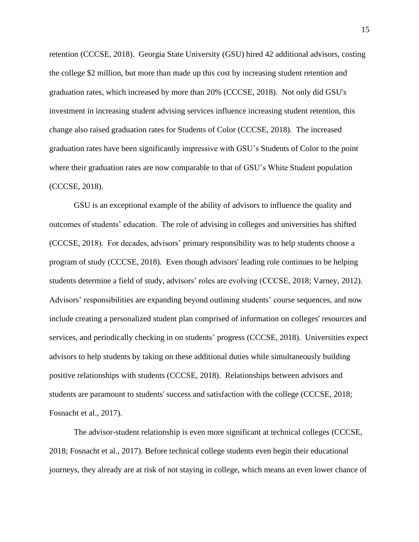retention (CCCSE, 2018). Georgia State University (GSU) hired 42 additional advisors, costing the college \$2 million, but more than made up this cost by increasing student retention and graduation rates, which increased by more than 20% (CCCSE, 2018). Not only did GSU's investment in increasing student advising services influence increasing student retention, this change also raised graduation rates for Students of Color (CCCSE, 2018). The increased graduation rates have been significantly impressive with GSU's Students of Color to the point where their graduation rates are now comparable to that of GSU's White Student population (CCCSE, 2018).

GSU is an exceptional example of the ability of advisors to influence the quality and outcomes of students' education. The role of advising in colleges and universities has shifted (CCCSE, 2018). For decades, advisors' primary responsibility was to help students choose a program of study (CCCSE, 2018). Even though advisors' leading role continues to be helping students determine a field of study, advisors' roles are evolving (CCCSE, 2018; Varney, 2012). Advisors' responsibilities are expanding beyond outlining students' course sequences, and now include creating a personalized student plan comprised of information on colleges' resources and services, and periodically checking in on students' progress (CCCSE, 2018). Universities expect advisors to help students by taking on these additional duties while simultaneously building positive relationships with students (CCCSE, 2018). Relationships between advisors and students are paramount to students' success and satisfaction with the college (CCCSE, 2018; Fosnacht et al., 2017).

The advisor-student relationship is even more significant at technical colleges (CCCSE, 2018; Fosnacht et al., 2017). Before technical college students even begin their educational journeys, they already are at risk of not staying in college, which means an even lower chance of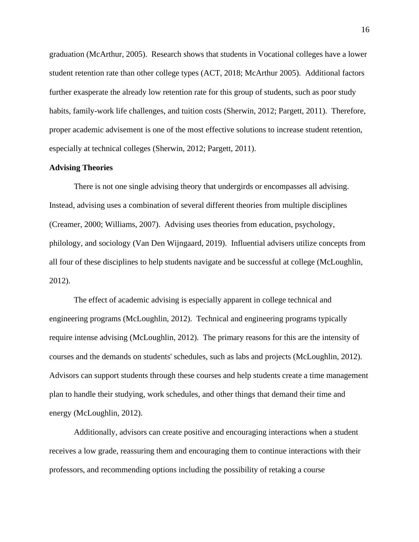graduation (McArthur, 2005). Research shows that students in Vocational colleges have a lower student retention rate than other college types (ACT, 2018; McArthur 2005). Additional factors further exasperate the already low retention rate for this group of students, such as poor study habits, family-work life challenges, and tuition costs (Sherwin, 2012; Pargett, 2011). Therefore, proper academic advisement is one of the most effective solutions to increase student retention, especially at technical colleges (Sherwin, 2012; Pargett, 2011).

#### **Advising Theories**

There is not one single advising theory that undergirds or encompasses all advising. Instead, advising uses a combination of several different theories from multiple disciplines (Creamer, 2000; Williams, 2007). Advising uses theories from education, psychology, philology, and sociology (Van Den Wijngaard, 2019). Influential advisers utilize concepts from all four of these disciplines to help students navigate and be successful at college (McLoughlin, 2012).

The effect of academic advising is especially apparent in college technical and engineering programs (McLoughlin, 2012). Technical and engineering programs typically require intense advising (McLoughlin, 2012). The primary reasons for this are the intensity of courses and the demands on students' schedules, such as labs and projects (McLoughlin, 2012). Advisors can support students through these courses and help students create a time management plan to handle their studying, work schedules, and other things that demand their time and energy (McLoughlin, 2012).

Additionally, advisors can create positive and encouraging interactions when a student receives a low grade, reassuring them and encouraging them to continue interactions with their professors, and recommending options including the possibility of retaking a course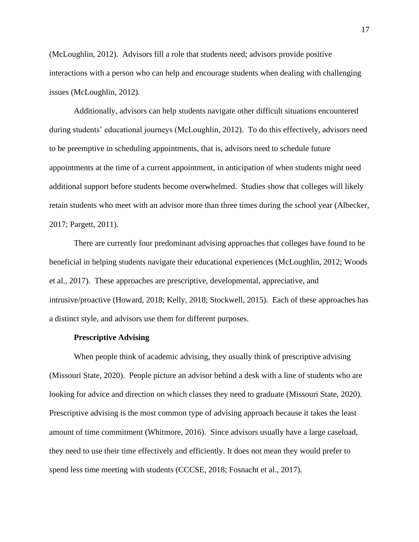(McLoughlin, 2012). Advisors fill a role that students need; advisors provide positive interactions with a person who can help and encourage students when dealing with challenging issues (McLoughlin, 2012).

Additionally, advisors can help students navigate other difficult situations encountered during students' educational journeys (McLoughlin, 2012). To do this effectively, advisors need to be preemptive in scheduling appointments, that is, advisors need to schedule future appointments at the time of a current appointment, in anticipation of when students might need additional support before students become overwhelmed. Studies show that colleges will likely retain students who meet with an advisor more than three times during the school year (Albecker, 2017; Pargett, 2011).

There are currently four predominant advising approaches that colleges have found to be beneficial in helping students navigate their educational experiences (McLoughlin, 2012; Woods et al., 2017). These approaches are prescriptive, developmental, appreciative, and intrusive/proactive (Howard, 2018; Kelly, 2018; Stockwell, 2015). Each of these approaches has a distinct style, and advisors use them for different purposes.

#### **Prescriptive Advising**

When people think of academic advising, they usually think of prescriptive advising (Missouri State, 2020). People picture an advisor behind a desk with a line of students who are looking for advice and direction on which classes they need to graduate (Missouri State, 2020). Prescriptive advising is the most common type of advising approach because it takes the least amount of time commitment (Whitmore, 2016). Since advisors usually have a large caseload, they need to use their time effectively and efficiently. It does not mean they would prefer to spend less time meeting with students (CCCSE, 2018; Fosnacht et al., 2017).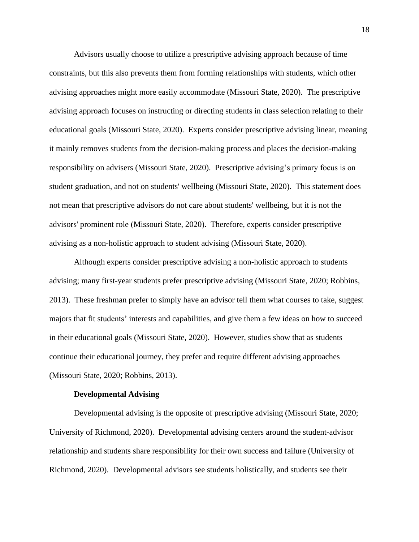Advisors usually choose to utilize a prescriptive advising approach because of time constraints, but this also prevents them from forming relationships with students, which other advising approaches might more easily accommodate (Missouri State, 2020). The prescriptive advising approach focuses on instructing or directing students in class selection relating to their educational goals (Missouri State, 2020). Experts consider prescriptive advising linear, meaning it mainly removes students from the decision-making process and places the decision-making responsibility on advisers (Missouri State, 2020). Prescriptive advising's primary focus is on student graduation, and not on students' wellbeing (Missouri State, 2020). This statement does not mean that prescriptive advisors do not care about students' wellbeing, but it is not the advisors' prominent role (Missouri State, 2020). Therefore, experts consider prescriptive advising as a non-holistic approach to student advising (Missouri State, 2020).

Although experts consider prescriptive advising a non-holistic approach to students advising; many first-year students prefer prescriptive advising (Missouri State, 2020; Robbins, 2013). These freshman prefer to simply have an advisor tell them what courses to take, suggest majors that fit students' interests and capabilities, and give them a few ideas on how to succeed in their educational goals (Missouri State, 2020). However, studies show that as students continue their educational journey, they prefer and require different advising approaches (Missouri State, 2020; Robbins, 2013).

#### **Developmental Advising**

Developmental advising is the opposite of prescriptive advising (Missouri State, 2020; University of Richmond, 2020). Developmental advising centers around the student-advisor relationship and students share responsibility for their own success and failure (University of Richmond, 2020). Developmental advisors see students holistically, and students see their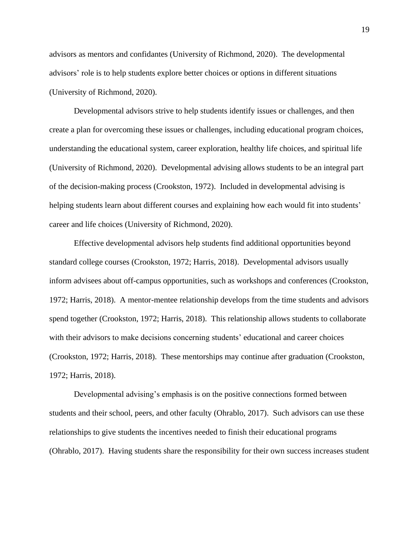advisors as mentors and confidantes (University of Richmond, 2020). The developmental advisors' role is to help students explore better choices or options in different situations (University of Richmond, 2020).

Developmental advisors strive to help students identify issues or challenges, and then create a plan for overcoming these issues or challenges, including educational program choices, understanding the educational system, career exploration, healthy life choices, and spiritual life (University of Richmond, 2020). Developmental advising allows students to be an integral part of the decision-making process (Crookston, 1972). Included in developmental advising is helping students learn about different courses and explaining how each would fit into students' career and life choices (University of Richmond, 2020).

Effective developmental advisors help students find additional opportunities beyond standard college courses (Crookston, 1972; Harris, 2018). Developmental advisors usually inform advisees about off-campus opportunities, such as workshops and conferences (Crookston, 1972; Harris, 2018). A mentor-mentee relationship develops from the time students and advisors spend together (Crookston, 1972; Harris, 2018). This relationship allows students to collaborate with their advisors to make decisions concerning students' educational and career choices (Crookston, 1972; Harris, 2018). These mentorships may continue after graduation (Crookston, 1972; Harris, 2018).

Developmental advising's emphasis is on the positive connections formed between students and their school, peers, and other faculty (Ohrablo, 2017). Such advisors can use these relationships to give students the incentives needed to finish their educational programs (Ohrablo, 2017). Having students share the responsibility for their own success increases student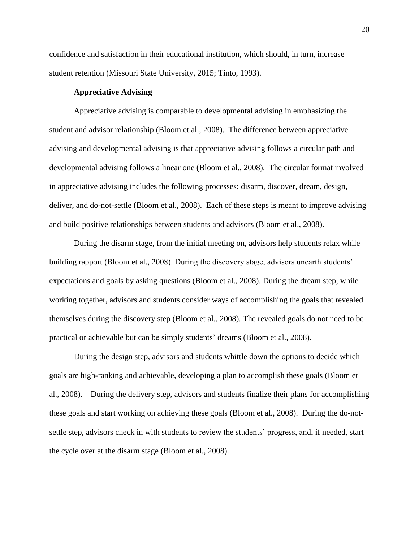confidence and satisfaction in their educational institution, which should, in turn, increase student retention (Missouri State University, 2015; Tinto, 1993).

#### **Appreciative Advising**

Appreciative advising is comparable to developmental advising in emphasizing the student and advisor relationship (Bloom et al., 2008). The difference between appreciative advising and developmental advising is that appreciative advising follows a circular path and developmental advising follows a linear one (Bloom et al., 2008). The circular format involved in appreciative advising includes the following processes: disarm, discover, dream, design, deliver, and do-not-settle (Bloom et al., 2008). Each of these steps is meant to improve advising and build positive relationships between students and advisors (Bloom et al., 2008).

During the disarm stage, from the initial meeting on, advisors help students relax while building rapport (Bloom et al., 2008). During the discovery stage, advisors unearth students' expectations and goals by asking questions (Bloom et al., 2008). During the dream step, while working together, advisors and students consider ways of accomplishing the goals that revealed themselves during the discovery step (Bloom et al., 2008). The revealed goals do not need to be practical or achievable but can be simply students' dreams (Bloom et al., 2008).

During the design step, advisors and students whittle down the options to decide which goals are high-ranking and achievable, developing a plan to accomplish these goals (Bloom et al., 2008). During the delivery step, advisors and students finalize their plans for accomplishing these goals and start working on achieving these goals (Bloom et al., 2008). During the do-notsettle step, advisors check in with students to review the students' progress, and, if needed, start the cycle over at the disarm stage (Bloom et al., 2008).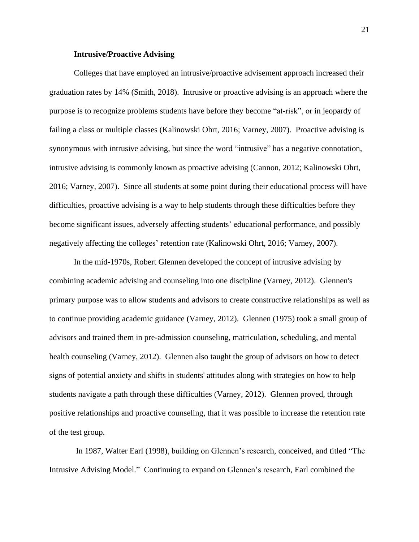#### **Intrusive/Proactive Advising**

Colleges that have employed an intrusive/proactive advisement approach increased their graduation rates by 14% (Smith, 2018). Intrusive or proactive advising is an approach where the purpose is to recognize problems students have before they become "at-risk", or in jeopardy of failing a class or multiple classes [\(Kalinowski Ohrt,](about:blank#ohrt) 2016; Varney, 2007). Proactive advising is synonymous with intrusive advising, but since the word "intrusive" has a negative connotation, intrusive advising is commonly known as proactive advising (Cannon, 2012; [Kalinowski Ohrt,](about:blank#ohrt) 2016; Varney, 2007). Since all students at some point during their educational process will have difficulties, proactive advising is a way to help students through these difficulties before they become significant issues, adversely affecting students' educational performance, and possibly negatively affecting the colleges' retention rate [\(Kalinowski Ohrt,](about:blank#ohrt) 2016; Varney, 2007).

In the mid-1970s, Robert Glennen developed the concept of intrusive advising by combining academic advising and counseling into one discipline (Varney, 2012). Glennen's primary purpose was to allow students and advisors to create constructive relationships as well as to continue providing academic guidance (Varney, 2012). Glennen (1975) took a small group of advisors and trained them in pre-admission counseling, matriculation, scheduling, and mental health counseling (Varney, 2012). Glennen also taught the group of advisors on how to detect signs of potential anxiety and shifts in students' attitudes along with strategies on how to help students navigate a path through these difficulties (Varney, 2012). Glennen proved, through positive relationships and proactive counseling, that it was possible to increase the retention rate of the test group.

In 1987, Walter Earl (1998), building on Glennen's research, conceived, and titled "The Intrusive Advising Model." Continuing to expand on Glennen's research, Earl combined the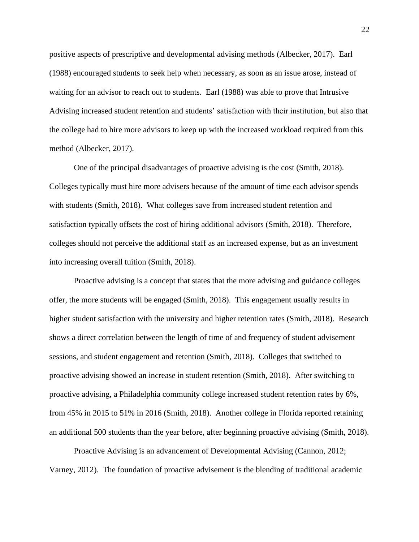positive aspects of prescriptive and developmental advising methods (Albecker, 2017). Earl (1988) encouraged students to seek help when necessary, as soon as an issue arose, instead of waiting for an advisor to reach out to students. Earl (1988) was able to prove that Intrusive Advising increased student retention and students' satisfaction with their institution, but also that the college had to hire more advisors to keep up with the increased workload required from this method (Albecker, 2017).

One of the principal disadvantages of proactive advising is the cost (Smith, 2018). Colleges typically must hire more advisers because of the amount of time each advisor spends with students (Smith, 2018). What colleges save from increased student retention and satisfaction typically offsets the cost of hiring additional advisors (Smith, 2018). Therefore, colleges should not perceive the additional staff as an increased expense, but as an investment into increasing overall tuition (Smith, 2018).

Proactive advising is a concept that states that the more advising and guidance colleges offer, the more students will be engaged (Smith, 2018). This engagement usually results in higher student satisfaction with the university and higher retention rates (Smith, 2018). Research shows a direct correlation between the length of time of and frequency of student advisement sessions, and student engagement and retention (Smith, 2018). Colleges that switched to proactive advising showed an increase in student retention (Smith, 2018). After switching to proactive advising, a Philadelphia community college increased student retention rates by 6%, from 45% in 2015 to 51% in 2016 (Smith, 2018). Another college in Florida reported retaining an additional 500 students than the year before, after beginning proactive advising (Smith, 2018).

Proactive Advising is an advancement of Developmental Advising (Cannon, 2012; Varney, 2012). The foundation of proactive advisement is the blending of traditional academic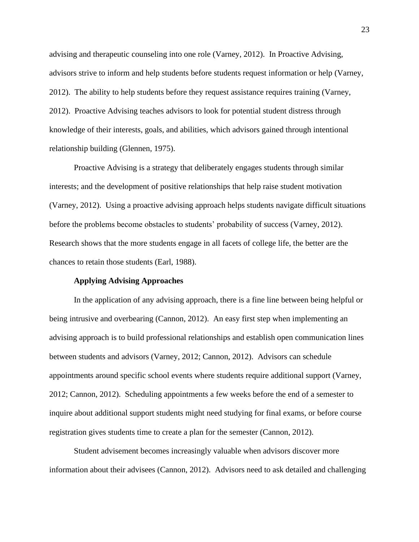advising and therapeutic counseling into one role (Varney, 2012). In Proactive Advising, advisors strive to inform and help students before students request information or help (Varney, 2012). The ability to help students before they request assistance requires training (Varney, 2012). Proactive Advising teaches advisors to look for potential student distress through knowledge of their interests, goals, and abilities, which advisors gained through intentional relationship building (Glennen, 1975).

Proactive Advising is a strategy that deliberately engages students through similar interests; and the development of positive relationships that help raise student motivation (Varney, 2012). Using a proactive advising approach helps students navigate difficult situations before the problems become obstacles to students' probability of success (Varney, 2012). Research shows that the more students engage in all facets of college life, the better are the chances to retain those students (Earl, 1988).

#### **Applying Advising Approaches**

In the application of any advising approach, there is a fine line between being helpful or being intrusive and overbearing (Cannon, 2012). An easy first step when implementing an advising approach is to build professional relationships and establish open communication lines between students and advisors (Varney, 2012; Cannon, 2012). Advisors can schedule appointments around specific school events where students require additional support (Varney, 2012; Cannon, 2012). Scheduling appointments a few weeks before the end of a semester to inquire about additional support students might need studying for final exams, or before course registration gives students time to create a plan for the semester (Cannon, 2012).

Student advisement becomes increasingly valuable when advisors discover more information about their advisees (Cannon, 2012). Advisors need to ask detailed and challenging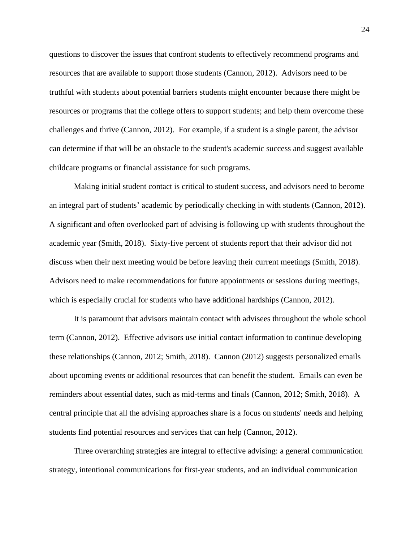questions to discover the issues that confront students to effectively recommend programs and resources that are available to support those students (Cannon, 2012). Advisors need to be truthful with students about potential barriers students might encounter because there might be resources or programs that the college offers to support students; and help them overcome these challenges and thrive (Cannon, 2012). For example, if a student is a single parent, the advisor can determine if that will be an obstacle to the student's academic success and suggest available childcare programs or financial assistance for such programs.

Making initial student contact is critical to student success, and advisors need to become an integral part of students' academic by periodically checking in with students (Cannon, 2012). A significant and often overlooked part of advising is following up with students throughout the academic year (Smith, 2018). Sixty-five percent of students report that their advisor did not discuss when their next meeting would be before leaving their current meetings (Smith, 2018). Advisors need to make recommendations for future appointments or sessions during meetings, which is especially crucial for students who have additional hardships (Cannon, 2012).

It is paramount that advisors maintain contact with advisees throughout the whole school term (Cannon, 2012). Effective advisors use initial contact information to continue developing these relationships (Cannon, 2012; Smith, 2018). Cannon (2012) suggests personalized emails about upcoming events or additional resources that can benefit the student. Emails can even be reminders about essential dates, such as mid-terms and finals (Cannon, 2012; Smith, 2018). A central principle that all the advising approaches share is a focus on students' needs and helping students find potential resources and services that can help (Cannon, 2012).

Three overarching strategies are integral to effective advising: a general communication strategy, intentional communications for first-year students, and an individual communication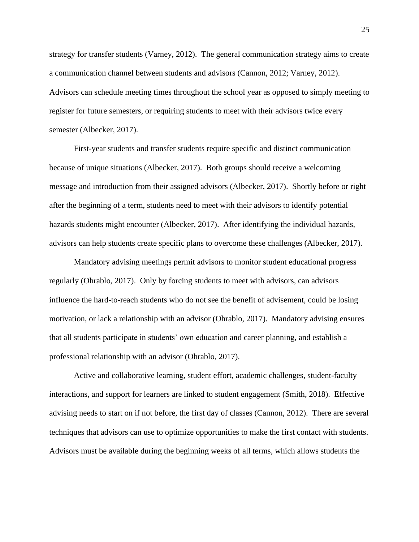strategy for transfer students (Varney, 2012). The general communication strategy aims to create a communication channel between students and advisors (Cannon, 2012; Varney, 2012). Advisors can schedule meeting times throughout the school year as opposed to simply meeting to register for future semesters, or requiring students to meet with their advisors twice every semester (Albecker, 2017).

First-year students and transfer students require specific and distinct communication because of unique situations (Albecker, 2017). Both groups should receive a welcoming message and introduction from their assigned advisors (Albecker, 2017). Shortly before or right after the beginning of a term, students need to meet with their advisors to identify potential hazards students might encounter (Albecker, 2017). After identifying the individual hazards, advisors can help students create specific plans to overcome these challenges (Albecker, 2017).

Mandatory advising meetings permit advisors to monitor student educational progress regularly (Ohrablo, 2017). Only by forcing students to meet with advisors, can advisors influence the hard-to-reach students who do not see the benefit of advisement, could be losing motivation, or lack a relationship with an advisor (Ohrablo, 2017). Mandatory advising ensures that all students participate in students' own education and career planning, and establish a professional relationship with an advisor (Ohrablo, 2017).

Active and collaborative learning, student effort, academic challenges, student-faculty interactions, and support for learners are linked to student engagement (Smith, 2018). Effective advising needs to start on if not before, the first day of classes (Cannon, 2012). There are several techniques that advisors can use to optimize opportunities to make the first contact with students. Advisors must be available during the beginning weeks of all terms, which allows students the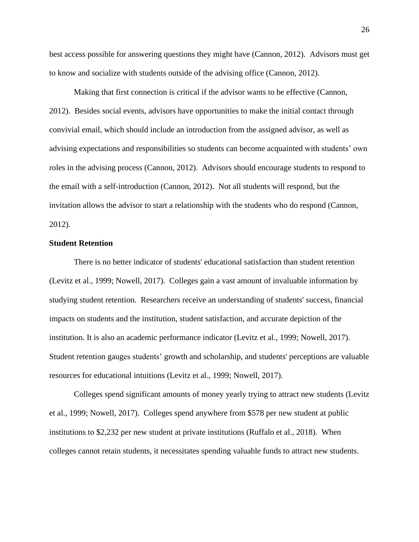best access possible for answering questions they might have (Cannon, 2012). Advisors must get to know and socialize with students outside of the advising office (Cannon, 2012).

Making that first connection is critical if the advisor wants to be effective (Cannon, 2012). Besides social events, advisors have opportunities to make the initial contact through convivial email, which should include an introduction from the assigned advisor, as well as advising expectations and responsibilities so students can become acquainted with students' own roles in the advising process (Cannon, 2012). Advisors should encourage students to respond to the email with a self-introduction (Cannon, 2012). Not all students will respond, but the invitation allows the advisor to start a relationship with the students who do respond (Cannon, 2012).

#### **Student Retention**

There is no better indicator of students' educational satisfaction than student retention (Levitz et al., 1999; Nowell, 2017). Colleges gain a vast amount of invaluable information by studying student retention. Researchers receive an understanding of students' success, financial impacts on students and the institution, student satisfaction, and accurate depiction of the institution. It is also an academic performance indicator (Levitz et al., 1999; Nowell, 2017). Student retention gauges students' growth and scholarship, and students' perceptions are valuable resources for educational intuitions (Levitz et al., 1999; Nowell, 2017).

Colleges spend significant amounts of money yearly trying to attract new students (Levitz et al., 1999; Nowell, 2017). Colleges spend anywhere from \$578 per new student at public institutions to \$2,232 per new student at private institutions (Ruffalo et al., 2018). When colleges cannot retain students, it necessitates spending valuable funds to attract new students.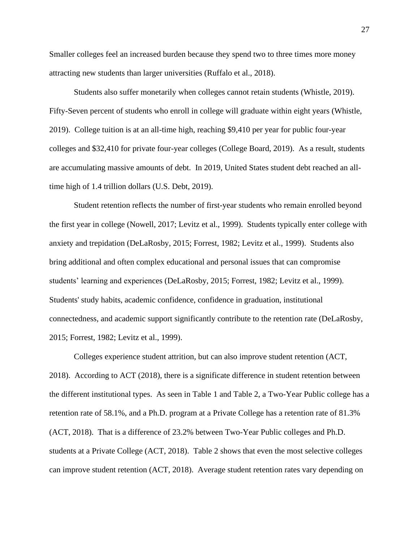Smaller colleges feel an increased burden because they spend two to three times more money attracting new students than larger universities (Ruffalo et al., 2018).

Students also suffer monetarily when colleges cannot retain students (Whistle, 2019). Fifty-Seven percent of students who enroll in college will graduate within eight years (Whistle, 2019). College tuition is at an all-time high, reaching \$9,410 per year for public four-year colleges and \$32,410 for private four-year colleges (College Board, 2019). As a result, students are accumulating massive amounts of debt. In 2019, United States student debt reached an alltime high of 1.4 trillion dollars (U.S. Debt, 2019).

Student retention reflects the number of first-year students who remain enrolled beyond the first year in college (Nowell, 2017; Levitz et al., 1999). Students typically enter college with anxiety and trepidation (DeLaRosby, 2015; Forrest, 1982; Levitz et al., 1999). Students also bring additional and often complex educational and personal issues that can compromise students' learning and experiences (DeLaRosby, 2015; Forrest, 1982; Levitz et al., 1999). Students' study habits, academic confidence, confidence in graduation, institutional connectedness, and academic support significantly contribute to the retention rate (DeLaRosby, 2015; Forrest, 1982; Levitz et al., 1999).

Colleges experience student attrition, but can also improve student retention (ACT, 2018). According to ACT (2018), there is a significate difference in student retention between the different institutional types. As seen in Table 1 and Table 2, a Two-Year Public college has a retention rate of 58.1%, and a Ph.D. program at a Private College has a retention rate of 81.3% (ACT, 2018). That is a difference of 23.2% between Two-Year Public colleges and Ph.D. students at a Private College (ACT, 2018). Table 2 shows that even the most selective colleges can improve student retention (ACT, 2018). Average student retention rates vary depending on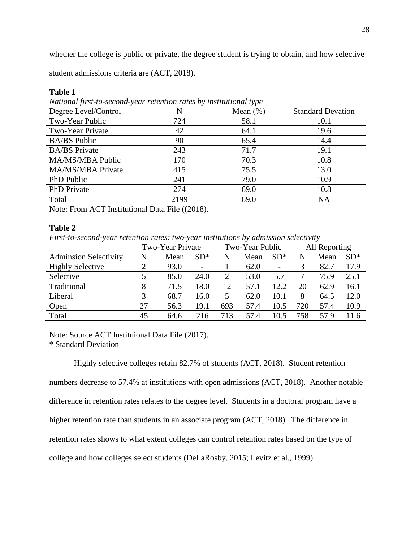whether the college is public or private, the degree student is trying to obtain, and how selective

student admissions criteria are (ACT, 2018).

| National first-to-second-year retention rates by institutional type |      |             |                          |  |
|---------------------------------------------------------------------|------|-------------|--------------------------|--|
| Degree Level/Control                                                |      | Mean $(\%)$ | <b>Standard Devation</b> |  |
| Two-Year Public                                                     | 724  | 58.1        | 10.1                     |  |
| Two-Year Private                                                    | 42   | 64.1        | 19.6                     |  |
| <b>BA/BS</b> Public                                                 | 90   | 65.4        | 14.4                     |  |
| <b>BA/BS</b> Private                                                | 243  | 71.7        | 19.1                     |  |
| MA/MS/MBA Public                                                    | 170  | 70.3        | 10.8                     |  |
| MA/MS/MBA Private                                                   | 415  | 75.5        | 13.0                     |  |
| PhD Public                                                          | 241  | 79.0        | 10.9                     |  |
| <b>PhD</b> Private                                                  | 274  | 69.0        | 10.8                     |  |
| Total                                                               | 2199 | 69.0        | <b>NA</b>                |  |

#### **Table 1**

*National first-to-second-year retention rates by institutional type*

Note: From ACT Institutional Data File ((2018).

### **Table 2**

*First-to-second-year retention rates: two-year institutions by admission selectivity*

|                              | Two-Year Private |      |                          | Two-Year Public |      | All Reporting            |     |      |       |
|------------------------------|------------------|------|--------------------------|-----------------|------|--------------------------|-----|------|-------|
| <b>Adminsion Selectivity</b> |                  | Mean | $SD*$                    | N               | Mean | $SD*$                    | N   | Mean | $SD*$ |
| <b>Highly Selective</b>      |                  | 93.0 | $\overline{\phantom{a}}$ |                 | 62.0 | $\overline{\phantom{a}}$ |     | 82.7 | 17.9  |
| Selective                    |                  | 85.0 | 24.0                     | $\overline{2}$  | 53.0 | 5.7                      |     | 75.9 | 25.1  |
| Traditional                  |                  | 71.5 | 18.0                     | 12              | 57.1 | 12.2                     | 20  | 62.9 | 16.1  |
| Liberal                      | 3                | 68.7 | 16.0                     | 5               | 62.0 | 10.1                     | 8   | 64.5 | 12.0  |
| Open                         | 27               | 56.3 | 19.1                     | 693             | 57.4 | 10.5                     | 720 | 57.4 | 10.9  |
| Total                        | 45               | 64.6 | 216                      | 713             | 57.4 | 10.5                     | 758 | 57.9 | 11.6  |

Note: Source ACT Instituional Data File (2017).

\* Standard Deviation

Highly selective colleges retain 82.7% of students (ACT, 2018). Student retention

numbers decrease to 57.4% at institutions with open admissions (ACT, 2018). Another notable difference in retention rates relates to the degree level. Students in a doctoral program have a higher retention rate than students in an associate program (ACT, 2018). The difference in retention rates shows to what extent colleges can control retention rates based on the type of college and how colleges select students (DeLaRosby, 2015; Levitz et al., 1999).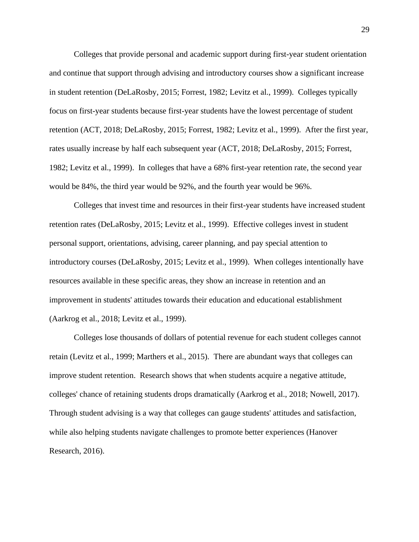Colleges that provide personal and academic support during first-year student orientation and continue that support through advising and introductory courses show a significant increase in student retention (DeLaRosby, 2015; Forrest, 1982; Levitz et al., 1999). Colleges typically focus on first-year students because first-year students have the lowest percentage of student retention (ACT, 2018; DeLaRosby, 2015; Forrest, 1982; Levitz et al., 1999). After the first year, rates usually increase by half each subsequent year (ACT, 2018; DeLaRosby, 2015; Forrest, 1982; Levitz et al., 1999). In colleges that have a 68% first-year retention rate, the second year would be 84%, the third year would be 92%, and the fourth year would be 96%.

Colleges that invest time and resources in their first-year students have increased student retention rates (DeLaRosby, 2015; Levitz et al., 1999). Effective colleges invest in student personal support, orientations, advising, career planning, and pay special attention to introductory courses (DeLaRosby, 2015; Levitz et al., 1999). When colleges intentionally have resources available in these specific areas, they show an increase in retention and an improvement in students' attitudes towards their education and educational establishment (Aarkrog et al., 2018; Levitz et al., 1999).

Colleges lose thousands of dollars of potential revenue for each student colleges cannot retain (Levitz et al., 1999; Marthers et al., 2015). There are abundant ways that colleges can improve student retention. Research shows that when students acquire a negative attitude, colleges' chance of retaining students drops dramatically (Aarkrog et al., 2018; Nowell, 2017). Through student advising is a way that colleges can gauge students' attitudes and satisfaction, while also helping students navigate challenges to promote better experiences (Hanover Research, 2016).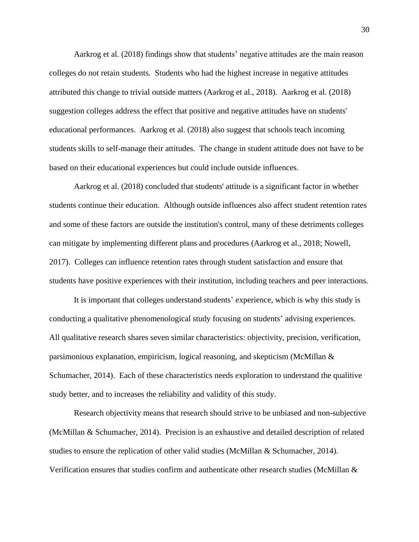Aarkrog et al. (2018) findings show that students' negative attitudes are the main reason colleges do not retain students. Students who had the highest increase in negative attitudes attributed this change to trivial outside matters (Aarkrog et al., 2018). Aarkrog et al. (2018) suggestion colleges address the effect that positive and negative attitudes have on students' educational performances. Aarkrog et al. (2018) also suggest that schools teach incoming students skills to self-manage their attitudes. The change in student attitude does not have to be based on their educational experiences but could include outside influences.

Aarkrog et al. (2018) concluded that students' attitude is a significant factor in whether students continue their education. Although outside influences also affect student retention rates and some of these factors are outside the institution's control, many of these detriments colleges can mitigate by implementing different plans and procedures (Aarkrog et al., 2018; Nowell, 2017). Colleges can influence retention rates through student satisfaction and ensure that students have positive experiences with their institution, including teachers and peer interactions.

It is important that colleges understand students' experience, which is why this study is conducting a qualitative phenomenological study focusing on students' advising experiences. All qualitative research shares seven similar characteristics: objectivity, precision, verification, parsimonious explanation, empiricism, logical reasoning, and skepticism (McMillan & Schumacher, 2014). Each of these characteristics needs exploration to understand the qualitive study better, and to increases the reliability and validity of this study.

Research objectivity means that research should strive to be unbiased and non-subjective (McMillan & Schumacher, 2014). Precision is an exhaustive and detailed description of related studies to ensure the replication of other valid studies (McMillan & Schumacher, 2014). Verification ensures that studies confirm and authenticate other research studies (McMillan &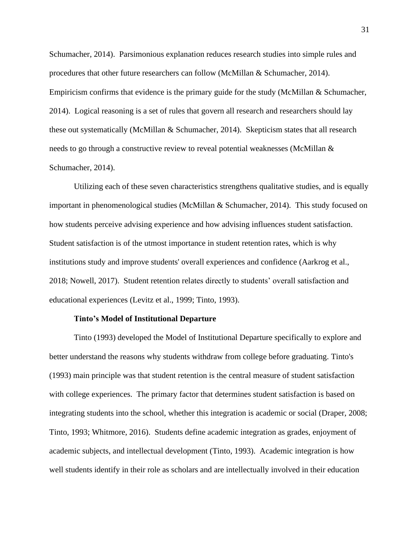Schumacher, 2014). Parsimonious explanation reduces research studies into simple rules and procedures that other future researchers can follow (McMillan & Schumacher, 2014). Empiricism confirms that evidence is the primary guide for the study (McMillan & Schumacher, 2014). Logical reasoning is a set of rules that govern all research and researchers should lay these out systematically (McMillan & Schumacher, 2014). Skepticism states that all research needs to go through a constructive review to reveal potential weaknesses (McMillan & Schumacher, 2014).

Utilizing each of these seven characteristics strengthens qualitative studies, and is equally important in phenomenological studies (McMillan & Schumacher, 2014). This study focused on how students perceive advising experience and how advising influences student satisfaction. Student satisfaction is of the utmost importance in student retention rates, which is why institutions study and improve students' overall experiences and confidence (Aarkrog et al., 2018; Nowell, 2017). Student retention relates directly to students' overall satisfaction and educational experiences (Levitz et al., 1999; Tinto, 1993).

#### **Tinto's Model of Institutional Departure**

Tinto (1993) developed the Model of Institutional Departure specifically to explore and better understand the reasons why students withdraw from college before graduating. Tinto's (1993) main principle was that student retention is the central measure of student satisfaction with college experiences. The primary factor that determines student satisfaction is based on integrating students into the school, whether this integration is academic or social (Draper, 2008; Tinto, 1993; Whitmore, 2016). Students define academic integration as grades, enjoyment of academic subjects, and intellectual development (Tinto, 1993). Academic integration is how well students identify in their role as scholars and are intellectually involved in their education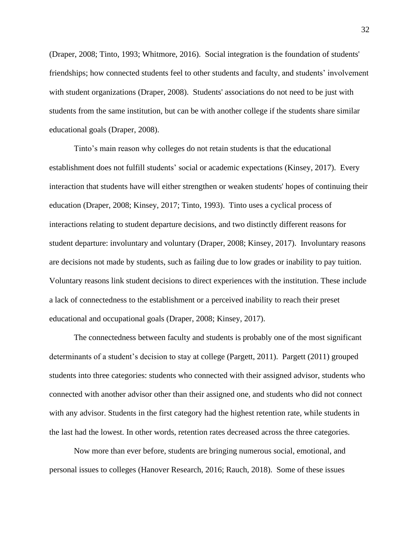(Draper, 2008; Tinto, 1993; Whitmore, 2016). Social integration is the foundation of students' friendships; how connected students feel to other students and faculty, and students' involvement with student organizations (Draper, 2008). Students' associations do not need to be just with students from the same institution, but can be with another college if the students share similar educational goals (Draper, 2008).

Tinto's main reason why colleges do not retain students is that the educational establishment does not fulfill students' social or academic expectations (Kinsey, 2017). Every interaction that students have will either strengthen or weaken students' hopes of continuing their education (Draper, 2008; Kinsey, 2017; Tinto, 1993). Tinto uses a cyclical process of interactions relating to student departure decisions, and two distinctly different reasons for student departure: involuntary and voluntary (Draper, 2008; Kinsey, 2017). Involuntary reasons are decisions not made by students, such as failing due to low grades or inability to pay tuition. Voluntary reasons link student decisions to direct experiences with the institution. These include a lack of connectedness to the establishment or a perceived inability to reach their preset educational and occupational goals (Draper, 2008; Kinsey, 2017).

The connectedness between faculty and students is probably one of the most significant determinants of a student's decision to stay at college (Pargett, 2011). Pargett (2011) grouped students into three categories: students who connected with their assigned advisor, students who connected with another advisor other than their assigned one, and students who did not connect with any advisor. Students in the first category had the highest retention rate, while students in the last had the lowest. In other words, retention rates decreased across the three categories.

Now more than ever before, students are bringing numerous social, emotional, and personal issues to colleges (Hanover Research, 2016; Rauch, 2018). Some of these issues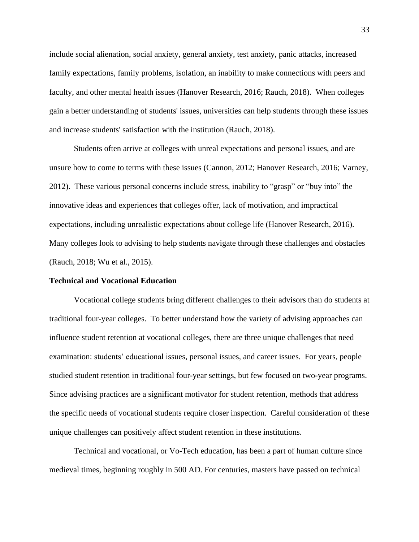include social alienation, social anxiety, general anxiety, test anxiety, panic attacks, increased family expectations, family problems, isolation, an inability to make connections with peers and faculty, and other mental health issues (Hanover Research, 2016; Rauch, 2018). When colleges gain a better understanding of students' issues, universities can help students through these issues and increase students' satisfaction with the institution (Rauch, 2018).

Students often arrive at colleges with unreal expectations and personal issues, and are unsure how to come to terms with these issues (Cannon, 2012; Hanover Research, 2016; Varney, 2012). These various personal concerns include stress, inability to "grasp" or "buy into" the innovative ideas and experiences that colleges offer, lack of motivation, and impractical expectations, including unrealistic expectations about college life (Hanover Research, 2016). Many colleges look to advising to help students navigate through these challenges and obstacles (Rauch, 2018; Wu et al., 2015).

#### **Technical and Vocational Education**

Vocational college students bring different challenges to their advisors than do students at traditional four-year colleges. To better understand how the variety of advising approaches can influence student retention at vocational colleges, there are three unique challenges that need examination: students' educational issues, personal issues, and career issues. For years, people studied student retention in traditional four-year settings, but few focused on two-year programs. Since advising practices are a significant motivator for student retention, methods that address the specific needs of vocational students require closer inspection. Careful consideration of these unique challenges can positively affect student retention in these institutions.

Technical and vocational, or Vo-Tech education, has been a part of human culture since medieval times, beginning roughly in 500 AD. For centuries, masters have passed on technical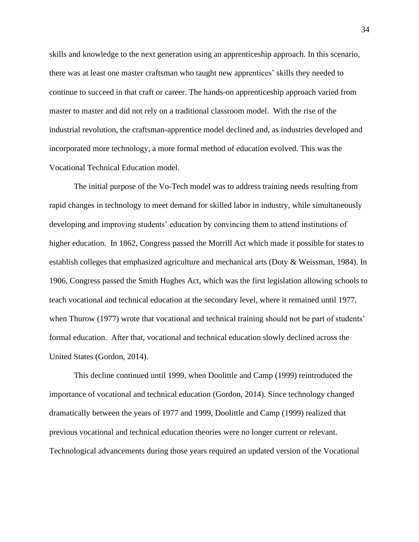skills and knowledge to the next generation using an apprenticeship approach. In this scenario, there was at least one master craftsman who taught new apprentices' skills they needed to continue to succeed in that craft or career. The hands-on apprenticeship approach varied from master to master and did not rely on a traditional classroom model. With the rise of the industrial revolution, the craftsman-apprentice model declined and, as industries developed and incorporated more technology, a more formal method of education evolved. This was the Vocational Technical Education model.

The initial purpose of the Vo-Tech model was to address training needs resulting from rapid changes in technology to meet demand for skilled labor in industry, while simultaneously developing and improving students' education by convincing them to attend institutions of higher education. In 1862, Congress passed the Morrill Act which made it possible for states to establish colleges that emphasized agriculture and mechanical arts (Doty & Weissman, 1984). In 1906, Congress passed the Smith Hughes Act, which was the first legislation allowing schools to teach vocational and technical education at the secondary level, where it remained until 1977, when Thurow (1977) wrote that vocational and technical training should not be part of students' formal education. After that, vocational and technical education slowly declined across the United States (Gordon, 2014).

This decline continued until 1999, when Doolittle and Camp (1999) reintroduced the importance of vocational and technical education (Gordon, 2014). Since technology changed dramatically between the years of 1977 and 1999, Doolittle and Camp (1999) realized that previous vocational and technical education theories were no longer current or relevant. Technological advancements during those years required an updated version of the Vocational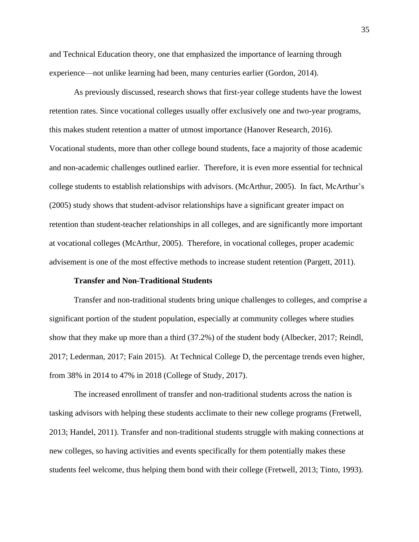and Technical Education theory, one that emphasized the importance of learning through experience—not unlike learning had been, many centuries earlier (Gordon, 2014).

As previously discussed, research shows that first-year college students have the lowest retention rates. Since vocational colleges usually offer exclusively one and two-year programs, this makes student retention a matter of utmost importance (Hanover Research, 2016). Vocational students, more than other college bound students, face a majority of those academic and non-academic challenges outlined earlier. Therefore, it is even more essential for technical college students to establish relationships with advisors. (McArthur, 2005). In fact, McArthur's (2005) study shows that student-advisor relationships have a significant greater impact on retention than student-teacher relationships in all colleges, and are significantly more important at vocational colleges (McArthur, 2005). Therefore, in vocational colleges, proper academic advisement is one of the most effective methods to increase student retention (Pargett, 2011).

#### **Transfer and Non-Traditional Students**

Transfer and non-traditional students bring unique challenges to colleges, and comprise a significant portion of the student population, especially at community colleges where studies show that they make up more than a third (37.2%) of the student body (Albecker, 2017; Reindl, 2017; Lederman, 2017; Fain 2015). At Technical College D, the percentage trends even higher, from 38% in 2014 to 47% in 2018 (College of Study, 2017).

The increased enrollment of transfer and non-traditional students across the nation is tasking advisors with helping these students acclimate to their new college programs (Fretwell, 2013; Handel, 2011). Transfer and non-traditional students struggle with making connections at new colleges, so having activities and events specifically for them potentially makes these students feel welcome, thus helping them bond with their college (Fretwell, 2013; Tinto, 1993).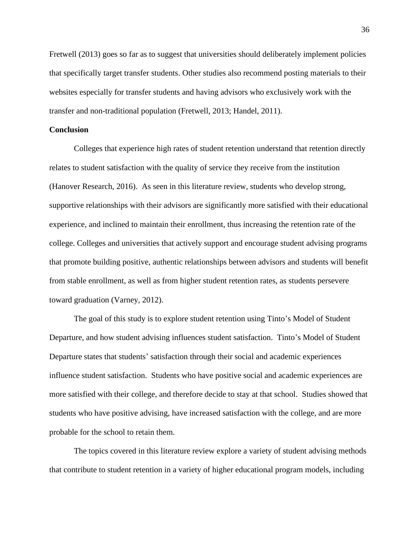Fretwell (2013) goes so far as to suggest that universities should deliberately implement policies that specifically target transfer students. Other studies also recommend posting materials to their websites especially for transfer students and having advisors who exclusively work with the transfer and non-traditional population (Fretwell, 2013; Handel, 2011).

## **Conclusion**

Colleges that experience high rates of student retention understand that retention directly relates to student satisfaction with the quality of service they receive from the institution (Hanover Research, 2016). As seen in this literature review, students who develop strong, supportive relationships with their advisors are significantly more satisfied with their educational experience, and inclined to maintain their enrollment, thus increasing the retention rate of the college. Colleges and universities that actively support and encourage student advising programs that promote building positive, authentic relationships between advisors and students will benefit from stable enrollment, as well as from higher student retention rates, as students persevere toward graduation (Varney, 2012).

The goal of this study is to explore student retention using Tinto's Model of Student Departure, and how student advising influences student satisfaction. Tinto's Model of Student Departure states that students' satisfaction through their social and academic experiences influence student satisfaction. Students who have positive social and academic experiences are more satisfied with their college, and therefore decide to stay at that school. Studies showed that students who have positive advising, have increased satisfaction with the college, and are more probable for the school to retain them.

The topics covered in this literature review explore a variety of student advising methods that contribute to student retention in a variety of higher educational program models, including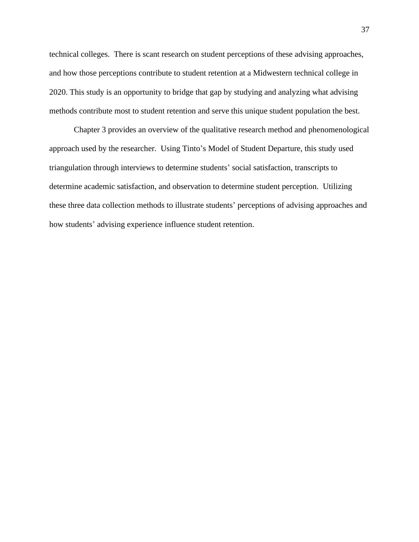technical colleges. There is scant research on student perceptions of these advising approaches, and how those perceptions contribute to student retention at a Midwestern technical college in 2020. This study is an opportunity to bridge that gap by studying and analyzing what advising methods contribute most to student retention and serve this unique student population the best.

Chapter 3 provides an overview of the qualitative research method and phenomenological approach used by the researcher. Using Tinto's Model of Student Departure, this study used triangulation through interviews to determine students' social satisfaction, transcripts to determine academic satisfaction, and observation to determine student perception. Utilizing these three data collection methods to illustrate students' perceptions of advising approaches and how students' advising experience influence student retention.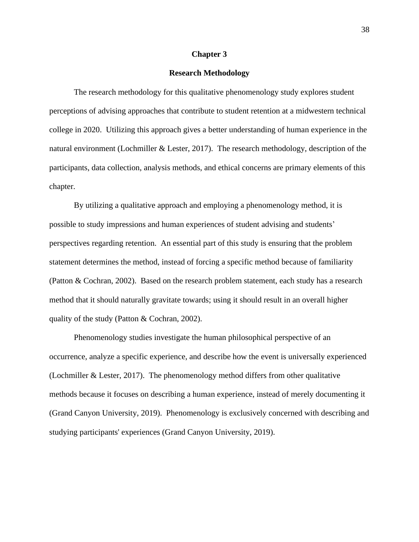#### **Chapter 3**

### **Research Methodology**

The research methodology for this qualitative phenomenology study explores student perceptions of advising approaches that contribute to student retention at a midwestern technical college in 2020. Utilizing this approach gives a better understanding of human experience in the natural environment (Lochmiller & Lester, 2017). The research methodology, description of the participants, data collection, analysis methods, and ethical concerns are primary elements of this chapter.

By utilizing a qualitative approach and employing a phenomenology method, it is possible to study impressions and human experiences of student advising and students' perspectives regarding retention. An essential part of this study is ensuring that the problem statement determines the method, instead of forcing a specific method because of familiarity (Patton & Cochran, 2002). Based on the research problem statement, each study has a research method that it should naturally gravitate towards; using it should result in an overall higher quality of the study (Patton & Cochran, 2002).

Phenomenology studies investigate the human philosophical perspective of an occurrence, analyze a specific experience, and describe how the event is universally experienced (Lochmiller & Lester, 2017). The phenomenology method differs from other qualitative methods because it focuses on describing a human experience, instead of merely documenting it (Grand Canyon University, 2019). Phenomenology is exclusively concerned with describing and studying participants' experiences (Grand Canyon University, 2019).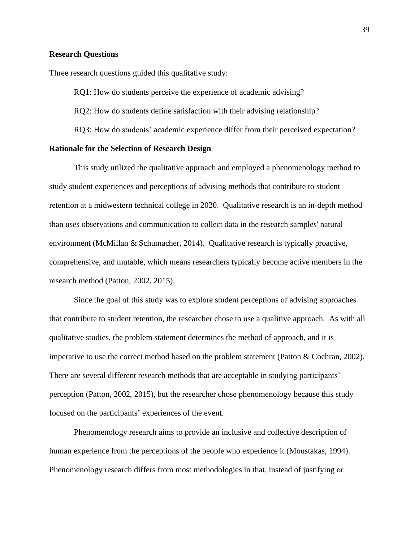#### **Research Questions**

Three research questions guided this qualitative study:

RQ1: How do students perceive the experience of academic advising?

RQ2: How do students define satisfaction with their advising relationship?

RQ3: How do students' academic experience differ from their perceived expectation?

### **Rationale for the Selection of Research Design**

This study utilized the qualitative approach and employed a phenomenology method to study student experiences and perceptions of advising methods that contribute to student retention at a midwestern technical college in 2020. Qualitative research is an in-depth method than uses observations and communication to collect data in the research samples' natural environment (McMillan & Schumacher, 2014). Qualitative research is typically proactive, comprehensive, and mutable, which means researchers typically become active members in the research method (Patton, 2002, 2015).

Since the goal of this study was to explore student perceptions of advising approaches that contribute to student retention, the researcher chose to use a qualitive approach. As with all qualitative studies, the problem statement determines the method of approach, and it is imperative to use the correct method based on the problem statement (Patton & Cochran, 2002). There are several different research methods that are acceptable in studying participants' perception (Patton, 2002, 2015), but the researcher chose phenomenology because this study focused on the participants' experiences of the event.

Phenomenology research aims to provide an inclusive and collective description of human experience from the perceptions of the people who experience it (Moustakas, 1994). Phenomenology research differs from most methodologies in that, instead of justifying or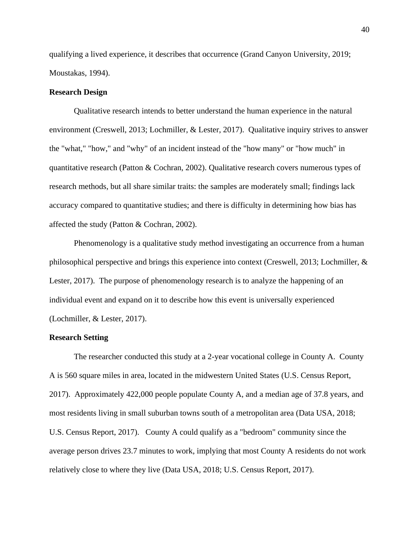qualifying a lived experience, it describes that occurrence (Grand Canyon University, 2019; Moustakas, 1994).

### **Research Design**

Qualitative research intends to better understand the human experience in the natural environment (Creswell, 2013; Lochmiller, & Lester, 2017). Qualitative inquiry strives to answer the "what," "how," and "why" of an incident instead of the "how many" or "how much" in quantitative research (Patton & Cochran, 2002). Qualitative research covers numerous types of research methods, but all share similar traits: the samples are moderately small; findings lack accuracy compared to quantitative studies; and there is difficulty in determining how bias has affected the study (Patton & Cochran, 2002).

Phenomenology is a qualitative study method investigating an occurrence from a human philosophical perspective and brings this experience into context (Creswell, 2013; Lochmiller, & Lester, 2017). The purpose of phenomenology research is to analyze the happening of an individual event and expand on it to describe how this event is universally experienced (Lochmiller, & Lester, 2017).

### **Research Setting**

The researcher conducted this study at a 2-year vocational college in County A. County A is 560 square miles in area, located in the midwestern United States (U.S. Census Report, 2017). Approximately 422,000 people populate County A, and a median age of 37.8 years, and most residents living in small suburban towns south of a metropolitan area (Data USA, 2018; U.S. Census Report, 2017). County A could qualify as a "bedroom" community since the average person drives 23.7 minutes to work, implying that most County A residents do not work relatively close to where they live (Data USA, 2018; U.S. Census Report, 2017).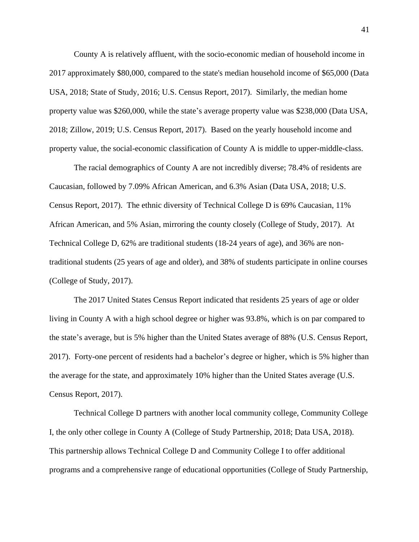County A is relatively affluent, with the socio-economic median of household income in 2017 approximately \$80,000, compared to the state's median household income of \$65,000 (Data USA, 2018; State of Study, 2016; U.S. Census Report, 2017). Similarly, the median home property value was \$260,000, while the state's average property value was \$238,000 (Data USA, 2018; Zillow, 2019; U.S. Census Report, 2017). Based on the yearly household income and property value, the social-economic classification of County A is middle to upper-middle-class.

The racial demographics of County A are not incredibly diverse; 78.4% of residents are Caucasian, followed by 7.09% African American, and 6.3% Asian (Data USA, 2018; U.S. Census Report, 2017). The ethnic diversity of Technical College D is 69% Caucasian, 11% African American, and 5% Asian, mirroring the county closely (College of Study, 2017). At Technical College D, 62% are traditional students (18-24 years of age), and 36% are nontraditional students (25 years of age and older), and 38% of students participate in online courses (College of Study, 2017).

The 2017 United States Census Report indicated that residents 25 years of age or older living in County A with a high school degree or higher was 93.8%, which is on par compared to the state's average, but is 5% higher than the United States average of 88% (U.S. Census Report, 2017). Forty-one percent of residents had a bachelor's degree or higher, which is 5% higher than the average for the state, and approximately 10% higher than the United States average (U.S. Census Report, 2017).

Technical College D partners with another local community college, Community College I, the only other college in County A (College of Study Partnership, 2018; Data USA, 2018). This partnership allows Technical College D and Community College I to offer additional programs and a comprehensive range of educational opportunities (College of Study Partnership,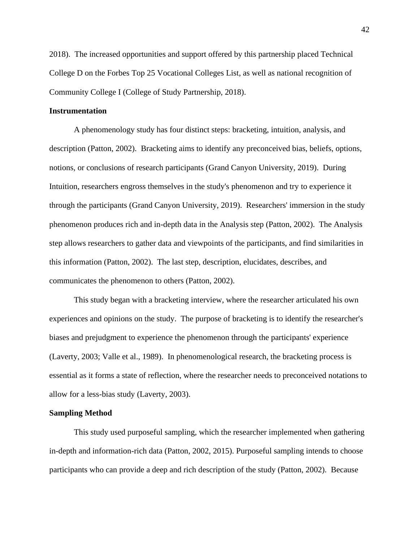2018). The increased opportunities and support offered by this partnership placed Technical College D on the Forbes Top 25 Vocational Colleges List, as well as national recognition of Community College I (College of Study Partnership, 2018).

### **Instrumentation**

A phenomenology study has four distinct steps: bracketing, intuition, analysis, and description (Patton, 2002). Bracketing aims to identify any preconceived bias, beliefs, options, notions, or conclusions of research participants (Grand Canyon University, 2019). During Intuition, researchers engross themselves in the study's phenomenon and try to experience it through the participants (Grand Canyon University, 2019). Researchers' immersion in the study phenomenon produces rich and in-depth data in the Analysis step (Patton, 2002). The Analysis step allows researchers to gather data and viewpoints of the participants, and find similarities in this information (Patton, 2002). The last step, description, elucidates, describes, and communicates the phenomenon to others (Patton, 2002).

This study began with a bracketing interview, where the researcher articulated his own experiences and opinions on the study. The purpose of bracketing is to identify the researcher's biases and prejudgment to experience the phenomenon through the participants' experience (Laverty, 2003; Valle et al., 1989). In phenomenological research, the bracketing process is essential as it forms a state of reflection, where the researcher needs to preconceived notations to allow for a less-bias study (Laverty, 2003).

#### **Sampling Method**

This study used purposeful sampling, which the researcher implemented when gathering in-depth and information-rich data (Patton, 2002, 2015). Purposeful sampling intends to choose participants who can provide a deep and rich description of the study (Patton, 2002). Because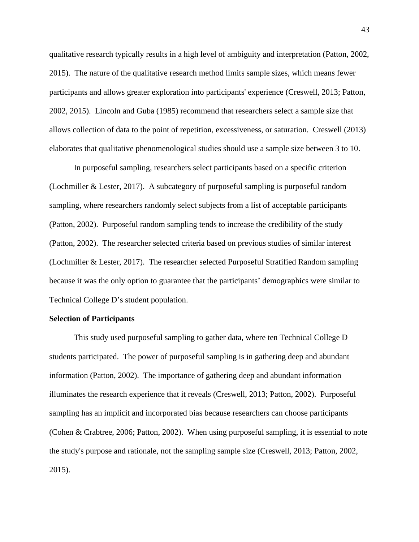qualitative research typically results in a high level of ambiguity and interpretation (Patton, 2002, 2015). The nature of the qualitative research method limits sample sizes, which means fewer participants and allows greater exploration into participants' experience (Creswell, 2013; Patton, 2002, 2015). Lincoln and Guba (1985) recommend that researchers select a sample size that allows collection of data to the point of repetition, excessiveness, or saturation. Creswell (2013) elaborates that qualitative phenomenological studies should use a sample size between 3 to 10.

In purposeful sampling, researchers select participants based on a specific criterion (Lochmiller & Lester, 2017). A subcategory of purposeful sampling is purposeful random sampling, where researchers randomly select subjects from a list of acceptable participants (Patton, 2002). Purposeful random sampling tends to increase the credibility of the study (Patton, 2002). The researcher selected criteria based on previous studies of similar interest (Lochmiller & Lester, 2017). The researcher selected Purposeful Stratified Random sampling because it was the only option to guarantee that the participants' demographics were similar to Technical College D's student population.

#### **Selection of Participants**

This study used purposeful sampling to gather data, where ten Technical College D students participated. The power of purposeful sampling is in gathering deep and abundant information (Patton, 2002). The importance of gathering deep and abundant information illuminates the research experience that it reveals (Creswell, 2013; Patton, 2002). Purposeful sampling has an implicit and incorporated bias because researchers can choose participants (Cohen & Crabtree, 2006; Patton, 2002). When using purposeful sampling, it is essential to note the study's purpose and rationale, not the sampling sample size (Creswell, 2013; Patton, 2002, 2015).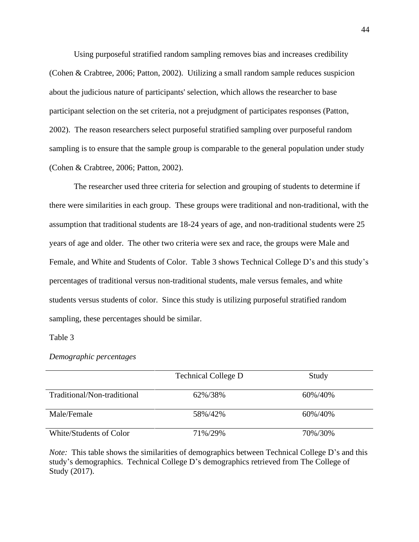Using purposeful stratified random sampling removes bias and increases credibility (Cohen & Crabtree, 2006; Patton, 2002). Utilizing a small random sample reduces suspicion about the judicious nature of participants' selection, which allows the researcher to base participant selection on the set criteria, not a prejudgment of participates responses (Patton, 2002). The reason researchers select purposeful stratified sampling over purposeful random sampling is to ensure that the sample group is comparable to the general population under study (Cohen & Crabtree, 2006; Patton, 2002).

The researcher used three criteria for selection and grouping of students to determine if there were similarities in each group. These groups were traditional and non-traditional, with the assumption that traditional students are 18-24 years of age, and non-traditional students were 25 years of age and older. The other two criteria were sex and race, the groups were Male and Female, and White and Students of Color. Table 3 shows Technical College D's and this study's percentages of traditional versus non-traditional students, male versus females, and white students versus students of color. Since this study is utilizing purposeful stratified random sampling, these percentages should be similar.

#### Table 3

#### *Demographic percentages*

|                             | <b>Technical College D</b> | Study   |
|-----------------------------|----------------------------|---------|
|                             |                            |         |
| Traditional/Non-traditional | 62%/38%                    | 60%/40% |
|                             |                            |         |
| Male/Female                 | 58%/42%                    | 60%/40% |
|                             |                            |         |
| White/Students of Color     | 71%/29%                    | 70%/30% |
|                             |                            |         |

*Note:* This table shows the similarities of demographics between Technical College D's and this study's demographics. Technical College D's demographics retrieved from The College of Study (2017).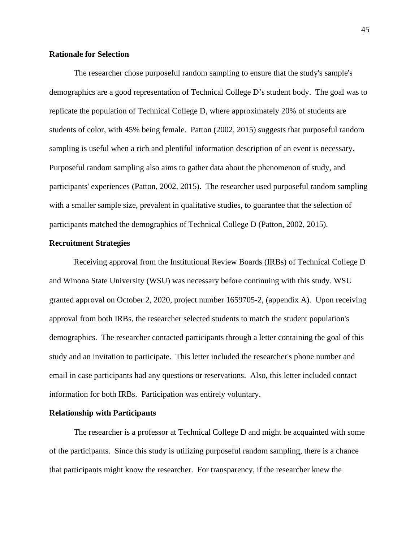# **Rationale for Selection**

The researcher chose purposeful random sampling to ensure that the study's sample's demographics are a good representation of Technical College D's student body. The goal was to replicate the population of Technical College D, where approximately 20% of students are students of color, with 45% being female. Patton (2002, 2015) suggests that purposeful random sampling is useful when a rich and plentiful information description of an event is necessary. Purposeful random sampling also aims to gather data about the phenomenon of study, and participants' experiences (Patton, 2002, 2015). The researcher used purposeful random sampling with a smaller sample size, prevalent in qualitative studies, to guarantee that the selection of participants matched the demographics of Technical College D (Patton, 2002, 2015).

### **Recruitment Strategies**

Receiving approval from the Institutional Review Boards (IRBs) of Technical College D and Winona State University (WSU) was necessary before continuing with this study. WSU granted approval on October 2, 2020, project number 1659705-2, (appendix A). Upon receiving approval from both IRBs, the researcher selected students to match the student population's demographics. The researcher contacted participants through a letter containing the goal of this study and an invitation to participate. This letter included the researcher's phone number and email in case participants had any questions or reservations. Also, this letter included contact information for both IRBs. Participation was entirely voluntary.

### **Relationship with Participants**

The researcher is a professor at Technical College D and might be acquainted with some of the participants. Since this study is utilizing purposeful random sampling, there is a chance that participants might know the researcher. For transparency, if the researcher knew the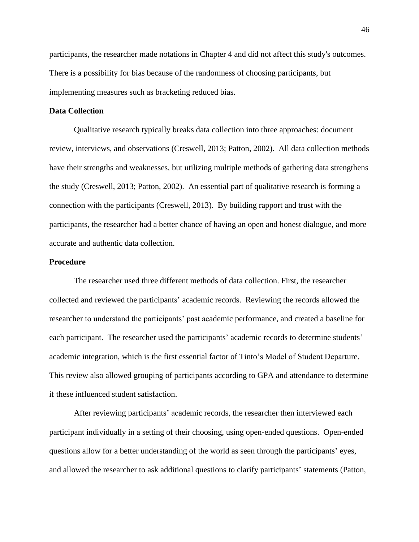participants, the researcher made notations in Chapter 4 and did not affect this study's outcomes. There is a possibility for bias because of the randomness of choosing participants, but implementing measures such as bracketing reduced bias.

# **Data Collection**

Qualitative research typically breaks data collection into three approaches: document review, interviews, and observations (Creswell, 2013; Patton, 2002). All data collection methods have their strengths and weaknesses, but utilizing multiple methods of gathering data strengthens the study (Creswell, 2013; Patton, 2002). An essential part of qualitative research is forming a connection with the participants (Creswell, 2013). By building rapport and trust with the participants, the researcher had a better chance of having an open and honest dialogue, and more accurate and authentic data collection.

## **Procedure**

The researcher used three different methods of data collection. First, the researcher collected and reviewed the participants' academic records. Reviewing the records allowed the researcher to understand the participants' past academic performance, and created a baseline for each participant. The researcher used the participants' academic records to determine students' academic integration, which is the first essential factor of Tinto's Model of Student Departure. This review also allowed grouping of participants according to GPA and attendance to determine if these influenced student satisfaction.

After reviewing participants' academic records, the researcher then interviewed each participant individually in a setting of their choosing, using open-ended questions. Open-ended questions allow for a better understanding of the world as seen through the participants' eyes, and allowed the researcher to ask additional questions to clarify participants' statements (Patton,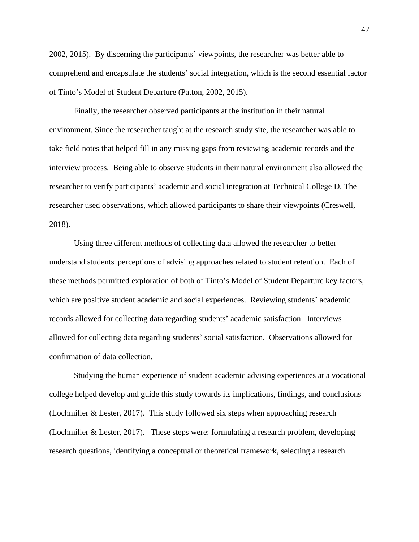2002, 2015). By discerning the participants' viewpoints, the researcher was better able to comprehend and encapsulate the students' social integration, which is the second essential factor of Tinto's Model of Student Departure (Patton, 2002, 2015).

Finally, the researcher observed participants at the institution in their natural environment. Since the researcher taught at the research study site, the researcher was able to take field notes that helped fill in any missing gaps from reviewing academic records and the interview process. Being able to observe students in their natural environment also allowed the researcher to verify participants' academic and social integration at Technical College D. The researcher used observations, which allowed participants to share their viewpoints (Creswell, 2018).

Using three different methods of collecting data allowed the researcher to better understand students' perceptions of advising approaches related to student retention. Each of these methods permitted exploration of both of Tinto's Model of Student Departure key factors, which are positive student academic and social experiences. Reviewing students' academic records allowed for collecting data regarding students' academic satisfaction. Interviews allowed for collecting data regarding students' social satisfaction. Observations allowed for confirmation of data collection.

Studying the human experience of student academic advising experiences at a vocational college helped develop and guide this study towards its implications, findings, and conclusions (Lochmiller & Lester, 2017). This study followed six steps when approaching research (Lochmiller & Lester, 2017). These steps were: formulating a research problem, developing research questions, identifying a conceptual or theoretical framework, selecting a research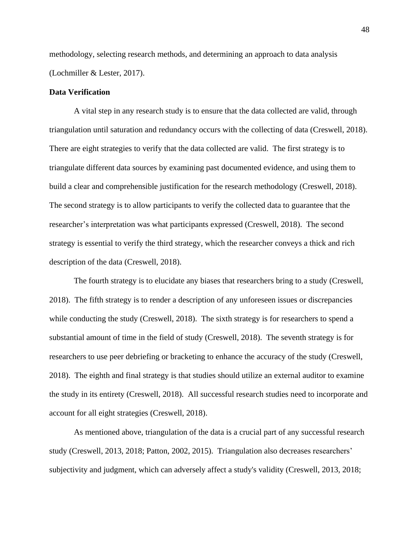methodology, selecting research methods, and determining an approach to data analysis (Lochmiller & Lester, 2017).

### **Data Verification**

A vital step in any research study is to ensure that the data collected are valid, through triangulation until saturation and redundancy occurs with the collecting of data (Creswell, 2018). There are eight strategies to verify that the data collected are valid. The first strategy is to triangulate different data sources by examining past documented evidence, and using them to build a clear and comprehensible justification for the research methodology (Creswell, 2018). The second strategy is to allow participants to verify the collected data to guarantee that the researcher's interpretation was what participants expressed (Creswell, 2018). The second strategy is essential to verify the third strategy, which the researcher conveys a thick and rich description of the data (Creswell, 2018).

The fourth strategy is to elucidate any biases that researchers bring to a study (Creswell, 2018). The fifth strategy is to render a description of any unforeseen issues or discrepancies while conducting the study (Creswell, 2018). The sixth strategy is for researchers to spend a substantial amount of time in the field of study (Creswell, 2018). The seventh strategy is for researchers to use peer debriefing or bracketing to enhance the accuracy of the study (Creswell, 2018). The eighth and final strategy is that studies should utilize an external auditor to examine the study in its entirety (Creswell, 2018). All successful research studies need to incorporate and account for all eight strategies (Creswell, 2018).

As mentioned above, triangulation of the data is a crucial part of any successful research study (Creswell, 2013, 2018; Patton, 2002, 2015). Triangulation also decreases researchers' subjectivity and judgment, which can adversely affect a study's validity (Creswell, 2013, 2018;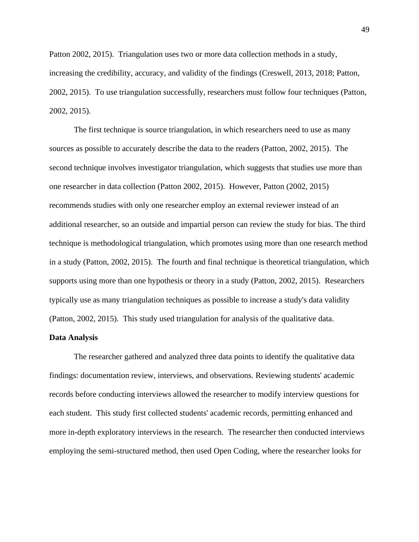Patton 2002, 2015). Triangulation uses two or more data collection methods in a study, increasing the credibility, accuracy, and validity of the findings (Creswell, 2013, 2018; Patton, 2002, 2015). To use triangulation successfully, researchers must follow four techniques (Patton, 2002, 2015).

The first technique is source triangulation, in which researchers need to use as many sources as possible to accurately describe the data to the readers (Patton, 2002, 2015). The second technique involves investigator triangulation, which suggests that studies use more than one researcher in data collection (Patton 2002, 2015). However, Patton (2002, 2015) recommends studies with only one researcher employ an external reviewer instead of an additional researcher, so an outside and impartial person can review the study for bias. The third technique is methodological triangulation, which promotes using more than one research method in a study (Patton, 2002, 2015). The fourth and final technique is theoretical triangulation, which supports using more than one hypothesis or theory in a study (Patton, 2002, 2015). Researchers typically use as many triangulation techniques as possible to increase a study's data validity (Patton, 2002, 2015). This study used triangulation for analysis of the qualitative data.

#### **Data Analysis**

The researcher gathered and analyzed three data points to identify the qualitative data findings: documentation review, interviews, and observations. Reviewing students' academic records before conducting interviews allowed the researcher to modify interview questions for each student. This study first collected students' academic records, permitting enhanced and more in-depth exploratory interviews in the research. The researcher then conducted interviews employing the semi-structured method, then used Open Coding, where the researcher looks for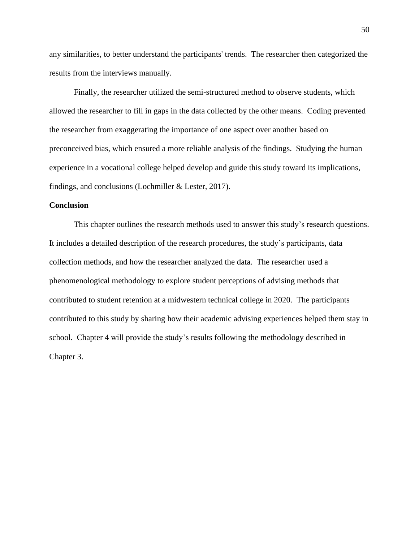any similarities, to better understand the participants' trends. The researcher then categorized the results from the interviews manually.

Finally, the researcher utilized the semi-structured method to observe students, which allowed the researcher to fill in gaps in the data collected by the other means. Coding prevented the researcher from exaggerating the importance of one aspect over another based on preconceived bias, which ensured a more reliable analysis of the findings. Studying the human experience in a vocational college helped develop and guide this study toward its implications, findings, and conclusions (Lochmiller & Lester, 2017).

### **Conclusion**

This chapter outlines the research methods used to answer this study's research questions. It includes a detailed description of the research procedures, the study's participants, data collection methods, and how the researcher analyzed the data. The researcher used a phenomenological methodology to explore student perceptions of advising methods that contributed to student retention at a midwestern technical college in 2020. The participants contributed to this study by sharing how their academic advising experiences helped them stay in school. Chapter 4 will provide the study's results following the methodology described in Chapter 3.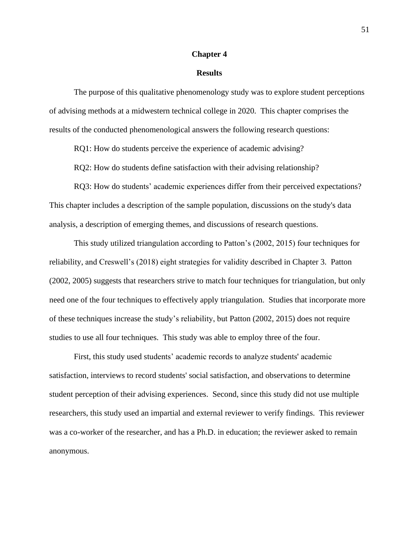#### **Chapter 4**

#### **Results**

The purpose of this qualitative phenomenology study was to explore student perceptions of advising methods at a midwestern technical college in 2020. This chapter comprises the results of the conducted phenomenological answers the following research questions:

RQ1: How do students perceive the experience of academic advising?

RQ2: How do students define satisfaction with their advising relationship?

RQ3: How do students' academic experiences differ from their perceived expectations? This chapter includes a description of the sample population, discussions on the study's data analysis, a description of emerging themes, and discussions of research questions.

This study utilized triangulation according to Patton's (2002, 2015) four techniques for reliability, and Creswell's (2018) eight strategies for validity described in Chapter 3. Patton (2002, 2005) suggests that researchers strive to match four techniques for triangulation, but only need one of the four techniques to effectively apply triangulation. Studies that incorporate more of these techniques increase the study's reliability, but Patton (2002, 2015) does not require studies to use all four techniques. This study was able to employ three of the four.

First, this study used students' academic records to analyze students' academic satisfaction, interviews to record students' social satisfaction, and observations to determine student perception of their advising experiences. Second, since this study did not use multiple researchers, this study used an impartial and external reviewer to verify findings. This reviewer was a co-worker of the researcher, and has a Ph.D. in education; the reviewer asked to remain anonymous.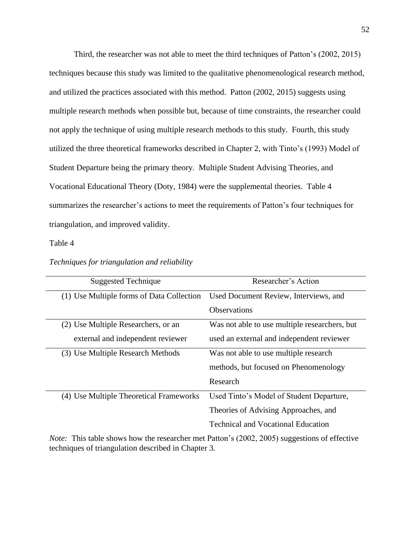Third, the researcher was not able to meet the third techniques of Patton's (2002, 2015) techniques because this study was limited to the qualitative phenomenological research method, and utilized the practices associated with this method. Patton (2002, 2015) suggests using multiple research methods when possible but, because of time constraints, the researcher could not apply the technique of using multiple research methods to this study. Fourth, this study utilized the three theoretical frameworks described in Chapter 2, with Tinto's (1993) Model of Student Departure being the primary theory. Multiple Student Advising Theories, and Vocational Educational Theory (Doty, 1984) were the supplemental theories. Table 4 summarizes the researcher's actions to meet the requirements of Patton's four techniques for triangulation, and improved validity.

### Table 4

| <b>Suggested Technique</b>                                                               | Researcher's Action                           |  |
|------------------------------------------------------------------------------------------|-----------------------------------------------|--|
| (1) Use Multiple forms of Data Collection                                                | Used Document Review, Interviews, and         |  |
|                                                                                          | <b>Observations</b>                           |  |
| (2) Use Multiple Researchers, or an                                                      | Was not able to use multiple researchers, but |  |
| external and independent reviewer                                                        | used an external and independent reviewer     |  |
| (3) Use Multiple Research Methods                                                        | Was not able to use multiple research         |  |
|                                                                                          | methods, but focused on Phenomenology         |  |
|                                                                                          | Research                                      |  |
| (4) Use Multiple Theoretical Frameworks                                                  | Used Tinto's Model of Student Departure,      |  |
|                                                                                          | Theories of Advising Approaches, and          |  |
|                                                                                          | <b>Technical and Vocational Education</b>     |  |
| Nata: This toble shows how the researcher met Detter's (2002, 2005) systems of effective |                                               |  |

#### *Techniques for triangulation and reliability*

*Note:* This table shows how the researcher met Patton's (2002, 2005) suggestions of effective techniques of triangulation described in Chapter 3.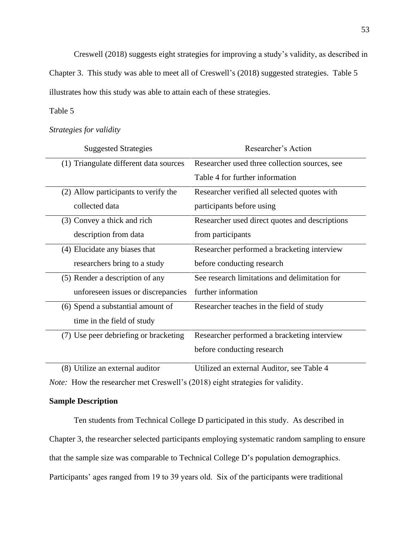Creswell (2018) suggests eight strategies for improving a study's validity, as described in

Chapter 3. This study was able to meet all of Creswell's (2018) suggested strategies. Table 5 illustrates how this study was able to attain each of these strategies.

# Table 5

# *Strategies for validity*

| <b>Suggested Strategies</b>            | Researcher's Action                            |  |  |
|----------------------------------------|------------------------------------------------|--|--|
| (1) Triangulate different data sources | Researcher used three collection sources, see  |  |  |
|                                        | Table 4 for further information                |  |  |
| (2) Allow participants to verify the   | Researcher verified all selected quotes with   |  |  |
| collected data                         | participants before using                      |  |  |
| (3) Convey a thick and rich            | Researcher used direct quotes and descriptions |  |  |
| description from data                  | from participants                              |  |  |
| (4) Elucidate any biases that          | Researcher performed a bracketing interview    |  |  |
| researchers bring to a study           | before conducting research                     |  |  |
| (5) Render a description of any        | See research limitations and delimitation for  |  |  |
| unforeseen issues or discrepancies     | further information                            |  |  |
| (6) Spend a substantial amount of      | Researcher teaches in the field of study       |  |  |
| time in the field of study             |                                                |  |  |
| (7) Use peer debriefing or bracketing  | Researcher performed a bracketing interview    |  |  |
|                                        | before conducting research                     |  |  |
| (8) Utilize an external auditor        | Utilized an external Auditor, see Table 4      |  |  |

*Note:* How the researcher met Creswell's (2018) eight strategies for validity.

# **Sample Description**

Ten students from Technical College D participated in this study. As described in Chapter 3, the researcher selected participants employing systematic random sampling to ensure that the sample size was comparable to Technical College D's population demographics. Participants' ages ranged from 19 to 39 years old. Six of the participants were traditional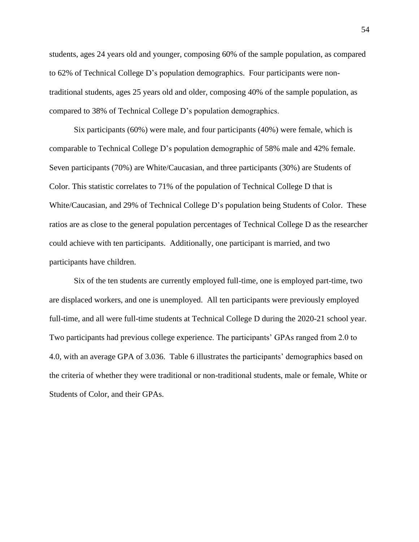students, ages 24 years old and younger, composing 60% of the sample population, as compared to 62% of Technical College D's population demographics. Four participants were nontraditional students, ages 25 years old and older, composing 40% of the sample population, as compared to 38% of Technical College D's population demographics.

Six participants (60%) were male, and four participants (40%) were female, which is comparable to Technical College D's population demographic of 58% male and 42% female. Seven participants (70%) are White/Caucasian, and three participants (30%) are Students of Color. This statistic correlates to 71% of the population of Technical College D that is White/Caucasian, and 29% of Technical College D's population being Students of Color. These ratios are as close to the general population percentages of Technical College D as the researcher could achieve with ten participants. Additionally, one participant is married, and two participants have children.

Six of the ten students are currently employed full-time, one is employed part-time, two are displaced workers, and one is unemployed. All ten participants were previously employed full-time, and all were full-time students at Technical College D during the 2020-21 school year. Two participants had previous college experience. The participants' GPAs ranged from 2.0 to 4.0, with an average GPA of 3.036. Table 6 illustrates the participants' demographics based on the criteria of whether they were traditional or non-traditional students, male or female, White or Students of Color, and their GPAs.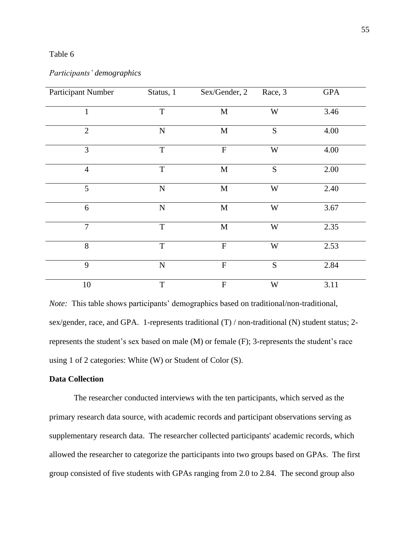# Table 6

## *Participants' demographics*

| Participant Number | Status, 1   | Sex/Gender, 2  | Race, 3                 | <b>GPA</b> |
|--------------------|-------------|----------------|-------------------------|------------|
| $\mathbf{1}$       | T           | $\mathbf M$    | W                       | 3.46       |
| $\overline{2}$     | $\mathbf N$ | $\mathbf M$    | S                       | 4.00       |
| 3                  | T           | $\mathbf F$    | W                       | 4.00       |
| $\overline{4}$     | $\mathbf T$ | M              | S                       | 2.00       |
| 5                  | ${\bf N}$   | $\mathbf M$    | $\ensuremath{\text{W}}$ | 2.40       |
| 6                  | ${\bf N}$   | $\mathbf M$    | W                       | 3.67       |
| $\overline{7}$     | $\mathbf T$ | $\mathbf M$    | $\ensuremath{\text{W}}$ | 2.35       |
| 8                  | $\mathbf T$ | $\overline{F}$ | W                       | 2.53       |
| 9                  | ${\bf N}$   | $\mathbf F$    | S                       | 2.84       |
| 10                 | T           | $\mathbf{F}$   | W                       | 3.11       |

*Note:* This table shows participants' demographics based on traditional/non-traditional, sex/gender, race, and GPA. 1-represents traditional (T) / non-traditional (N) student status; 2 represents the student's sex based on male (M) or female (F); 3-represents the student's race using 1 of 2 categories: White (W) or Student of Color (S).

# **Data Collection**

The researcher conducted interviews with the ten participants, which served as the primary research data source, with academic records and participant observations serving as supplementary research data. The researcher collected participants' academic records, which allowed the researcher to categorize the participants into two groups based on GPAs. The first group consisted of five students with GPAs ranging from 2.0 to 2.84. The second group also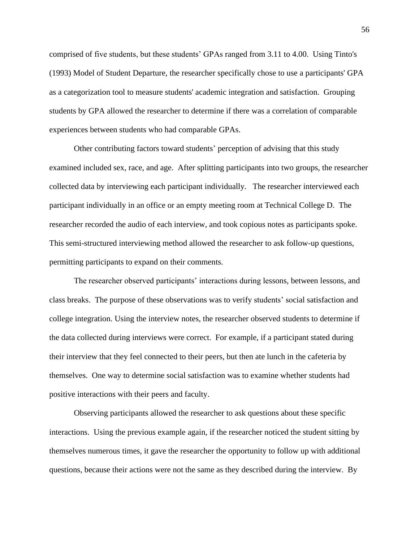comprised of five students, but these students' GPAs ranged from 3.11 to 4.00. Using Tinto's (1993) Model of Student Departure, the researcher specifically chose to use a participants' GPA as a categorization tool to measure students' academic integration and satisfaction. Grouping students by GPA allowed the researcher to determine if there was a correlation of comparable experiences between students who had comparable GPAs.

Other contributing factors toward students' perception of advising that this study examined included sex, race, and age. After splitting participants into two groups, the researcher collected data by interviewing each participant individually. The researcher interviewed each participant individually in an office or an empty meeting room at Technical College D. The researcher recorded the audio of each interview, and took copious notes as participants spoke. This semi-structured interviewing method allowed the researcher to ask follow-up questions, permitting participants to expand on their comments.

The researcher observed participants' interactions during lessons, between lessons, and class breaks. The purpose of these observations was to verify students' social satisfaction and college integration. Using the interview notes, the researcher observed students to determine if the data collected during interviews were correct. For example, if a participant stated during their interview that they feel connected to their peers, but then ate lunch in the cafeteria by themselves. One way to determine social satisfaction was to examine whether students had positive interactions with their peers and faculty.

Observing participants allowed the researcher to ask questions about these specific interactions. Using the previous example again, if the researcher noticed the student sitting by themselves numerous times, it gave the researcher the opportunity to follow up with additional questions, because their actions were not the same as they described during the interview. By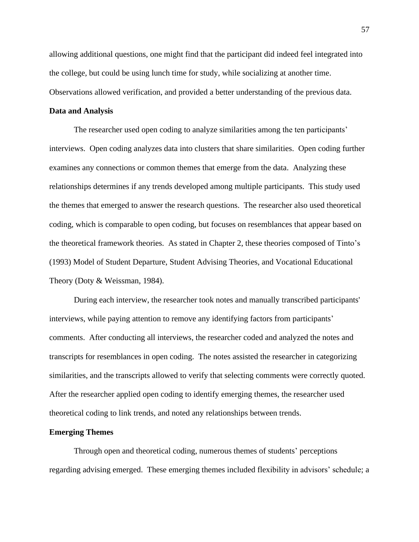allowing additional questions, one might find that the participant did indeed feel integrated into the college, but could be using lunch time for study, while socializing at another time. Observations allowed verification, and provided a better understanding of the previous data.

### **Data and Analysis**

The researcher used open coding to analyze similarities among the ten participants' interviews. Open coding analyzes data into clusters that share similarities. Open coding further examines any connections or common themes that emerge from the data. Analyzing these relationships determines if any trends developed among multiple participants. This study used the themes that emerged to answer the research questions. The researcher also used theoretical coding, which is comparable to open coding, but focuses on resemblances that appear based on the theoretical framework theories. As stated in Chapter 2, these theories composed of Tinto's (1993) Model of Student Departure, Student Advising Theories, and Vocational Educational Theory (Doty & Weissman, 1984).

During each interview, the researcher took notes and manually transcribed participants' interviews, while paying attention to remove any identifying factors from participants' comments. After conducting all interviews, the researcher coded and analyzed the notes and transcripts for resemblances in open coding. The notes assisted the researcher in categorizing similarities, and the transcripts allowed to verify that selecting comments were correctly quoted. After the researcher applied open coding to identify emerging themes, the researcher used theoretical coding to link trends, and noted any relationships between trends.

#### **Emerging Themes**

Through open and theoretical coding, numerous themes of students' perceptions regarding advising emerged. These emerging themes included flexibility in advisors' schedule; a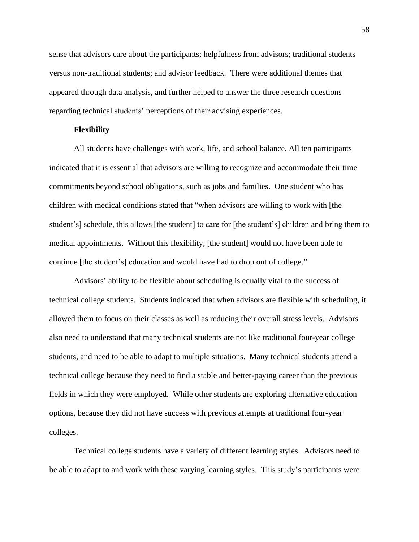sense that advisors care about the participants; helpfulness from advisors; traditional students versus non-traditional students; and advisor feedback. There were additional themes that appeared through data analysis, and further helped to answer the three research questions regarding technical students' perceptions of their advising experiences.

## **Flexibility**

All students have challenges with work, life, and school balance. All ten participants indicated that it is essential that advisors are willing to recognize and accommodate their time commitments beyond school obligations, such as jobs and families. One student who has children with medical conditions stated that "when advisors are willing to work with [the student's] schedule, this allows [the student] to care for [the student's] children and bring them to medical appointments. Without this flexibility, [the student] would not have been able to continue [the student's] education and would have had to drop out of college."

Advisors' ability to be flexible about scheduling is equally vital to the success of technical college students. Students indicated that when advisors are flexible with scheduling, it allowed them to focus on their classes as well as reducing their overall stress levels. Advisors also need to understand that many technical students are not like traditional four-year college students, and need to be able to adapt to multiple situations. Many technical students attend a technical college because they need to find a stable and better-paying career than the previous fields in which they were employed. While other students are exploring alternative education options, because they did not have success with previous attempts at traditional four-year colleges.

Technical college students have a variety of different learning styles. Advisors need to be able to adapt to and work with these varying learning styles. This study's participants were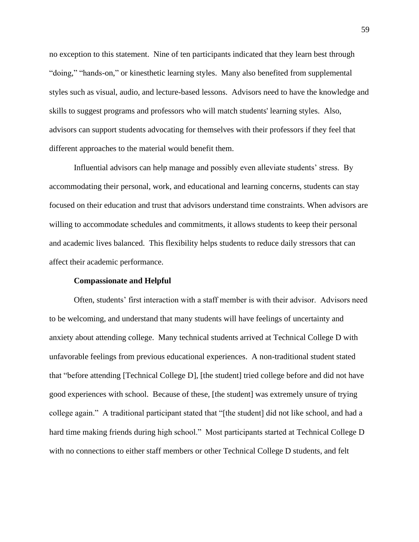no exception to this statement. Nine of ten participants indicated that they learn best through "doing," "hands-on," or kinesthetic learning styles. Many also benefited from supplemental styles such as visual, audio, and lecture-based lessons. Advisors need to have the knowledge and skills to suggest programs and professors who will match students' learning styles. Also, advisors can support students advocating for themselves with their professors if they feel that different approaches to the material would benefit them.

Influential advisors can help manage and possibly even alleviate students' stress. By accommodating their personal, work, and educational and learning concerns, students can stay focused on their education and trust that advisors understand time constraints. When advisors are willing to accommodate schedules and commitments, it allows students to keep their personal and academic lives balanced. This flexibility helps students to reduce daily stressors that can affect their academic performance.

### **Compassionate and Helpful**

Often, students' first interaction with a staff member is with their advisor. Advisors need to be welcoming, and understand that many students will have feelings of uncertainty and anxiety about attending college. Many technical students arrived at Technical College D with unfavorable feelings from previous educational experiences. A non-traditional student stated that "before attending [Technical College D], [the student] tried college before and did not have good experiences with school. Because of these, [the student] was extremely unsure of trying college again." A traditional participant stated that "[the student] did not like school, and had a hard time making friends during high school." Most participants started at Technical College D with no connections to either staff members or other Technical College D students, and felt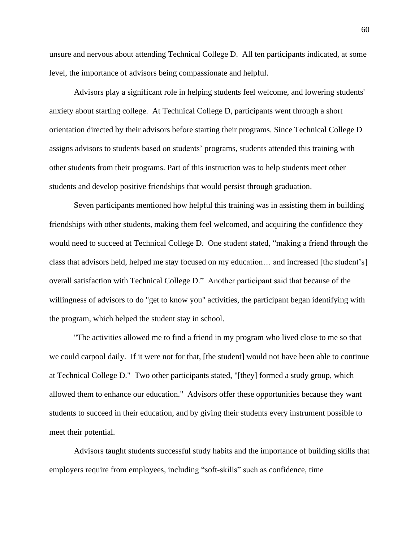unsure and nervous about attending Technical College D. All ten participants indicated, at some level, the importance of advisors being compassionate and helpful.

Advisors play a significant role in helping students feel welcome, and lowering students' anxiety about starting college. At Technical College D, participants went through a short orientation directed by their advisors before starting their programs. Since Technical College D assigns advisors to students based on students' programs, students attended this training with other students from their programs. Part of this instruction was to help students meet other students and develop positive friendships that would persist through graduation.

Seven participants mentioned how helpful this training was in assisting them in building friendships with other students, making them feel welcomed, and acquiring the confidence they would need to succeed at Technical College D. One student stated, "making a friend through the class that advisors held, helped me stay focused on my education… and increased [the student's] overall satisfaction with Technical College D." Another participant said that because of the willingness of advisors to do "get to know you" activities, the participant began identifying with the program, which helped the student stay in school.

"The activities allowed me to find a friend in my program who lived close to me so that we could carpool daily. If it were not for that, [the student] would not have been able to continue at Technical College D." Two other participants stated, "[they] formed a study group, which allowed them to enhance our education." Advisors offer these opportunities because they want students to succeed in their education, and by giving their students every instrument possible to meet their potential.

Advisors taught students successful study habits and the importance of building skills that employers require from employees, including "soft-skills" such as confidence, time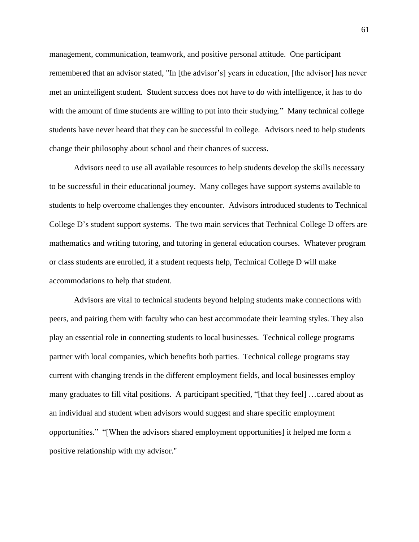management, communication, teamwork, and positive personal attitude. One participant remembered that an advisor stated, "In [the advisor's] years in education, [the advisor] has never met an unintelligent student. Student success does not have to do with intelligence, it has to do with the amount of time students are willing to put into their studying." Many technical college students have never heard that they can be successful in college. Advisors need to help students change their philosophy about school and their chances of success.

Advisors need to use all available resources to help students develop the skills necessary to be successful in their educational journey. Many colleges have support systems available to students to help overcome challenges they encounter. Advisors introduced students to Technical College D's student support systems. The two main services that Technical College D offers are mathematics and writing tutoring, and tutoring in general education courses. Whatever program or class students are enrolled, if a student requests help, Technical College D will make accommodations to help that student.

Advisors are vital to technical students beyond helping students make connections with peers, and pairing them with faculty who can best accommodate their learning styles. They also play an essential role in connecting students to local businesses. Technical college programs partner with local companies, which benefits both parties. Technical college programs stay current with changing trends in the different employment fields, and local businesses employ many graduates to fill vital positions. A participant specified, "[that they feel] …cared about as an individual and student when advisors would suggest and share specific employment opportunities." "[When the advisors shared employment opportunities] it helped me form a positive relationship with my advisor."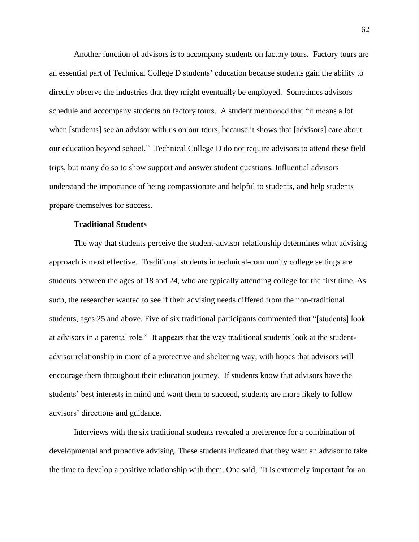Another function of advisors is to accompany students on factory tours. Factory tours are an essential part of Technical College D students' education because students gain the ability to directly observe the industries that they might eventually be employed. Sometimes advisors schedule and accompany students on factory tours. A student mentioned that "it means a lot when [students] see an advisor with us on our tours, because it shows that [advisors] care about our education beyond school." Technical College D do not require advisors to attend these field trips, but many do so to show support and answer student questions. Influential advisors understand the importance of being compassionate and helpful to students, and help students prepare themselves for success.

#### **Traditional Students**

The way that students perceive the student-advisor relationship determines what advising approach is most effective. Traditional students in technical-community college settings are students between the ages of 18 and 24, who are typically attending college for the first time. As such, the researcher wanted to see if their advising needs differed from the non-traditional students, ages 25 and above. Five of six traditional participants commented that "[students] look at advisors in a parental role." It appears that the way traditional students look at the studentadvisor relationship in more of a protective and sheltering way, with hopes that advisors will encourage them throughout their education journey. If students know that advisors have the students' best interests in mind and want them to succeed, students are more likely to follow advisors' directions and guidance.

Interviews with the six traditional students revealed a preference for a combination of developmental and proactive advising. These students indicated that they want an advisor to take the time to develop a positive relationship with them. One said, "It is extremely important for an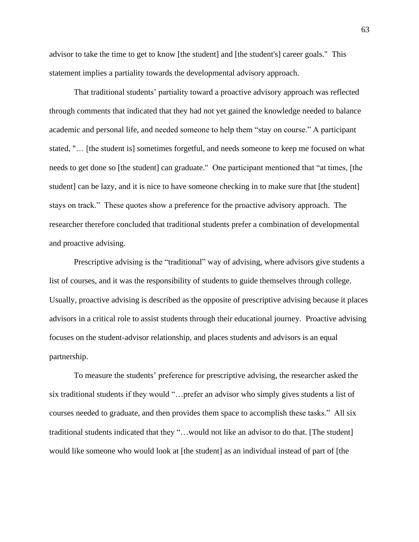advisor to take the time to get to know [the student] and [the student's] career goals." This statement implies a partiality towards the developmental advisory approach.

That traditional students' partiality toward a proactive advisory approach was reflected through comments that indicated that they had not yet gained the knowledge needed to balance academic and personal life, and needed someone to help them "stay on course." A participant stated, "… [the student is] sometimes forgetful, and needs someone to keep me focused on what needs to get done so [the student] can graduate." One participant mentioned that "at times, [the student] can be lazy, and it is nice to have someone checking in to make sure that [the student] stays on track." These quotes show a preference for the proactive advisory approach. The researcher therefore concluded that traditional students prefer a combination of developmental and proactive advising.

Prescriptive advising is the "traditional" way of advising, where advisors give students a list of courses, and it was the responsibility of students to guide themselves through college. Usually, proactive advising is described as the opposite of prescriptive advising because it places advisors in a critical role to assist students through their educational journey. Proactive advising focuses on the student-advisor relationship, and places students and advisors is an equal partnership.

To measure the students' preference for prescriptive advising, the researcher asked the six traditional students if they would "…prefer an advisor who simply gives students a list of courses needed to graduate, and then provides them space to accomplish these tasks." All six traditional students indicated that they "…would not like an advisor to do that. [The student] would like someone who would look at [the student] as an individual instead of part of [the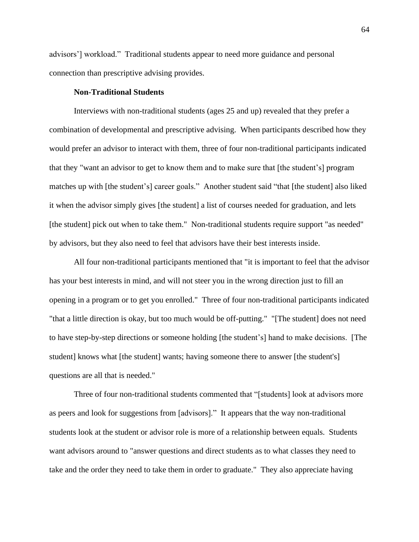advisors'] workload." Traditional students appear to need more guidance and personal connection than prescriptive advising provides.

### **Non-Traditional Students**

Interviews with non-traditional students (ages 25 and up) revealed that they prefer a combination of developmental and prescriptive advising. When participants described how they would prefer an advisor to interact with them, three of four non-traditional participants indicated that they "want an advisor to get to know them and to make sure that [the student's] program matches up with [the student's] career goals." Another student said "that [the student] also liked it when the advisor simply gives [the student] a list of courses needed for graduation, and lets [the student] pick out when to take them." Non-traditional students require support "as needed" by advisors, but they also need to feel that advisors have their best interests inside.

All four non-traditional participants mentioned that "it is important to feel that the advisor has your best interests in mind, and will not steer you in the wrong direction just to fill an opening in a program or to get you enrolled." Three of four non-traditional participants indicated "that a little direction is okay, but too much would be off-putting." "[The student] does not need to have step-by-step directions or someone holding [the student's] hand to make decisions. [The student] knows what [the student] wants; having someone there to answer [the student's] questions are all that is needed."

Three of four non-traditional students commented that "[students] look at advisors more as peers and look for suggestions from [advisors]." It appears that the way non-traditional students look at the student or advisor role is more of a relationship between equals. Students want advisors around to "answer questions and direct students as to what classes they need to take and the order they need to take them in order to graduate." They also appreciate having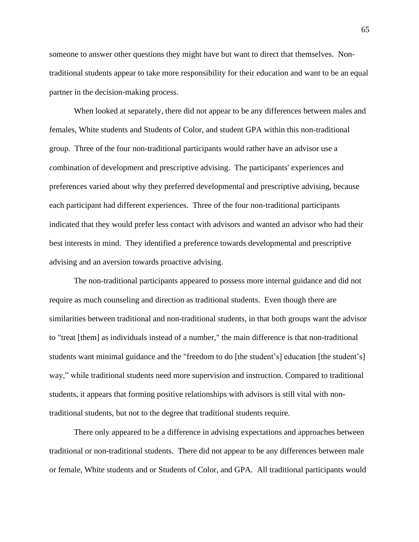someone to answer other questions they might have but want to direct that themselves. Nontraditional students appear to take more responsibility for their education and want to be an equal partner in the decision-making process.

When looked at separately, there did not appear to be any differences between males and females, White students and Students of Color, and student GPA within this non-traditional group. Three of the four non-traditional participants would rather have an advisor use a combination of development and prescriptive advising. The participants' experiences and preferences varied about why they preferred developmental and prescriptive advising, because each participant had different experiences. Three of the four non-traditional participants indicated that they would prefer less contact with advisors and wanted an advisor who had their best interests in mind. They identified a preference towards developmental and prescriptive advising and an aversion towards proactive advising.

The non-traditional participants appeared to possess more internal guidance and did not require as much counseling and direction as traditional students. Even though there are similarities between traditional and non-traditional students, in that both groups want the advisor to "treat [them] as individuals instead of a number," the main difference is that non-traditional students want minimal guidance and the "freedom to do [the student's] education [the student's] way," while traditional students need more supervision and instruction. Compared to traditional students, it appears that forming positive relationships with advisors is still vital with nontraditional students, but not to the degree that traditional students require.

There only appeared to be a difference in advising expectations and approaches between traditional or non-traditional students. There did not appear to be any differences between male or female, White students and or Students of Color, and GPA. All traditional participants would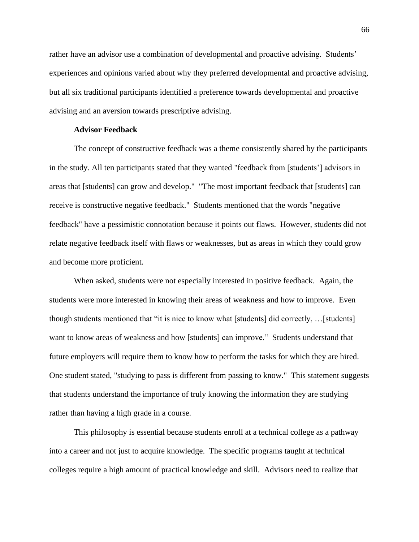rather have an advisor use a combination of developmental and proactive advising. Students' experiences and opinions varied about why they preferred developmental and proactive advising, but all six traditional participants identified a preference towards developmental and proactive advising and an aversion towards prescriptive advising.

#### **Advisor Feedback**

The concept of constructive feedback was a theme consistently shared by the participants in the study. All ten participants stated that they wanted "feedback from [students'] advisors in areas that [students] can grow and develop." "The most important feedback that [students] can receive is constructive negative feedback." Students mentioned that the words "negative feedback" have a pessimistic connotation because it points out flaws. However, students did not relate negative feedback itself with flaws or weaknesses, but as areas in which they could grow and become more proficient.

When asked, students were not especially interested in positive feedback. Again, the students were more interested in knowing their areas of weakness and how to improve. Even though students mentioned that "it is nice to know what [students] did correctly, …[students] want to know areas of weakness and how [students] can improve." Students understand that future employers will require them to know how to perform the tasks for which they are hired. One student stated, "studying to pass is different from passing to know." This statement suggests that students understand the importance of truly knowing the information they are studying rather than having a high grade in a course.

This philosophy is essential because students enroll at a technical college as a pathway into a career and not just to acquire knowledge. The specific programs taught at technical colleges require a high amount of practical knowledge and skill. Advisors need to realize that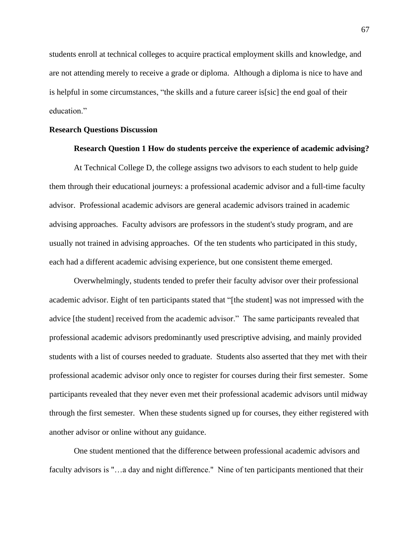students enroll at technical colleges to acquire practical employment skills and knowledge, and are not attending merely to receive a grade or diploma. Although a diploma is nice to have and is helpful in some circumstances, "the skills and a future career is[sic] the end goal of their education."

## **Research Questions Discussion**

## **Research Question 1 How do students perceive the experience of academic advising?**

At Technical College D, the college assigns two advisors to each student to help guide them through their educational journeys: a professional academic advisor and a full-time faculty advisor. Professional academic advisors are general academic advisors trained in academic advising approaches. Faculty advisors are professors in the student's study program, and are usually not trained in advising approaches. Of the ten students who participated in this study, each had a different academic advising experience, but one consistent theme emerged.

Overwhelmingly, students tended to prefer their faculty advisor over their professional academic advisor. Eight of ten participants stated that "[the student] was not impressed with the advice [the student] received from the academic advisor." The same participants revealed that professional academic advisors predominantly used prescriptive advising, and mainly provided students with a list of courses needed to graduate. Students also asserted that they met with their professional academic advisor only once to register for courses during their first semester. Some participants revealed that they never even met their professional academic advisors until midway through the first semester. When these students signed up for courses, they either registered with another advisor or online without any guidance.

One student mentioned that the difference between professional academic advisors and faculty advisors is "…a day and night difference." Nine of ten participants mentioned that their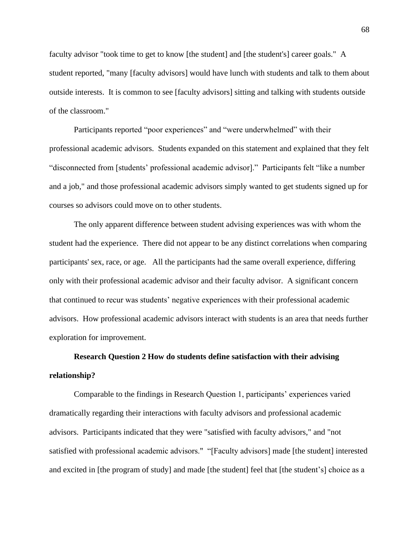faculty advisor "took time to get to know [the student] and [the student's] career goals." A student reported, "many [faculty advisors] would have lunch with students and talk to them about outside interests. It is common to see [faculty advisors] sitting and talking with students outside of the classroom."

Participants reported "poor experiences" and "were underwhelmed" with their professional academic advisors. Students expanded on this statement and explained that they felt "disconnected from [students' professional academic advisor]." Participants felt "like a number and a job," and those professional academic advisors simply wanted to get students signed up for courses so advisors could move on to other students.

The only apparent difference between student advising experiences was with whom the student had the experience. There did not appear to be any distinct correlations when comparing participants' sex, race, or age. All the participants had the same overall experience, differing only with their professional academic advisor and their faculty advisor. A significant concern that continued to recur was students' negative experiences with their professional academic advisors. How professional academic advisors interact with students is an area that needs further exploration for improvement.

# **Research Question 2 How do students define satisfaction with their advising relationship?**

Comparable to the findings in Research Question 1, participants' experiences varied dramatically regarding their interactions with faculty advisors and professional academic advisors. Participants indicated that they were "satisfied with faculty advisors," and "not satisfied with professional academic advisors." "[Faculty advisors] made [the student] interested and excited in [the program of study] and made [the student] feel that [the student's] choice as a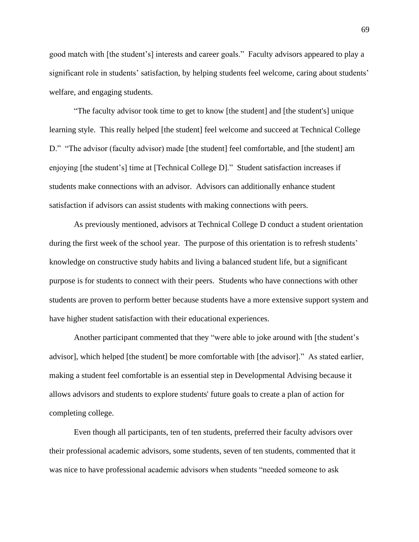good match with [the student's] interests and career goals." Faculty advisors appeared to play a significant role in students' satisfaction, by helping students feel welcome, caring about students' welfare, and engaging students.

"The faculty advisor took time to get to know [the student] and [the student's] unique learning style. This really helped [the student] feel welcome and succeed at Technical College D." "The advisor (faculty advisor) made [the student] feel comfortable, and [the student] am enjoying [the student's] time at [Technical College D]." Student satisfaction increases if students make connections with an advisor. Advisors can additionally enhance student satisfaction if advisors can assist students with making connections with peers.

As previously mentioned, advisors at Technical College D conduct a student orientation during the first week of the school year. The purpose of this orientation is to refresh students' knowledge on constructive study habits and living a balanced student life, but a significant purpose is for students to connect with their peers. Students who have connections with other students are proven to perform better because students have a more extensive support system and have higher student satisfaction with their educational experiences.

Another participant commented that they "were able to joke around with [the student's advisor], which helped [the student] be more comfortable with [the advisor]." As stated earlier, making a student feel comfortable is an essential step in Developmental Advising because it allows advisors and students to explore students' future goals to create a plan of action for completing college.

Even though all participants, ten of ten students, preferred their faculty advisors over their professional academic advisors, some students, seven of ten students, commented that it was nice to have professional academic advisors when students "needed someone to ask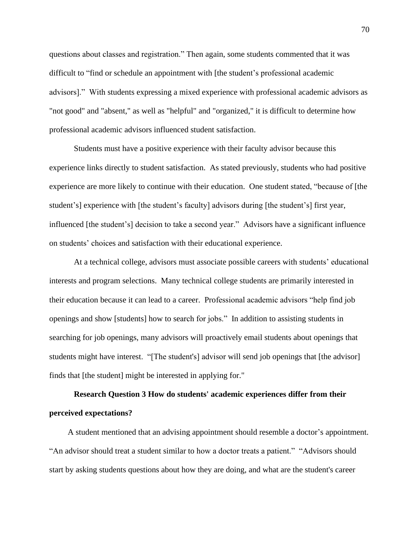questions about classes and registration." Then again, some students commented that it was difficult to "find or schedule an appointment with [the student's professional academic advisors]." With students expressing a mixed experience with professional academic advisors as "not good" and "absent," as well as "helpful" and "organized," it is difficult to determine how professional academic advisors influenced student satisfaction.

Students must have a positive experience with their faculty advisor because this experience links directly to student satisfaction. As stated previously, students who had positive experience are more likely to continue with their education. One student stated, "because of [the student's] experience with [the student's faculty] advisors during [the student's] first year, influenced [the student's] decision to take a second year." Advisors have a significant influence on students' choices and satisfaction with their educational experience.

At a technical college, advisors must associate possible careers with students' educational interests and program selections. Many technical college students are primarily interested in their education because it can lead to a career. Professional academic advisors "help find job openings and show [students] how to search for jobs." In addition to assisting students in searching for job openings, many advisors will proactively email students about openings that students might have interest. "[The student's] advisor will send job openings that [the advisor] finds that [the student] might be interested in applying for."

## **Research Question 3 How do students' academic experiences differ from their perceived expectations?**

A student mentioned that an advising appointment should resemble a doctor's appointment. "An advisor should treat a student similar to how a doctor treats a patient." "Advisors should start by asking students questions about how they are doing, and what are the student's career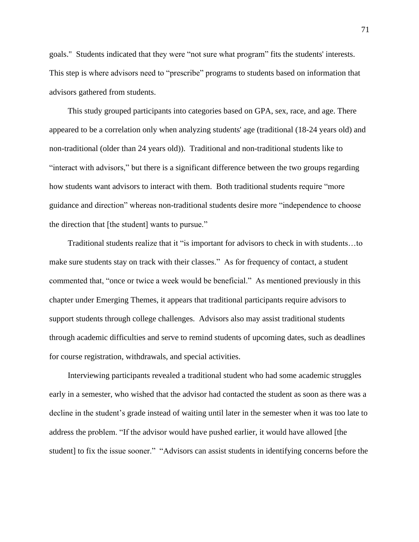goals." Students indicated that they were "not sure what program" fits the students' interests. This step is where advisors need to "prescribe" programs to students based on information that advisors gathered from students.

This study grouped participants into categories based on GPA, sex, race, and age. There appeared to be a correlation only when analyzing students' age (traditional (18-24 years old) and non-traditional (older than 24 years old)). Traditional and non-traditional students like to "interact with advisors," but there is a significant difference between the two groups regarding how students want advisors to interact with them. Both traditional students require "more guidance and direction" whereas non-traditional students desire more "independence to choose the direction that [the student] wants to pursue."

Traditional students realize that it "is important for advisors to check in with students…to make sure students stay on track with their classes." As for frequency of contact, a student commented that, "once or twice a week would be beneficial." As mentioned previously in this chapter under Emerging Themes, it appears that traditional participants require advisors to support students through college challenges. Advisors also may assist traditional students through academic difficulties and serve to remind students of upcoming dates, such as deadlines for course registration, withdrawals, and special activities.

Interviewing participants revealed a traditional student who had some academic struggles early in a semester, who wished that the advisor had contacted the student as soon as there was a decline in the student's grade instead of waiting until later in the semester when it was too late to address the problem. "If the advisor would have pushed earlier, it would have allowed [the student] to fix the issue sooner." "Advisors can assist students in identifying concerns before the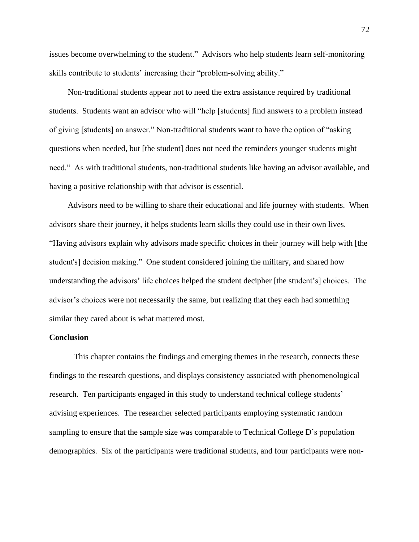issues become overwhelming to the student." Advisors who help students learn self-monitoring skills contribute to students' increasing their "problem-solving ability."

Non-traditional students appear not to need the extra assistance required by traditional students. Students want an advisor who will "help [students] find answers to a problem instead of giving [students] an answer." Non-traditional students want to have the option of "asking questions when needed, but [the student] does not need the reminders younger students might need." As with traditional students, non-traditional students like having an advisor available, and having a positive relationship with that advisor is essential.

Advisors need to be willing to share their educational and life journey with students. When advisors share their journey, it helps students learn skills they could use in their own lives. "Having advisors explain why advisors made specific choices in their journey will help with [the student's] decision making." One student considered joining the military, and shared how understanding the advisors' life choices helped the student decipher [the student's] choices. The advisor's choices were not necessarily the same, but realizing that they each had something similar they cared about is what mattered most.

## **Conclusion**

This chapter contains the findings and emerging themes in the research, connects these findings to the research questions, and displays consistency associated with phenomenological research. Ten participants engaged in this study to understand technical college students' advising experiences. The researcher selected participants employing systematic random sampling to ensure that the sample size was comparable to Technical College D's population demographics. Six of the participants were traditional students, and four participants were non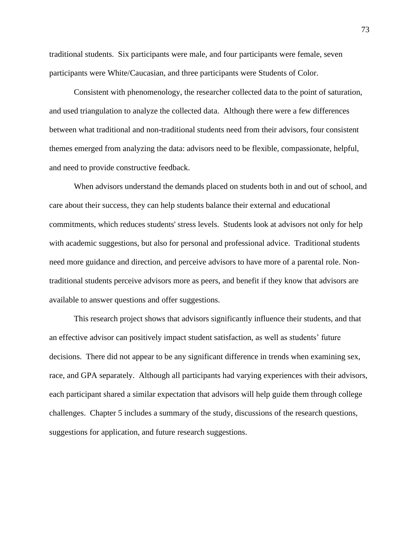traditional students. Six participants were male, and four participants were female, seven participants were White/Caucasian, and three participants were Students of Color.

Consistent with phenomenology, the researcher collected data to the point of saturation, and used triangulation to analyze the collected data. Although there were a few differences between what traditional and non-traditional students need from their advisors, four consistent themes emerged from analyzing the data: advisors need to be flexible, compassionate, helpful, and need to provide constructive feedback.

When advisors understand the demands placed on students both in and out of school, and care about their success, they can help students balance their external and educational commitments, which reduces students' stress levels. Students look at advisors not only for help with academic suggestions, but also for personal and professional advice. Traditional students need more guidance and direction, and perceive advisors to have more of a parental role. Nontraditional students perceive advisors more as peers, and benefit if they know that advisors are available to answer questions and offer suggestions.

This research project shows that advisors significantly influence their students, and that an effective advisor can positively impact student satisfaction, as well as students' future decisions. There did not appear to be any significant difference in trends when examining sex, race, and GPA separately. Although all participants had varying experiences with their advisors, each participant shared a similar expectation that advisors will help guide them through college challenges. Chapter 5 includes a summary of the study, discussions of the research questions, suggestions for application, and future research suggestions.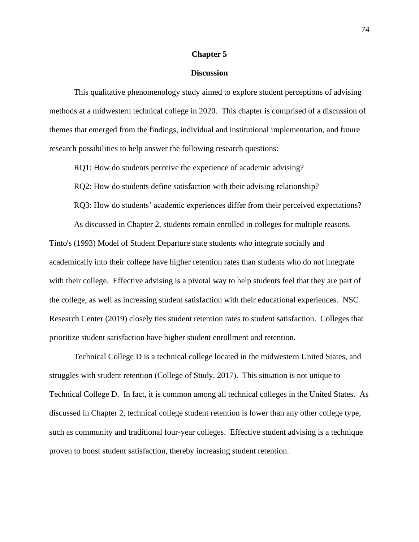#### **Chapter 5**

#### **Discussion**

This qualitative phenomenology study aimed to explore student perceptions of advising methods at a midwestern technical college in 2020. This chapter is comprised of a discussion of themes that emerged from the findings, individual and institutional implementation, and future research possibilities to help answer the following research questions:

RQ1: How do students perceive the experience of academic advising?

RQ2: How do students define satisfaction with their advising relationship?

RQ3: How do students' academic experiences differ from their perceived expectations?

As discussed in Chapter 2, students remain enrolled in colleges for multiple reasons. Tinto's (1993) Model of Student Departure state students who integrate socially and academically into their college have higher retention rates than students who do not integrate with their college. Effective advising is a pivotal way to help students feel that they are part of the college, as well as increasing student satisfaction with their educational experiences. NSC Research Center (2019) closely ties student retention rates to student satisfaction. Colleges that prioritize student satisfaction have higher student enrollment and retention.

Technical College D is a technical college located in the midwestern United States, and struggles with student retention (College of Study, 2017). This situation is not unique to Technical College D. In fact, it is common among all technical colleges in the United States. As discussed in Chapter 2, technical college student retention is lower than any other college type, such as community and traditional four-year colleges. Effective student advising is a technique proven to boost student satisfaction, thereby increasing student retention.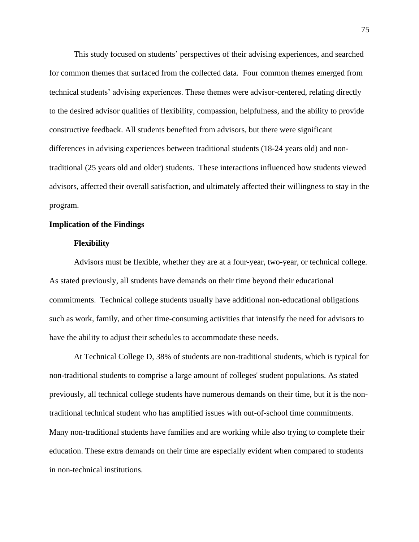This study focused on students' perspectives of their advising experiences, and searched for common themes that surfaced from the collected data. Four common themes emerged from technical students' advising experiences. These themes were advisor-centered, relating directly to the desired advisor qualities of flexibility, compassion, helpfulness, and the ability to provide constructive feedback. All students benefited from advisors, but there were significant differences in advising experiences between traditional students (18-24 years old) and nontraditional (25 years old and older) students. These interactions influenced how students viewed advisors, affected their overall satisfaction, and ultimately affected their willingness to stay in the program.

### **Implication of the Findings**

#### **Flexibility**

Advisors must be flexible, whether they are at a four-year, two-year, or technical college. As stated previously, all students have demands on their time beyond their educational commitments. Technical college students usually have additional non-educational obligations such as work, family, and other time-consuming activities that intensify the need for advisors to have the ability to adjust their schedules to accommodate these needs.

At Technical College D, 38% of students are non-traditional students, which is typical for non-traditional students to comprise a large amount of colleges' student populations. As stated previously, all technical college students have numerous demands on their time, but it is the nontraditional technical student who has amplified issues with out-of-school time commitments. Many non-traditional students have families and are working while also trying to complete their education. These extra demands on their time are especially evident when compared to students in non-technical institutions.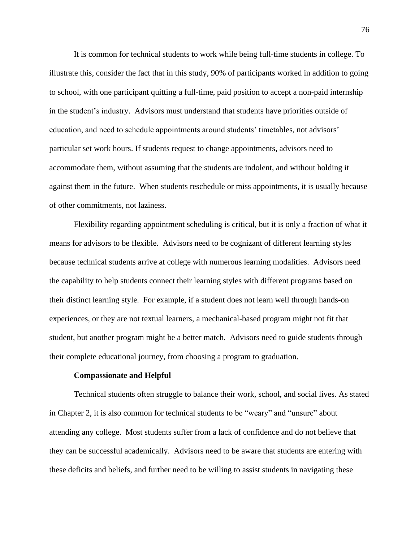It is common for technical students to work while being full-time students in college. To illustrate this, consider the fact that in this study, 90% of participants worked in addition to going to school, with one participant quitting a full-time, paid position to accept a non-paid internship in the student's industry. Advisors must understand that students have priorities outside of education, and need to schedule appointments around students' timetables, not advisors' particular set work hours. If students request to change appointments, advisors need to accommodate them, without assuming that the students are indolent, and without holding it against them in the future. When students reschedule or miss appointments, it is usually because of other commitments, not laziness.

Flexibility regarding appointment scheduling is critical, but it is only a fraction of what it means for advisors to be flexible. Advisors need to be cognizant of different learning styles because technical students arrive at college with numerous learning modalities. Advisors need the capability to help students connect their learning styles with different programs based on their distinct learning style. For example, if a student does not learn well through hands-on experiences, or they are not textual learners, a mechanical-based program might not fit that student, but another program might be a better match. Advisors need to guide students through their complete educational journey, from choosing a program to graduation.

### **Compassionate and Helpful**

Technical students often struggle to balance their work, school, and social lives. As stated in Chapter 2, it is also common for technical students to be "weary" and "unsure" about attending any college. Most students suffer from a lack of confidence and do not believe that they can be successful academically. Advisors need to be aware that students are entering with these deficits and beliefs, and further need to be willing to assist students in navigating these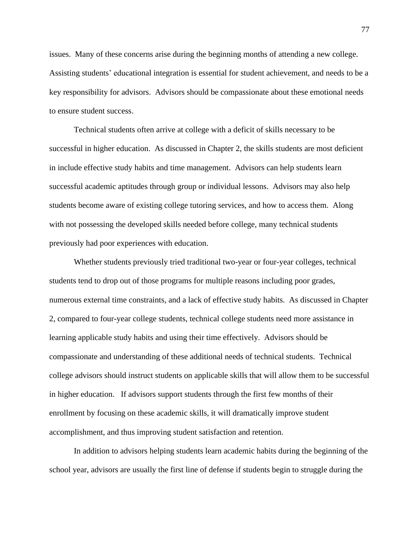issues. Many of these concerns arise during the beginning months of attending a new college. Assisting students' educational integration is essential for student achievement, and needs to be a key responsibility for advisors. Advisors should be compassionate about these emotional needs to ensure student success.

Technical students often arrive at college with a deficit of skills necessary to be successful in higher education. As discussed in Chapter 2, the skills students are most deficient in include effective study habits and time management. Advisors can help students learn successful academic aptitudes through group or individual lessons. Advisors may also help students become aware of existing college tutoring services, and how to access them. Along with not possessing the developed skills needed before college, many technical students previously had poor experiences with education.

Whether students previously tried traditional two-year or four-year colleges, technical students tend to drop out of those programs for multiple reasons including poor grades, numerous external time constraints, and a lack of effective study habits. As discussed in Chapter 2, compared to four-year college students, technical college students need more assistance in learning applicable study habits and using their time effectively. Advisors should be compassionate and understanding of these additional needs of technical students. Technical college advisors should instruct students on applicable skills that will allow them to be successful in higher education. If advisors support students through the first few months of their enrollment by focusing on these academic skills, it will dramatically improve student accomplishment, and thus improving student satisfaction and retention.

In addition to advisors helping students learn academic habits during the beginning of the school year, advisors are usually the first line of defense if students begin to struggle during the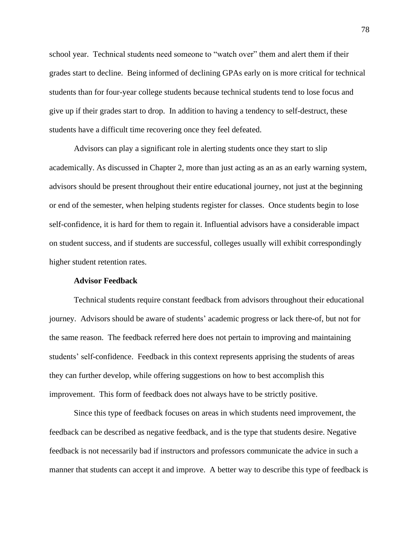school year. Technical students need someone to "watch over" them and alert them if their grades start to decline. Being informed of declining GPAs early on is more critical for technical students than for four-year college students because technical students tend to lose focus and give up if their grades start to drop. In addition to having a tendency to self-destruct, these students have a difficult time recovering once they feel defeated.

Advisors can play a significant role in alerting students once they start to slip academically. As discussed in Chapter 2, more than just acting as an as an early warning system, advisors should be present throughout their entire educational journey, not just at the beginning or end of the semester, when helping students register for classes. Once students begin to lose self-confidence, it is hard for them to regain it. Influential advisors have a considerable impact on student success, and if students are successful, colleges usually will exhibit correspondingly higher student retention rates.

#### **Advisor Feedback**

Technical students require constant feedback from advisors throughout their educational journey. Advisors should be aware of students' academic progress or lack there-of, but not for the same reason. The feedback referred here does not pertain to improving and maintaining students' self-confidence. Feedback in this context represents apprising the students of areas they can further develop, while offering suggestions on how to best accomplish this improvement. This form of feedback does not always have to be strictly positive.

Since this type of feedback focuses on areas in which students need improvement, the feedback can be described as negative feedback, and is the type that students desire. Negative feedback is not necessarily bad if instructors and professors communicate the advice in such a manner that students can accept it and improve. A better way to describe this type of feedback is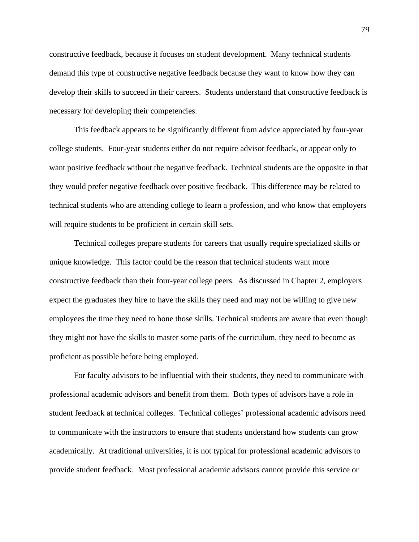constructive feedback, because it focuses on student development. Many technical students demand this type of constructive negative feedback because they want to know how they can develop their skills to succeed in their careers. Students understand that constructive feedback is necessary for developing their competencies.

This feedback appears to be significantly different from advice appreciated by four-year college students. Four-year students either do not require advisor feedback, or appear only to want positive feedback without the negative feedback. Technical students are the opposite in that they would prefer negative feedback over positive feedback. This difference may be related to technical students who are attending college to learn a profession, and who know that employers will require students to be proficient in certain skill sets.

Technical colleges prepare students for careers that usually require specialized skills or unique knowledge. This factor could be the reason that technical students want more constructive feedback than their four-year college peers. As discussed in Chapter 2, employers expect the graduates they hire to have the skills they need and may not be willing to give new employees the time they need to hone those skills. Technical students are aware that even though they might not have the skills to master some parts of the curriculum, they need to become as proficient as possible before being employed.

For faculty advisors to be influential with their students, they need to communicate with professional academic advisors and benefit from them. Both types of advisors have a role in student feedback at technical colleges. Technical colleges' professional academic advisors need to communicate with the instructors to ensure that students understand how students can grow academically. At traditional universities, it is not typical for professional academic advisors to provide student feedback. Most professional academic advisors cannot provide this service or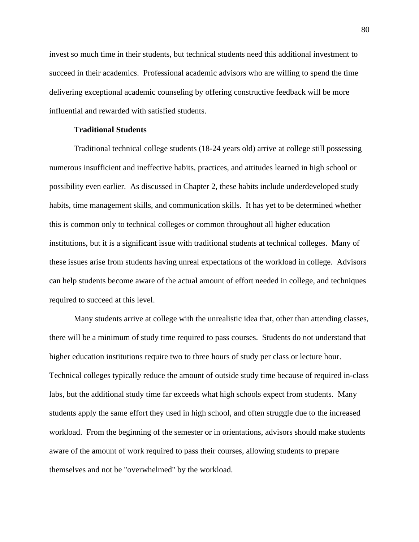invest so much time in their students, but technical students need this additional investment to succeed in their academics. Professional academic advisors who are willing to spend the time delivering exceptional academic counseling by offering constructive feedback will be more influential and rewarded with satisfied students.

## **Traditional Students**

Traditional technical college students (18-24 years old) arrive at college still possessing numerous insufficient and ineffective habits, practices, and attitudes learned in high school or possibility even earlier. As discussed in Chapter 2, these habits include underdeveloped study habits, time management skills, and communication skills. It has yet to be determined whether this is common only to technical colleges or common throughout all higher education institutions, but it is a significant issue with traditional students at technical colleges. Many of these issues arise from students having unreal expectations of the workload in college. Advisors can help students become aware of the actual amount of effort needed in college, and techniques required to succeed at this level.

Many students arrive at college with the unrealistic idea that, other than attending classes, there will be a minimum of study time required to pass courses. Students do not understand that higher education institutions require two to three hours of study per class or lecture hour. Technical colleges typically reduce the amount of outside study time because of required in-class labs, but the additional study time far exceeds what high schools expect from students. Many students apply the same effort they used in high school, and often struggle due to the increased workload. From the beginning of the semester or in orientations, advisors should make students aware of the amount of work required to pass their courses, allowing students to prepare themselves and not be "overwhelmed" by the workload.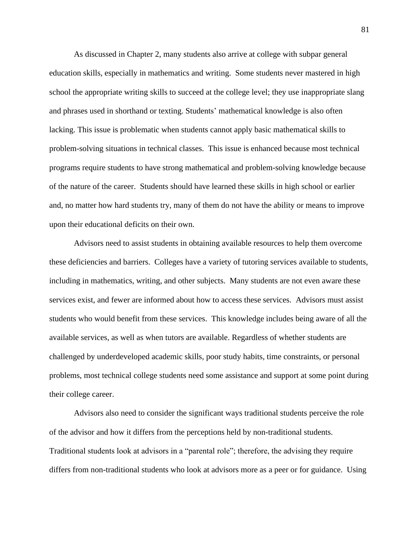As discussed in Chapter 2, many students also arrive at college with subpar general education skills, especially in mathematics and writing. Some students never mastered in high school the appropriate writing skills to succeed at the college level; they use inappropriate slang and phrases used in shorthand or texting. Students' mathematical knowledge is also often lacking. This issue is problematic when students cannot apply basic mathematical skills to problem-solving situations in technical classes. This issue is enhanced because most technical programs require students to have strong mathematical and problem-solving knowledge because of the nature of the career. Students should have learned these skills in high school or earlier and, no matter how hard students try, many of them do not have the ability or means to improve upon their educational deficits on their own.

Advisors need to assist students in obtaining available resources to help them overcome these deficiencies and barriers. Colleges have a variety of tutoring services available to students, including in mathematics, writing, and other subjects. Many students are not even aware these services exist, and fewer are informed about how to access these services. Advisors must assist students who would benefit from these services. This knowledge includes being aware of all the available services, as well as when tutors are available. Regardless of whether students are challenged by underdeveloped academic skills, poor study habits, time constraints, or personal problems, most technical college students need some assistance and support at some point during their college career.

Advisors also need to consider the significant ways traditional students perceive the role of the advisor and how it differs from the perceptions held by non-traditional students. Traditional students look at advisors in a "parental role"; therefore, the advising they require differs from non-traditional students who look at advisors more as a peer or for guidance. Using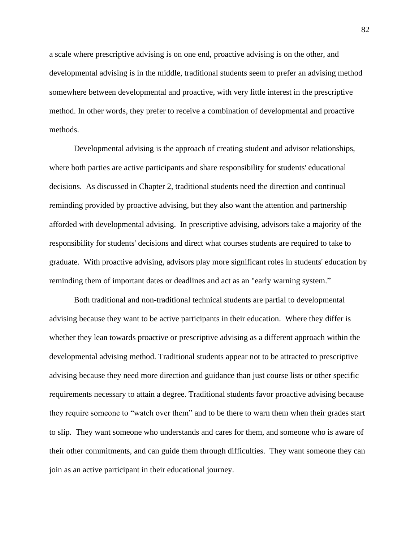a scale where prescriptive advising is on one end, proactive advising is on the other, and developmental advising is in the middle, traditional students seem to prefer an advising method somewhere between developmental and proactive, with very little interest in the prescriptive method. In other words, they prefer to receive a combination of developmental and proactive methods.

Developmental advising is the approach of creating student and advisor relationships, where both parties are active participants and share responsibility for students' educational decisions. As discussed in Chapter 2, traditional students need the direction and continual reminding provided by proactive advising, but they also want the attention and partnership afforded with developmental advising. In prescriptive advising, advisors take a majority of the responsibility for students' decisions and direct what courses students are required to take to graduate.With proactive advising, advisors play more significant roles in students' education by reminding them of important dates or deadlines and act as an "early warning system."

Both traditional and non-traditional technical students are partial to developmental advising because they want to be active participants in their education. Where they differ is whether they lean towards proactive or prescriptive advising as a different approach within the developmental advising method. Traditional students appear not to be attracted to prescriptive advising because they need more direction and guidance than just course lists or other specific requirements necessary to attain a degree. Traditional students favor proactive advising because they require someone to "watch over them" and to be there to warn them when their grades start to slip. They want someone who understands and cares for them, and someone who is aware of their other commitments, and can guide them through difficulties. They want someone they can join as an active participant in their educational journey.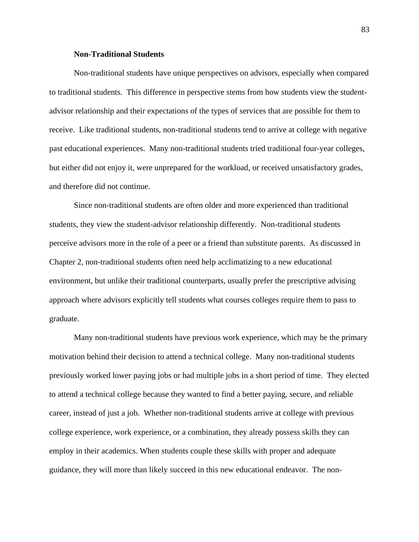## **Non-Traditional Students**

Non-traditional students have unique perspectives on advisors, especially when compared to traditional students. This difference in perspective stems from how students view the studentadvisor relationship and their expectations of the types of services that are possible for them to receive. Like traditional students, non-traditional students tend to arrive at college with negative past educational experiences. Many non-traditional students tried traditional four-year colleges, but either did not enjoy it, were unprepared for the workload, or received unsatisfactory grades, and therefore did not continue.

Since non-traditional students are often older and more experienced than traditional students, they view the student-advisor relationship differently. Non-traditional students perceive advisors more in the role of a peer or a friend than substitute parents. As discussed in Chapter 2, non-traditional students often need help acclimatizing to a new educational environment, but unlike their traditional counterparts, usually prefer the prescriptive advising approach where advisors explicitly tell students what courses colleges require them to pass to graduate.

Many non-traditional students have previous work experience, which may be the primary motivation behind their decision to attend a technical college. Many non-traditional students previously worked lower paying jobs or had multiple jobs in a short period of time. They elected to attend a technical college because they wanted to find a better paying, secure, and reliable career, instead of just a job. Whether non-traditional students arrive at college with previous college experience, work experience, or a combination, they already possess skills they can employ in their academics. When students couple these skills with proper and adequate guidance, they will more than likely succeed in this new educational endeavor. The non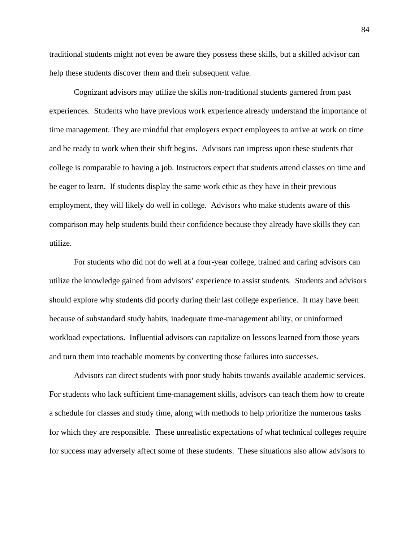traditional students might not even be aware they possess these skills, but a skilled advisor can help these students discover them and their subsequent value.

Cognizant advisors may utilize the skills non-traditional students garnered from past experiences. Students who have previous work experience already understand the importance of time management. They are mindful that employers expect employees to arrive at work on time and be ready to work when their shift begins. Advisors can impress upon these students that college is comparable to having a job. Instructors expect that students attend classes on time and be eager to learn. If students display the same work ethic as they have in their previous employment, they will likely do well in college. Advisors who make students aware of this comparison may help students build their confidence because they already have skills they can utilize.

For students who did not do well at a four-year college, trained and caring advisors can utilize the knowledge gained from advisors' experience to assist students. Students and advisors should explore why students did poorly during their last college experience. It may have been because of substandard study habits, inadequate time-management ability, or uninformed workload expectations. Influential advisors can capitalize on lessons learned from those years and turn them into teachable moments by converting those failures into successes.

Advisors can direct students with poor study habits towards available academic services. For students who lack sufficient time-management skills, advisors can teach them how to create a schedule for classes and study time, along with methods to help prioritize the numerous tasks for which they are responsible. These unrealistic expectations of what technical colleges require for success may adversely affect some of these students. These situations also allow advisors to

84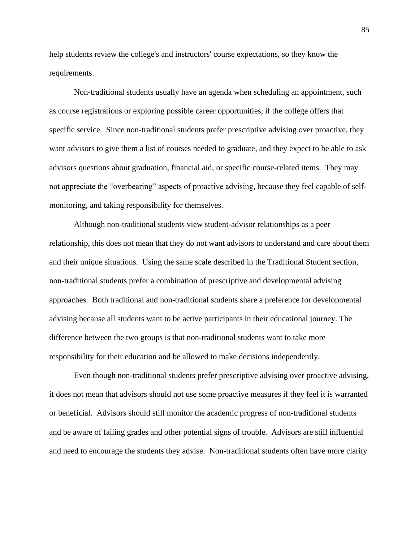help students review the college's and instructors' course expectations, so they know the requirements.

Non-traditional students usually have an agenda when scheduling an appointment, such as course registrations or exploring possible career opportunities, if the college offers that specific service. Since non-traditional students prefer prescriptive advising over proactive, they want advisors to give them a list of courses needed to graduate, and they expect to be able to ask advisors questions about graduation, financial aid, or specific course-related items. They may not appreciate the "overbearing" aspects of proactive advising, because they feel capable of selfmonitoring, and taking responsibility for themselves.

Although non-traditional students view student-advisor relationships as a peer relationship, this does not mean that they do not want advisors to understand and care about them and their unique situations. Using the same scale described in the Traditional Student section, non-traditional students prefer a combination of prescriptive and developmental advising approaches. Both traditional and non-traditional students share a preference for developmental advising because all students want to be active participants in their educational journey. The difference between the two groups is that non-traditional students want to take more responsibility for their education and be allowed to make decisions independently.

Even though non-traditional students prefer prescriptive advising over proactive advising, it does not mean that advisors should not use some proactive measures if they feel it is warranted or beneficial. Advisors should still monitor the academic progress of non-traditional students and be aware of failing grades and other potential signs of trouble. Advisors are still influential and need to encourage the students they advise. Non-traditional students often have more clarity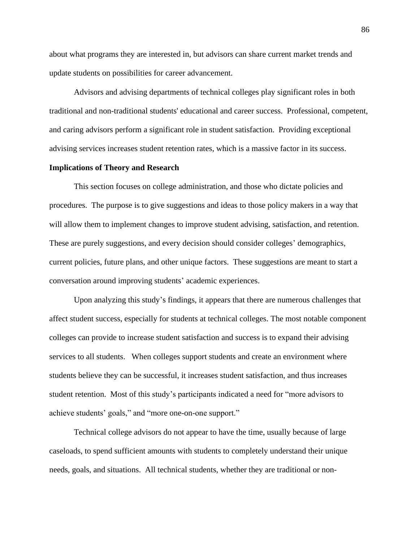about what programs they are interested in, but advisors can share current market trends and update students on possibilities for career advancement.

Advisors and advising departments of technical colleges play significant roles in both traditional and non-traditional students' educational and career success. Professional, competent, and caring advisors perform a significant role in student satisfaction. Providing exceptional advising services increases student retention rates, which is a massive factor in its success.

#### **Implications of Theory and Research**

This section focuses on college administration, and those who dictate policies and procedures. The purpose is to give suggestions and ideas to those policy makers in a way that will allow them to implement changes to improve student advising, satisfaction, and retention. These are purely suggestions, and every decision should consider colleges' demographics, current policies, future plans, and other unique factors. These suggestions are meant to start a conversation around improving students' academic experiences.

Upon analyzing this study's findings, it appears that there are numerous challenges that affect student success, especially for students at technical colleges. The most notable component colleges can provide to increase student satisfaction and success is to expand their advising services to all students. When colleges support students and create an environment where students believe they can be successful, it increases student satisfaction, and thus increases student retention. Most of this study's participants indicated a need for "more advisors to achieve students' goals," and "more one-on-one support."

Technical college advisors do not appear to have the time, usually because of large caseloads, to spend sufficient amounts with students to completely understand their unique needs, goals, and situations. All technical students, whether they are traditional or non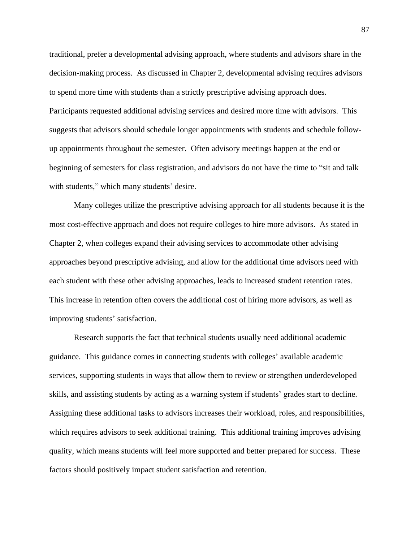traditional, prefer a developmental advising approach, where students and advisors share in the decision-making process. As discussed in Chapter 2, developmental advising requires advisors to spend more time with students than a strictly prescriptive advising approach does. Participants requested additional advising services and desired more time with advisors. This suggests that advisors should schedule longer appointments with students and schedule followup appointments throughout the semester. Often advisory meetings happen at the end or beginning of semesters for class registration, and advisors do not have the time to "sit and talk with students," which many students' desire.

Many colleges utilize the prescriptive advising approach for all students because it is the most cost-effective approach and does not require colleges to hire more advisors. As stated in Chapter 2, when colleges expand their advising services to accommodate other advising approaches beyond prescriptive advising, and allow for the additional time advisors need with each student with these other advising approaches, leads to increased student retention rates. This increase in retention often covers the additional cost of hiring more advisors, as well as improving students' satisfaction.

Research supports the fact that technical students usually need additional academic guidance. This guidance comes in connecting students with colleges' available academic services, supporting students in ways that allow them to review or strengthen underdeveloped skills, and assisting students by acting as a warning system if students' grades start to decline. Assigning these additional tasks to advisors increases their workload, roles, and responsibilities, which requires advisors to seek additional training. This additional training improves advising quality, which means students will feel more supported and better prepared for success. These factors should positively impact student satisfaction and retention.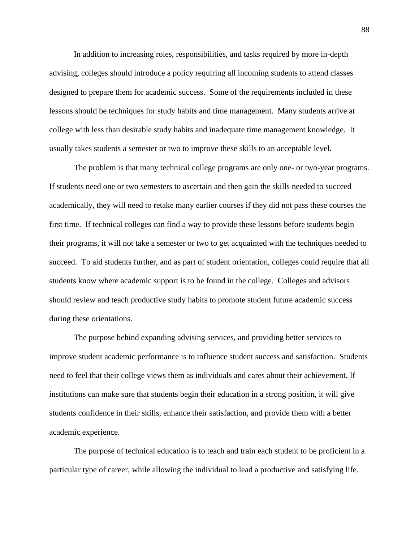In addition to increasing roles, responsibilities, and tasks required by more in-depth advising, colleges should introduce a policy requiring all incoming students to attend classes designed to prepare them for academic success. Some of the requirements included in these lessons should be techniques for study habits and time management. Many students arrive at college with less than desirable study habits and inadequate time management knowledge. It usually takes students a semester or two to improve these skills to an acceptable level.

The problem is that many technical college programs are only one- or two-year programs. If students need one or two semesters to ascertain and then gain the skills needed to succeed academically, they will need to retake many earlier courses if they did not pass these courses the first time. If technical colleges can find a way to provide these lessons before students begin their programs, it will not take a semester or two to get acquainted with the techniques needed to succeed. To aid students further, and as part of student orientation, colleges could require that all students know where academic support is to be found in the college. Colleges and advisors should review and teach productive study habits to promote student future academic success during these orientations.

The purpose behind expanding advising services, and providing better services to improve student academic performance is to influence student success and satisfaction. Students need to feel that their college views them as individuals and cares about their achievement. If institutions can make sure that students begin their education in a strong position, it will give students confidence in their skills, enhance their satisfaction, and provide them with a better academic experience.

The purpose of technical education is to teach and train each student to be proficient in a particular type of career, while allowing the individual to lead a productive and satisfying life.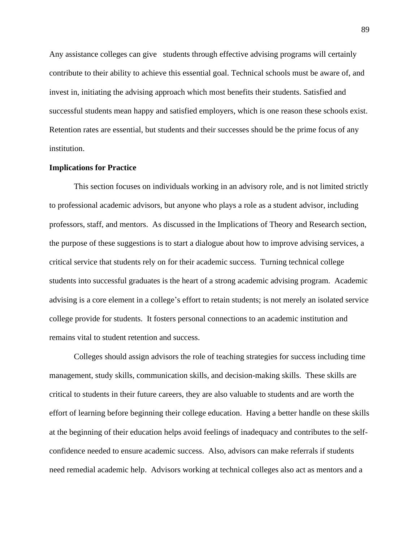Any assistance colleges can give students through effective advising programs will certainly contribute to their ability to achieve this essential goal. Technical schools must be aware of, and invest in, initiating the advising approach which most benefits their students. Satisfied and successful students mean happy and satisfied employers, which is one reason these schools exist. Retention rates are essential, but students and their successes should be the prime focus of any institution.

#### **Implications for Practice**

This section focuses on individuals working in an advisory role, and is not limited strictly to professional academic advisors, but anyone who plays a role as a student advisor, including professors, staff, and mentors. As discussed in the Implications of Theory and Research section, the purpose of these suggestions is to start a dialogue about how to improve advising services, a critical service that students rely on for their academic success. Turning technical college students into successful graduates is the heart of a strong academic advising program. Academic advising is a core element in a college's effort to retain students; is not merely an isolated service college provide for students. It fosters personal connections to an academic institution and remains vital to student retention and success.

Colleges should assign advisors the role of teaching strategies for success including time management, study skills, communication skills, and decision-making skills. These skills are critical to students in their future careers, they are also valuable to students and are worth the effort of learning before beginning their college education. Having a better handle on these skills at the beginning of their education helps avoid feelings of inadequacy and contributes to the selfconfidence needed to ensure academic success. Also, advisors can make referrals if students need remedial academic help. Advisors working at technical colleges also act as mentors and a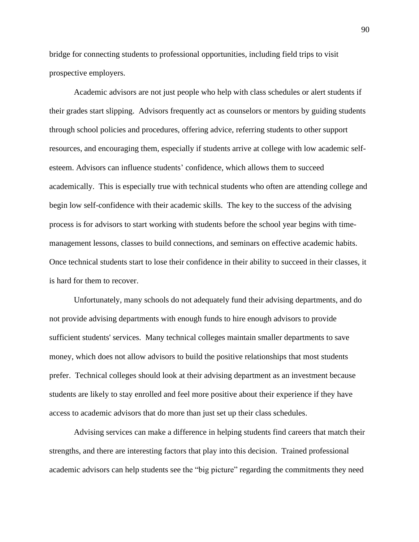bridge for connecting students to professional opportunities, including field trips to visit prospective employers.

Academic advisors are not just people who help with class schedules or alert students if their grades start slipping. Advisors frequently act as counselors or mentors by guiding students through school policies and procedures, offering advice, referring students to other support resources, and encouraging them, especially if students arrive at college with low academic selfesteem. Advisors can influence students' confidence, which allows them to succeed academically. This is especially true with technical students who often are attending college and begin low self-confidence with their academic skills. The key to the success of the advising process is for advisors to start working with students before the school year begins with timemanagement lessons, classes to build connections, and seminars on effective academic habits. Once technical students start to lose their confidence in their ability to succeed in their classes, it is hard for them to recover.

Unfortunately, many schools do not adequately fund their advising departments, and do not provide advising departments with enough funds to hire enough advisors to provide sufficient students' services. Many technical colleges maintain smaller departments to save money, which does not allow advisors to build the positive relationships that most students prefer. Technical colleges should look at their advising department as an investment because students are likely to stay enrolled and feel more positive about their experience if they have access to academic advisors that do more than just set up their class schedules.

Advising services can make a difference in helping students find careers that match their strengths, and there are interesting factors that play into this decision. Trained professional academic advisors can help students see the "big picture" regarding the commitments they need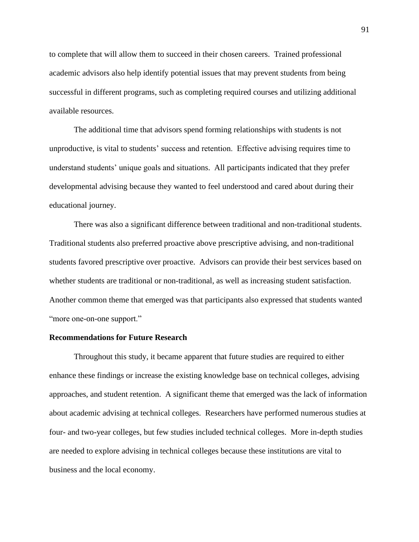to complete that will allow them to succeed in their chosen careers. Trained professional academic advisors also help identify potential issues that may prevent students from being successful in different programs, such as completing required courses and utilizing additional available resources.

The additional time that advisors spend forming relationships with students is not unproductive, is vital to students' success and retention. Effective advising requires time to understand students' unique goals and situations. All participants indicated that they prefer developmental advising because they wanted to feel understood and cared about during their educational journey.

There was also a significant difference between traditional and non-traditional students. Traditional students also preferred proactive above prescriptive advising, and non-traditional students favored prescriptive over proactive. Advisors can provide their best services based on whether students are traditional or non-traditional, as well as increasing student satisfaction. Another common theme that emerged was that participants also expressed that students wanted "more one-on-one support."

#### **Recommendations for Future Research**

Throughout this study, it became apparent that future studies are required to either enhance these findings or increase the existing knowledge base on technical colleges, advising approaches, and student retention. A significant theme that emerged was the lack of information about academic advising at technical colleges. Researchers have performed numerous studies at four- and two-year colleges, but few studies included technical colleges. More in-depth studies are needed to explore advising in technical colleges because these institutions are vital to business and the local economy.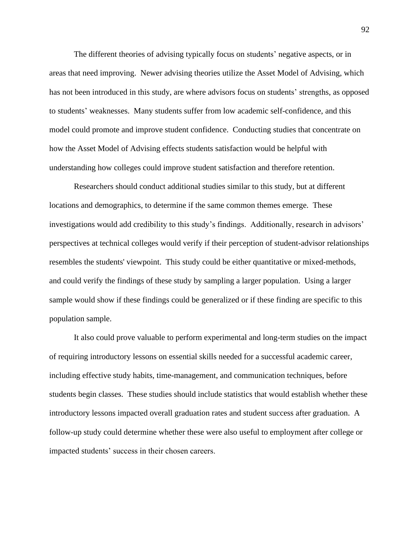The different theories of advising typically focus on students' negative aspects, or in areas that need improving. Newer advising theories utilize the Asset Model of Advising, which has not been introduced in this study, are where advisors focus on students' strengths, as opposed to students' weaknesses. Many students suffer from low academic self-confidence, and this model could promote and improve student confidence. Conducting studies that concentrate on how the Asset Model of Advising effects students satisfaction would be helpful with understanding how colleges could improve student satisfaction and therefore retention.

Researchers should conduct additional studies similar to this study, but at different locations and demographics, to determine if the same common themes emerge. These investigations would add credibility to this study's findings. Additionally, research in advisors' perspectives at technical colleges would verify if their perception of student-advisor relationships resembles the students' viewpoint. This study could be either quantitative or mixed-methods, and could verify the findings of these study by sampling a larger population. Using a larger sample would show if these findings could be generalized or if these finding are specific to this population sample.

It also could prove valuable to perform experimental and long-term studies on the impact of requiring introductory lessons on essential skills needed for a successful academic career, including effective study habits, time-management, and communication techniques, before students begin classes. These studies should include statistics that would establish whether these introductory lessons impacted overall graduation rates and student success after graduation. A follow-up study could determine whether these were also useful to employment after college or impacted students' success in their chosen careers.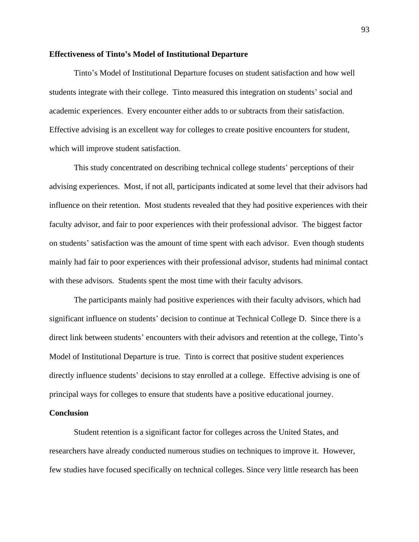#### **Effectiveness of Tinto's Model of Institutional Departure**

Tinto's Model of Institutional Departure focuses on student satisfaction and how well students integrate with their college. Tinto measured this integration on students' social and academic experiences. Every encounter either adds to or subtracts from their satisfaction. Effective advising is an excellent way for colleges to create positive encounters for student, which will improve student satisfaction.

This study concentrated on describing technical college students' perceptions of their advising experiences. Most, if not all, participants indicated at some level that their advisors had influence on their retention. Most students revealed that they had positive experiences with their faculty advisor, and fair to poor experiences with their professional advisor. The biggest factor on students' satisfaction was the amount of time spent with each advisor. Even though students mainly had fair to poor experiences with their professional advisor, students had minimal contact with these advisors. Students spent the most time with their faculty advisors.

The participants mainly had positive experiences with their faculty advisors, which had significant influence on students' decision to continue at Technical College D. Since there is a direct link between students' encounters with their advisors and retention at the college, Tinto's Model of Institutional Departure is true. Tinto is correct that positive student experiences directly influence students' decisions to stay enrolled at a college. Effective advising is one of principal ways for colleges to ensure that students have a positive educational journey.

## **Conclusion**

Student retention is a significant factor for colleges across the United States, and researchers have already conducted numerous studies on techniques to improve it. However, few studies have focused specifically on technical colleges. Since very little research has been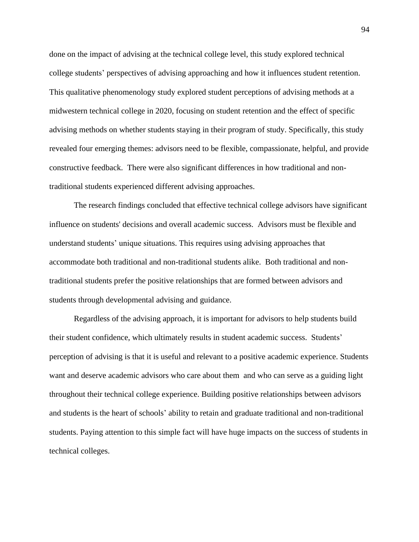done on the impact of advising at the technical college level, this study explored technical college students' perspectives of advising approaching and how it influences student retention. This qualitative phenomenology study explored student perceptions of advising methods at a midwestern technical college in 2020, focusing on student retention and the effect of specific advising methods on whether students staying in their program of study. Specifically, this study revealed four emerging themes: advisors need to be flexible, compassionate, helpful, and provide constructive feedback. There were also significant differences in how traditional and nontraditional students experienced different advising approaches.

The research findings concluded that effective technical college advisors have significant influence on students' decisions and overall academic success. Advisors must be flexible and understand students' unique situations. This requires using advising approaches that accommodate both traditional and non-traditional students alike. Both traditional and nontraditional students prefer the positive relationships that are formed between advisors and students through developmental advising and guidance.

Regardless of the advising approach, it is important for advisors to help students build their student confidence, which ultimately results in student academic success. Students' perception of advising is that it is useful and relevant to a positive academic experience. Students want and deserve academic advisors who care about them and who can serve as a guiding light throughout their technical college experience. Building positive relationships between advisors and students is the heart of schools' ability to retain and graduate traditional and non-traditional students. Paying attention to this simple fact will have huge impacts on the success of students in technical colleges.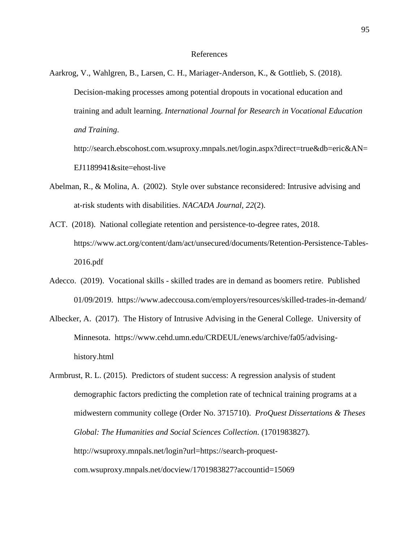Aarkrog, V., Wahlgren, B., Larsen, C. H., Mariager-Anderson, K., & Gottlieb, S. (2018). Decision-making processes among potential dropouts in vocational education and training and adult learning. *International Journal for Research in Vocational Education and Training*. http://search.ebscohost.com.wsuproxy.mnpals.net/login.aspx?direct=true&db=eric&AN=

EJ1189941&site=ehost-live

- Abelman, R., & Molina, A. (2002). Style over substance reconsidered: Intrusive advising and at-risk students with disabilities. *NACADA Journal, 22*(2).
- ACT. (2018). National collegiate retention and persistence-to-degree rates, 2018. https://www.act.org/content/dam/act/unsecured/documents/Retention-Persistence-Tables-2016.pdf
- Adecco. (2019). Vocational skills skilled trades are in demand as boomers retire. Published 01/09/2019. https://www.adeccousa.com/employers/resources/skilled-trades-in-demand/
- Albecker, A. (2017). The History of Intrusive Advising in the General College. University of Minnesota. https://www.cehd.umn.edu/CRDEUL/enews/archive/fa05/advisinghistory.html
- Armbrust, R. L. (2015). Predictors of student success: A regression analysis of student demographic factors predicting the completion rate of technical training programs at a midwestern community college (Order No. 3715710). *ProQuest Dissertations & Theses Global: The Humanities and Social Sciences Collection*. (1701983827). [http://wsuproxy.mnpals.net/login?url=https://search-proquest](http://wsuproxy.mnpals.net/login?url=https://search-proquest-com.wsuproxy.mnpals.net/docview/1701983827?accountid=15069)[com.wsuproxy.mnpals.net/docview/1701983827?accountid=15069](http://wsuproxy.mnpals.net/login?url=https://search-proquest-com.wsuproxy.mnpals.net/docview/1701983827?accountid=15069)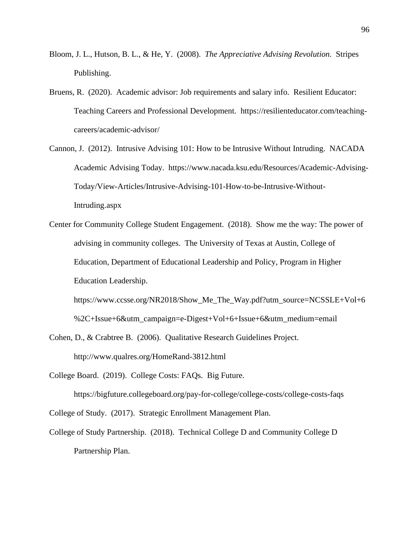- Bloom, J. L., Hutson, B. L., & He, Y. (2008). *The Appreciative Advising Revolution.* Stripes Publishing.
- Bruens, R. (2020). Academic advisor: Job requirements and salary info. Resilient Educator: Teaching Careers and Professional Development. https://resilienteducator.com/teachingcareers/academic-advisor/
- Cannon, J. (2012). Intrusive Advising 101: How to be Intrusive Without Intruding. NACADA Academic Advising Today. https://www.nacada.ksu.edu/Resources/Academic-Advising-Today/View-Articles/Intrusive-Advising-101-How-to-be-Intrusive-Without-Intruding.aspx
- Center for Community College Student Engagement. (2018). Show me the way: The power of advising in community colleges. The University of Texas at Austin, College of Education, Department of Educational Leadership and Policy, Program in Higher Education Leadership.

https://www.ccsse.org/NR2018/Show\_Me\_The\_Way.pdf?utm\_source=NCSSLE+Vol+6 %2C+Issue+6&utm\_campaign=e-Digest+Vol+6+Issue+6&utm\_medium=email

Cohen, D., & Crabtree B. (2006). Qualitative Research Guidelines Project. http://www.qualres.org/HomeRand-3812.html

College Board. (2019). College Costs: FAQs. Big Future.

https://bigfuture.collegeboard.org/pay-for-college/college-costs/college-costs-faqs College of Study. (2017). Strategic Enrollment Management Plan.

College of Study Partnership. (2018). Technical College D and Community College D Partnership Plan.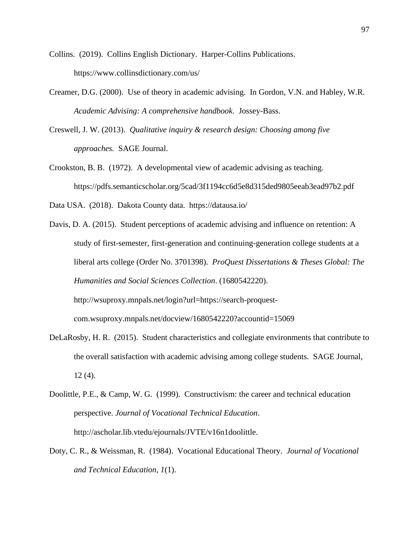Collins. (2019). Collins English Dictionary. Harper-Collins Publications. <https://www.collinsdictionary.com/us/>

- Creamer, D.G. (2000). Use of theory in academic advising. In Gordon, V.N. and Habley, W.R. *Academic Advising: A comprehensive handbook*. Jossey-Bass.
- Creswell, J. W. (2013). *Qualitative inquiry & research design: Choosing among five approaches.* SAGE Journal.
- Crookston, B. B. (1972). A developmental view of academic advising as teaching. https://pdfs.semanticscholar.org/5cad/3f1194cc6d5e8d315ded9805eeab3ead97b2.pdf
- Data USA. (2018). Dakota County data. <https://datausa.io/>
- Davis, D. A. (2015). Student perceptions of academic advising and influence on retention: A study of first-semester, first-generation and continuing-generation college students at a liberal arts college (Order No. 3701398). *ProQuest Dissertations & Theses Global: The Humanities and Social Sciences Collection*. (1680542220). [http://wsuproxy.mnpals.net/login?url=https://search-proquest](http://wsuproxy.mnpals.net/login?url=https://search-proquest-com.wsuproxy.mnpals.net/docview/1680542220?accountid=15069)[com.wsuproxy.mnpals.net/docview/1680542220?accountid=15069](http://wsuproxy.mnpals.net/login?url=https://search-proquest-com.wsuproxy.mnpals.net/docview/1680542220?accountid=15069)
- DeLaRosby, H. R. (2015). Student characteristics and collegiate environments that contribute to the overall satisfaction with academic advising among college students. SAGE Journal, 12 (4).
- Doolittle, P.E., & Camp, W. G. (1999). Constructivism: the career and technical education perspective. *Journal of Vocational Technical Education*. [http://ascholar.lib.vtedu/ejournals/JVTE/v16n1doolittle.](http://ascholar.lib.vtedu/ejournals/JVTE/v16n1doolittle)
- Doty, C. R., & Weissman, R. (1984). Vocational Educational Theory. *Journal of Vocational and Technical Education, 1*(1).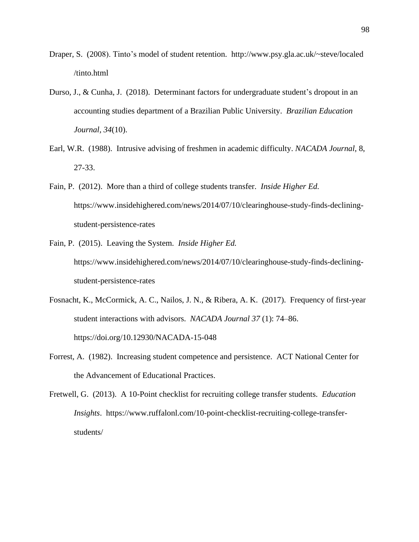- Draper, S. (2008). Tinto's model of student retention. http://www.psy.gla.ac.uk/~steve/localed /tinto.html
- Durso, J., & Cunha, J. (2018). Determinant factors for undergraduate student's dropout in an accounting studies department of a Brazilian Public University. *Brazilian Education Journal, 34*(10).
- Earl, W.R. (1988). Intrusive advising of freshmen in academic difficulty. *NACADA Journal*, 8, 27-33.
- Fain, P. (2012). More than a third of college students transfer. *Inside Higher Ed.* https://www.insidehighered.com/news/2014/07/10/clearinghouse-study-finds-decliningstudent-persistence-rates
- Fain, P. (2015). Leaving the System. *Inside Higher Ed.* https://www.insidehighered.com/news/2014/07/10/clearinghouse-study-finds-decliningstudent-persistence-rates
- Fosnacht, K., McCormick, A. C., Nailos, J. N., & Ribera, A. K. (2017). Frequency of first-year student interactions with advisors. *NACADA Journal 37* (1): 74–86. <https://doi.org/10.12930/NACADA-15-048>
- Forrest, A. (1982). Increasing student competence and persistence. ACT National Center for the Advancement of Educational Practices.
- Fretwell, G. (2013). A 10-Point checklist for recruiting college transfer students. *Education Insights*. https://www.ruffalonl.com/10-point-checklist-recruiting-college-transferstudents/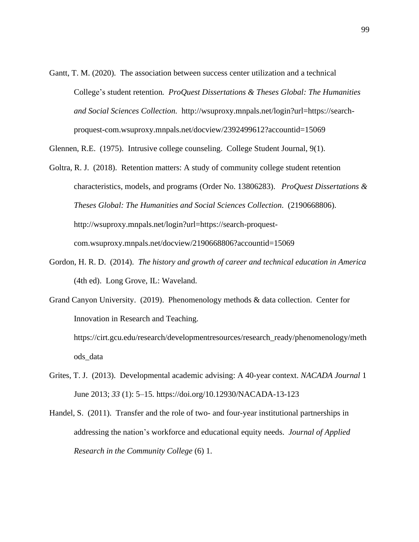Gantt, T. M. (2020). The association between success center utilization and a technical College's student retention*. ProQuest Dissertations & Theses Global: The Humanities and Social Sciences Collection.* http://wsuproxy.mnpals.net/login?url=https://searchproquest-com.wsuproxy.mnpals.net/docview/2392499612?accountid=15069

Glennen, R.E. (1975). Intrusive college counseling. College Student Journal, 9(1).

- Goltra, R. J. (2018). Retention matters: A study of community college student retention characteristics, models, and programs (Order No. 13806283). *ProQuest Dissertations & Theses Global: The Humanities and Social Sciences Collection*. (2190668806). [http://wsuproxy.mnpals.net/login?url=https://search-proquest](http://wsuproxy.mnpals.net/login?url=https://search-proquest-com.wsuproxy.mnpals.net/docview/2190668806?accountid=15069)[com.wsuproxy.mnpals.net/docview/2190668806?accountid=15069](http://wsuproxy.mnpals.net/login?url=https://search-proquest-com.wsuproxy.mnpals.net/docview/2190668806?accountid=15069)
- Gordon, H. R. D. (2014). *The history and growth of career and technical education in America* (4th ed). Long Grove, IL: Waveland.
- Grand Canyon University. (2019). Phenomenology methods & data collection. Center for Innovation in Research and Teaching.

https://cirt.gcu.edu/research/developmentresources/research\_ready/phenomenology/meth ods\_data

- Grites, T. J. (2013). Developmental academic advising: A 40-year context. *NACADA Journal* 1 June 2013; *33* (1): 5–15. https://doi.org/10.12930/NACADA-13-123
- Handel, S. (2011). Transfer and the role of two- and four-year institutional partnerships in addressing the nation's workforce and educational equity needs. *Journal of Applied Research in the Community College* (6) 1.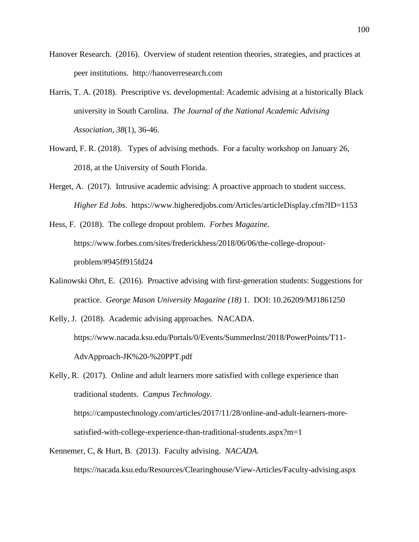- Hanover Research. (2016). Overview of student retention theories, strategies, and practices at peer institutions. http://hanoverresearch.com
- Harris, T. A. (2018). Prescriptive vs. developmental: Academic advising at a historically Black university in South Carolina. *The Journal of the National Academic Advising Association, 38*(1), 36-46.
- Howard, F. R. (2018). Types of advising methods. For a faculty workshop on January 26, 2018, at the University of South Florida.
- Herget, A. (2017). Intrusive academic advising: A proactive approach to student success. *Higher Ed Jobs*. https://www.higheredjobs.com/Articles/articleDisplay.cfm?ID=1153

Hess, F. (2018). The college dropout problem. *Forbes Magazine.* https://www.forbes.com/sites/frederickhess/2018/06/06/the-college-dropoutproblem/#945ff915fd24

- [Kalinowski](https://journals.psu.edu/mentor/article/download/61250/60883?inline=1#ohrt) Ohrt, E. (2016). Proactive advising with first-generation students: Suggestions for practice. *George Mason University Magazine (18)* 1. DOI: 10.26209/MJ1861250
- Kelly, J. (2018). Academic advising approaches. NACADA. https://www.nacada.ksu.edu/Portals/0/Events/SummerInst/2018/PowerPoints/T11- AdvApproach-JK%20-%20PPT.pdf

Kelly, R. (2017). Online and adult learners more satisfied with college experience than traditional students. *Campus Technology.* https://campustechnology.com/articles/2017/11/28/online-and-adult-learners-moresatisfied-with-college-experience-than-traditional-students.aspx?m=1

Kennemer, C, & Hurt, B. (2013). Faculty advising. *NACADA.* https://nacada.ksu.edu/Resources/Clearinghouse/View-Articles/Faculty-advising.aspx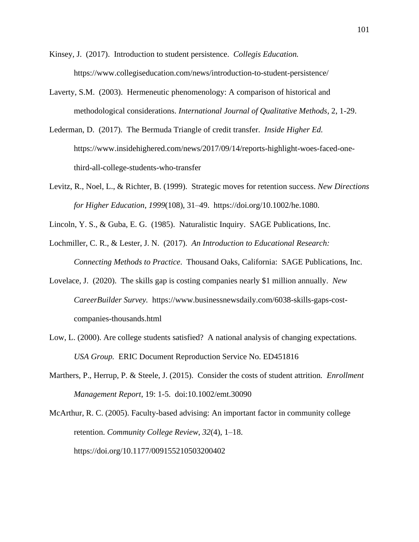- Kinsey, J. (2017). Introduction to student persistence. *Collegis Education.* https://www.collegiseducation.com/news/introduction-to-student-persistence/
- Laverty, S.M. (2003). Hermeneutic phenomenology: A comparison of historical and methodological considerations. *International Journal of Qualitative Methods*, 2, 1-29.
- Lederman, D. (2017). The Bermuda Triangle of credit transfer. *Inside Higher Ed.* https://www.insidehighered.com/news/2017/09/14/reports-highlight-woes-faced-onethird-all-college-students-who-transfer
- Levitz, R., Noel, L., & Richter, B. (1999). Strategic moves for retention success. *New Directions for Higher Education*, *1999*(108), 31–49. https://doi.org/10.1002/he.1080.
- Lincoln, Y. S., & Guba, E. G. (1985). [Naturalistic Inquiry.](https://www.amazon.com/dp/0803924313/ref=rdr_ext_tmb) SAGE Publications, Inc.
- Lochmiller, C. R., & Lester, J. N. (2017). *An Introduction to Educational Research: Connecting Methods to Practice*. Thousand Oaks, California: SAGE Publications, Inc.
- Lovelace, J. (2020). The skills gap is costing companies nearly \$1 million annually. *New CareerBuilder Survey.* https://www.businessnewsdaily.com/6038-skills-gaps-costcompanies-thousands.html
- Low, L. (2000). Are college students satisfied? A national analysis of changing expectations. *USA Group.* ERIC Document Reproduction Service No. ED451816
- Marthers, P., Herrup, P. & Steele, J. (2015). Consider the costs of student attrition*. Enrollment Management Report*, 19: 1-5. doi:10.1002/emt.30090

McArthur, R. C. (2005). Faculty-based advising: An important factor in community college retention. *Community College Review*, *32*(4), 1–18. https://doi.org/10.1177/009155210503200402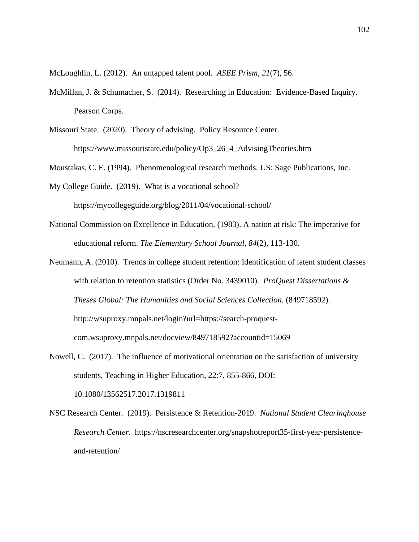McLoughlin, L. (2012). An untapped talent pool. *ASEE Prism, 21*(7), 56.

McMillan, J. & Schumacher, S. (2014). Researching in Education: Evidence-Based Inquiry. Pearson Corps.

Missouri State. (2020). Theory of advising. Policy Resource Center. https://www.missouristate.edu/policy/Op3\_26\_4\_AdvisingTheories.htm

Moustakas, C. E. (1994). Phenomenological research methods. US: Sage Publications, Inc.

My College Guide. (2019). What is a vocational school? <https://mycollegeguide.org/blog/2011/04/vocational-school/>

- National Commission on Excellence in Education. (1983). A nation at risk: The imperative for educational reform. *The Elementary School Journal, 84*(2), 113-130.
- Neumann, A. (2010). Trends in college student retention: Identification of latent student classes with relation to retention statistics (Order No. 3439010). *ProQuest Dissertations & Theses Global: The Humanities and Social Sciences Collection.* (849718592). [http://wsuproxy.mnpals.net/login?url=https://search-proquest](http://wsuproxy.mnpals.net/login?url=https://search-proquest-com.wsuproxy.mnpals.net/docview/849718592?accountid=15069)[com.wsuproxy.mnpals.net/docview/849718592?accountid=15069](http://wsuproxy.mnpals.net/login?url=https://search-proquest-com.wsuproxy.mnpals.net/docview/849718592?accountid=15069)
- Nowell, C. (2017). The influence of motivational orientation on the satisfaction of university students, Teaching in Higher Education, 22:7, 855-866, DOI: 10.1080/13562517.2017.1319811
- NSC Research Center. (2019). Persistence & Retention-2019. *National Student Clearinghouse Research Center*. [https://nscresearchcenter.org/snapshotreport35-first-year-persistence](https://nscresearchcenter.org/snapshotreport35-first-year-persistence-and-retention/)[and-retention/](https://nscresearchcenter.org/snapshotreport35-first-year-persistence-and-retention/)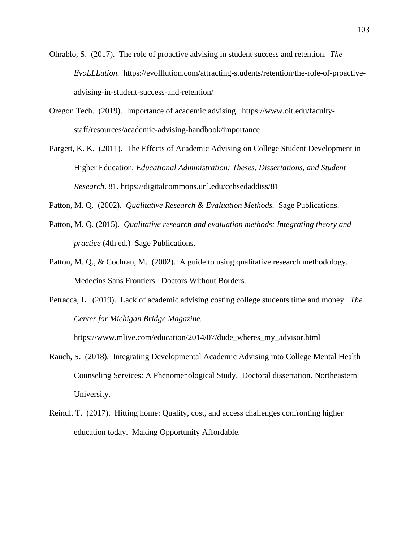- Ohrablo, S. (2017). The role of proactive advising in student success and retention. *The EvoLLLution.* https://evolllution.com/attracting-students/retention/the-role-of-proactiveadvising-in-student-success-and-retention/
- Oregon Tech. (2019). Importance of academic advising. https://www.oit.edu/facultystaff/resources/academic-advising-handbook/importance
- Pargett, K. K. (2011). The Effects of Academic Advising on College Student Development in Higher Education*. Educational Administration: Theses, Dissertations, and Student Research*. 81. https://digitalcommons.unl.edu/cehsedaddiss/81
- Patton, M. Q. (2002). *[Qualitative Research & Evaluation Methods.](https://www.amazon.com/dp/0761919716/ref=rdr_ext_tmb)* Sage Publications.
- Patton, M. Q. (2015). *Qualitative research and evaluation methods: Integrating theory and practice* (4th ed.) Sage Publications.
- Patton, M. Q., & Cochran, M. (2002). A guide to using qualitative research methodology. Medecins Sans Frontiers. Doctors Without Borders.
- Petracca, L. (2019). Lack of academic advising costing college students time and money. *The Center for Michigan Bridge Magazine.*

https://www.mlive.com/education/2014/07/dude\_wheres\_my\_advisor.html

- Rauch, S. (2018). Integrating Developmental Academic Advising into College Mental Health Counseling Services: A Phenomenological Study. Doctoral dissertation. Northeastern University.
- Reindl, T. (2017). Hitting home: Quality, cost, and access challenges confronting higher education today. Making Opportunity Affordable.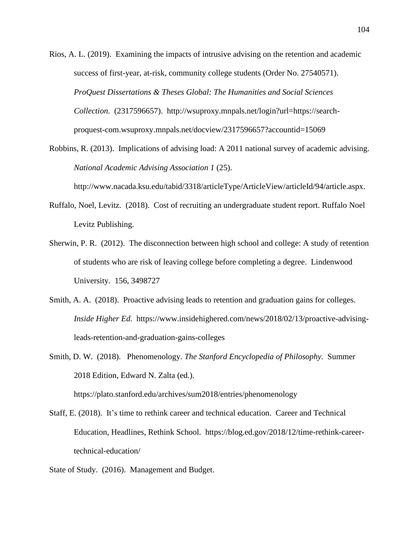- Rios, A. L. (2019). Examining the impacts of intrusive advising on the retention and academic success of first-year, at-risk, community college students (Order No. 27540571). *ProQuest Dissertations & Theses Global: The Humanities and Social Sciences Collection.* (2317596657). [http://wsuproxy.mnpals.net/login?url=https://search](http://wsuproxy.mnpals.net/login?url=https://search-proquest-com.wsuproxy.mnpals.net/docview/2317596657?accountid=15069)[proquest-com.wsuproxy.mnpals.net/docview/2317596657?accountid=15069](http://wsuproxy.mnpals.net/login?url=https://search-proquest-com.wsuproxy.mnpals.net/docview/2317596657?accountid=15069)
- Robbins, R. (2013). Implications of advising load: A 2011 national survey of academic advising. *National Academic Advising Association 1* (25).

[http://www.nacada.ksu.edu/tabid/3318/articleType/ArticleView/articleId/94/article.aspx.](http://www.nacada.ksu.edu/tabid/3318/articleType/ArticleView/articleId/94/article.aspx)

- Ruffalo, Noel, Levitz. (2018). Cost of recruiting an undergraduate student report. Ruffalo Noel Levitz Publishing.
- Sherwin, P. R. (2012). The disconnection between high school and college: A study of retention of students who are risk of leaving college before completing a degree. Lindenwood University. 156, 3498727
- Smith, A. A. (2018). Proactive advising leads to retention and graduation gains for colleges. *Inside Higher Ed.* https://www.insidehighered.com/news/2018/02/13/proactive-advisingleads-retention-and-graduation-gains-colleges
- Smith, D. W. (2018). Phenomenology. *The Stanford Encyclopedia of Philosophy.* Summer 2018 Edition, Edward N. Zalta (ed.).
- Staff, E. (2018). It's time to rethink career and technical education. [Career and](https://blog.ed.gov/topic/career-and-technical-education/) Technical

https://plato.stanford.edu/archives/sum2018/entries/phenomenology

- [Education,](https://blog.ed.gov/topic/career-and-technical-education/) [Headlines,](https://blog.ed.gov/topic/headlines/) [Rethink School.](https://blog.ed.gov/topic/rethink-school/) [https://blog.ed.gov/2018/12/time-rethink-career](https://blog.ed.gov/2018/12/time-rethink-career-technical-education/)[technical-education/](https://blog.ed.gov/2018/12/time-rethink-career-technical-education/)
- State of Study. (2016). Management and Budget.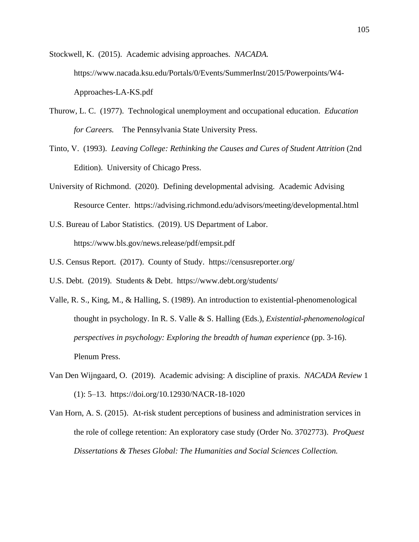Stockwell, K. (2015). Academic advising approaches. *NACADA.*  [https://www.nacada.ksu.edu/Portals/0/Events/SummerInst/2015/Powerpoints/W4-](https://www.nacada.ksu.edu/Portals/0/Events/SummerInst/2015/Powerpoints/W4-Approaches-LA-KS.pdf) [Approaches-LA-KS.pdf](https://www.nacada.ksu.edu/Portals/0/Events/SummerInst/2015/Powerpoints/W4-Approaches-LA-KS.pdf)

- Thurow, L. C. (1977). Technological unemployment and occupational education. *Education for Careers.* The Pennsylvania State University Press.
- Tinto, V. (1993). *Leaving College: Rethinking the Causes and Cures of Student Attrition* (2nd Edition). University of Chicago Press.
- University of Richmond. (2020). Defining developmental advising. Academic Advising Resource Center. https://advising.richmond.edu/advisors/meeting/developmental.html
- U.S. Bureau of Labor Statistics. (2019). US Department of Labor. https://www.bls.gov/news.release/pdf/empsit.pdf
- U.S. Census Report. (2017). County of Study. https://censusreporter.org/
- U.S. Debt. (2019). Students & Debt. https://www.debt.org/students/
- Valle, R. S., King, M., & Halling, S. (1989). An introduction to existential-phenomenological thought in psychology. In R. S. Valle & S. Halling (Eds.), *Existential-phenomenological perspectives in psychology: Exploring the breadth of human experience* (pp. 3-16). Plenum Press.
- Van Den Wijngaard, O. (2019). Academic advising: A discipline of praxis. *NACADA Review* 1 (1): 5–13. <https://doi.org/10.12930/NACR-18-1020>
- Van Horn, A. S. (2015). At-risk student perceptions of business and administration services in the role of college retention: An exploratory case study (Order No. 3702773). *ProQuest Dissertations & Theses Global: The Humanities and Social Sciences Collection.*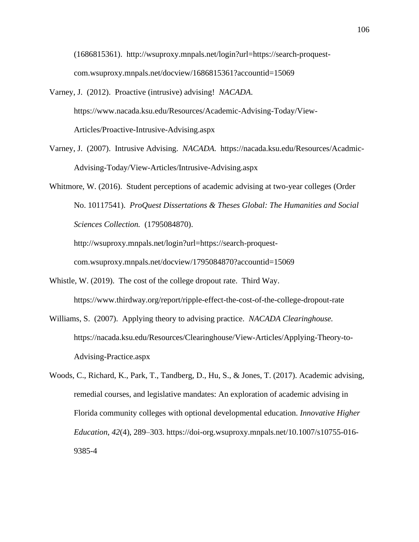(1686815361). [http://wsuproxy.mnpals.net/login?url=https://search-proquest](http://wsuproxy.mnpals.net/login?url=https://search-proquest-com.wsuproxy.mnpals.net/docview/1686815361?accountid=15069)[com.wsuproxy.mnpals.net/docview/1686815361?accountid=15069](http://wsuproxy.mnpals.net/login?url=https://search-proquest-com.wsuproxy.mnpals.net/docview/1686815361?accountid=15069)

- Varney, J. (2012). Proactive (intrusive) advising! *NACADA*. https://www.nacada.ksu.edu/Resources/Academic-Advising-Today/View-Articles/Proactive-Intrusive-Advising.aspx
- Varney, J. (2007). Intrusive Advising. *NACADA.* https://nacada.ksu.edu/Resources/Acadmic-Advising-Today/View-Articles/Intrusive-Advising.aspx
- Whitmore, W. (2016). Student perceptions of academic advising at two-year colleges (Order No. 10117541). *ProQuest Dissertations & Theses Global: The Humanities and Social Sciences Collection.* (1795084870).

[http://wsuproxy.mnpals.net/login?url=https://search-proquest](http://wsuproxy.mnpals.net/login?url=https://search-proquest-com.wsuproxy.mnpals.net/docview/1795084870?accountid=15069)[com.wsuproxy.mnpals.net/docview/1795084870?accountid=15069](http://wsuproxy.mnpals.net/login?url=https://search-proquest-com.wsuproxy.mnpals.net/docview/1795084870?accountid=15069)

- Whistle, W. (2019). The cost of the college dropout rate. Third Way. https://www.thirdway.org/report/ripple-effect-the-cost-of-the-college-dropout-rate
- Williams, S. (2007). Applying theory to advising practice. *NACADA Clearinghouse.* https://nacada.ksu.edu/Resources/Clearinghouse/View-Articles/Applying-Theory-to-Advising-Practice.aspx
- Woods, C., Richard, K., Park, T., Tandberg, D., Hu, S., & Jones, T. (2017). Academic advising, remedial courses, and legislative mandates: An exploration of academic advising in Florida community colleges with optional developmental education. *Innovative Higher Education*, *42*(4), 289–303. https://doi-org.wsuproxy.mnpals.net/10.1007/s10755-016- 9385-4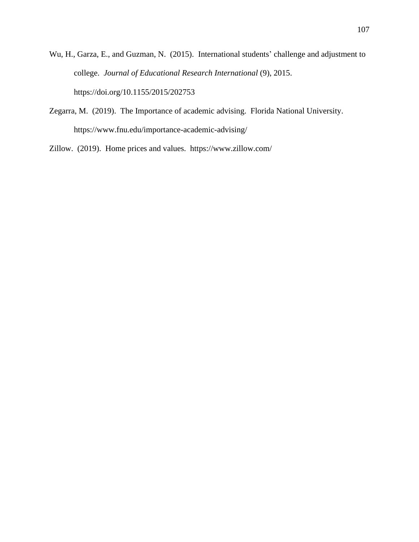- Wu, H., Garza, E., and Guzman, N. (2015). International students' challenge and adjustment to college. *Journal of Educational Research International* (9), 2015. <https://doi.org/10.1155/2015/202753>
- Zegarra, M. (2019). The Importance of academic advising. Florida National University. https://www.fnu.edu/importance-academic-advising/

Zillow. (2019). Home prices and values. https://www.zillow.com/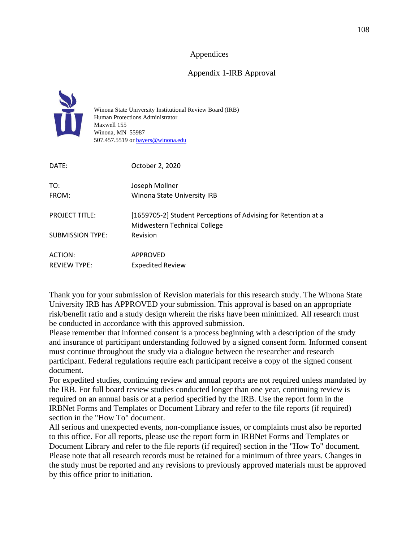## Appendices

## Appendix 1-IRB Approval



Winona State University Institutional Review Board (IRB) Human Protections Administrator Maxwell 155 Winona, MN 55987 507.457.5519 or bayers@winona.edu

| DATE:                   | October 2, 2020                                                                                |
|-------------------------|------------------------------------------------------------------------------------------------|
| TO:                     | Joseph Mollner                                                                                 |
| FROM:                   | Winona State University IRB                                                                    |
| <b>PROJECT TITLE:</b>   | [1659705-2] Student Perceptions of Advising for Retention at a<br>Midwestern Technical College |
| <b>SUBMISSION TYPE:</b> | Revision                                                                                       |
| ACTION:                 | APPROVED                                                                                       |
| <b>REVIEW TYPE:</b>     | <b>Expedited Review</b>                                                                        |

Thank you for your submission of Revision materials for this research study. The Winona State University IRB has APPROVED your submission. This approval is based on an appropriate risk/benefit ratio and a study design wherein the risks have been minimized. All research must be conducted in accordance with this approved submission.

Please remember that informed consent is a process beginning with a description of the study and insurance of participant understanding followed by a signed consent form. Informed consent must continue throughout the study via a dialogue between the researcher and research participant. Federal regulations require each participant receive a copy of the signed consent document.

For expedited studies, continuing review and annual reports are not required unless mandated by the IRB. For full board review studies conducted longer than one year, continuing review is required on an annual basis or at a period specified by the IRB. Use the report form in the IRBNet Forms and Templates or Document Library and refer to the file reports (if required) section in the "How To" document.

All serious and unexpected events, non-compliance issues, or complaints must also be reported to this office. For all reports, please use the report form in IRBNet Forms and Templates or Document Library and refer to the file reports (if required) section in the "How To" document. Please note that all research records must be retained for a minimum of three years. Changes in the study must be reported and any revisions to previously approved materials must be approved by this office prior to initiation.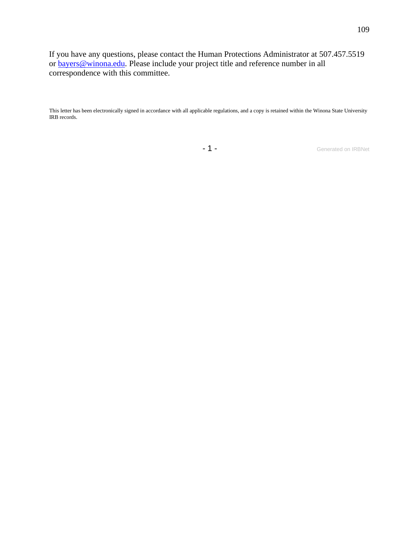If you have any questions, please contact the Human Protections Administrator at 507.457.5519 or bayers@winona.edu. Please include your project title and reference number in all correspondence with this committee.

This letter has been electronically signed in accordance with all applicable regulations, and a copy is retained within the Winona State University IRB records.

- 1 - Generated on IRBNet